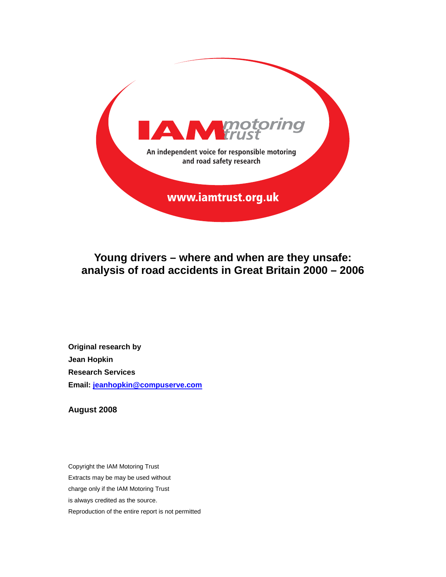

**Young drivers – where and when are they unsafe: analysis of road accidents in Great Britain 2000 – 2006** 

**Original research by Jean Hopkin Research Services Email: jeanhopkin@compuserve.com**

**August 2008**

Copyright the IAM Motoring Trust Extracts may be may be used without charge only if the IAM Motoring Trust is always credited as the source. Reproduction of the entire report is not permitted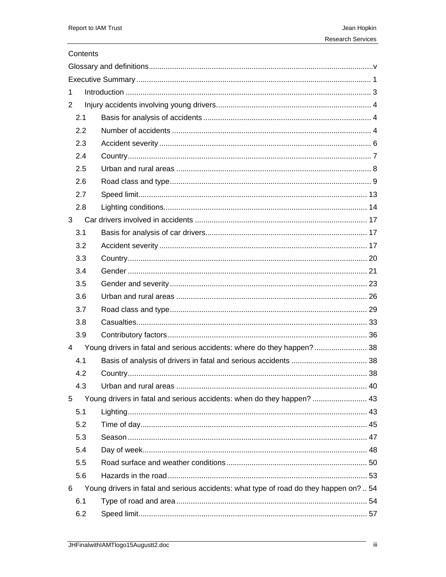# Contents

| 1   |                                                                                        |  |
|-----|----------------------------------------------------------------------------------------|--|
| 2   |                                                                                        |  |
| 2.1 |                                                                                        |  |
| 2.2 |                                                                                        |  |
| 2.3 |                                                                                        |  |
| 2.4 |                                                                                        |  |
| 2.5 |                                                                                        |  |
| 2.6 |                                                                                        |  |
| 2.7 |                                                                                        |  |
| 2.8 |                                                                                        |  |
| 3   |                                                                                        |  |
| 3.1 |                                                                                        |  |
| 3.2 |                                                                                        |  |
| 3.3 |                                                                                        |  |
| 3.4 |                                                                                        |  |
| 3.5 |                                                                                        |  |
| 3.6 |                                                                                        |  |
| 3.7 |                                                                                        |  |
| 3.8 |                                                                                        |  |
| 3.9 |                                                                                        |  |
| 4   | Young drivers in fatal and serious accidents: where do they happen? 38                 |  |
| 4.1 |                                                                                        |  |
| 4.2 |                                                                                        |  |
| 4.3 |                                                                                        |  |
| 5   | Young drivers in fatal and serious accidents: when do they happen?  43                 |  |
| 5.1 |                                                                                        |  |
| 5.2 |                                                                                        |  |
| 5.3 |                                                                                        |  |
| 5.4 |                                                                                        |  |
| 5.5 |                                                                                        |  |
| 5.6 |                                                                                        |  |
| 6   | Young drivers in fatal and serious accidents: what type of road do they happen on?  54 |  |
| 6.1 |                                                                                        |  |
| 6.2 |                                                                                        |  |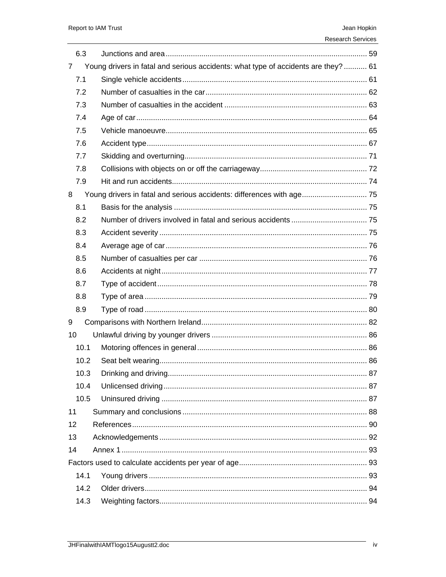6.3

 $\boldsymbol{7}$ 

|                | <b>Research Services</b>                                                           |        |
|----------------|------------------------------------------------------------------------------------|--------|
|                |                                                                                    |        |
|                | Young drivers in fatal and serious accidents: what type of accidents are they?  61 |        |
|                |                                                                                    |        |
| $\overline{2}$ |                                                                                    |        |
| 3 <sup>1</sup> |                                                                                    |        |
|                |                                                                                    |        |
|                | $\mathbf{r}$ . Ushink measures the same of $\mathbf{r}$                            | $\sim$ |

| 7.1  |                                                                       |  |
|------|-----------------------------------------------------------------------|--|
| 7.2  |                                                                       |  |
| 7.3  |                                                                       |  |
| 7.4  |                                                                       |  |
| 7.5  |                                                                       |  |
| 7.6  |                                                                       |  |
| 7.7  |                                                                       |  |
| 7.8  |                                                                       |  |
| 7.9  |                                                                       |  |
| 8    | Young drivers in fatal and serious accidents: differences with age 75 |  |
| 8.1  |                                                                       |  |
| 8.2  |                                                                       |  |
| 8.3  |                                                                       |  |
| 8.4  |                                                                       |  |
| 8.5  |                                                                       |  |
| 8.6  |                                                                       |  |
| 8.7  |                                                                       |  |
| 8.8  |                                                                       |  |
| 8.9  |                                                                       |  |
| 9    |                                                                       |  |
| 10   |                                                                       |  |
| 10.1 |                                                                       |  |
| 10.2 |                                                                       |  |
| 10.3 |                                                                       |  |
| 10.4 |                                                                       |  |
| 10.5 |                                                                       |  |
| 11   |                                                                       |  |
| 12   |                                                                       |  |
| 13   |                                                                       |  |
| 14   |                                                                       |  |
|      |                                                                       |  |
| 14.1 |                                                                       |  |
| 14.2 |                                                                       |  |
| 14.3 |                                                                       |  |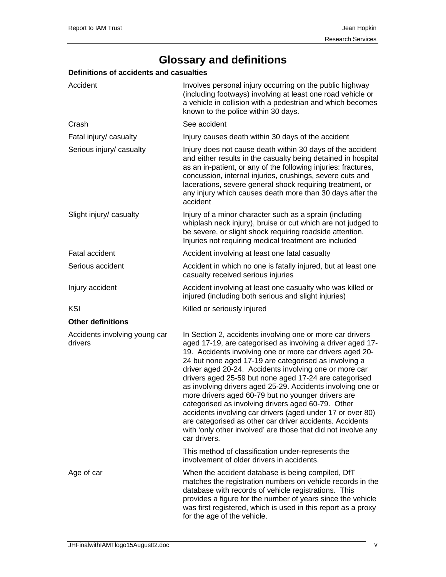# **Glossary and definitions**

# **Definitions of accidents and casualties**

| Accident                                 | Involves personal injury occurring on the public highway<br>(including footways) involving at least one road vehicle or<br>a vehicle in collision with a pedestrian and which becomes<br>known to the police within 30 days.                                                                                                                                                                                                                                                                                                                                                                                                                                                                                                                           |
|------------------------------------------|--------------------------------------------------------------------------------------------------------------------------------------------------------------------------------------------------------------------------------------------------------------------------------------------------------------------------------------------------------------------------------------------------------------------------------------------------------------------------------------------------------------------------------------------------------------------------------------------------------------------------------------------------------------------------------------------------------------------------------------------------------|
| Crash                                    | See accident                                                                                                                                                                                                                                                                                                                                                                                                                                                                                                                                                                                                                                                                                                                                           |
| Fatal injury/ casualty                   | Injury causes death within 30 days of the accident                                                                                                                                                                                                                                                                                                                                                                                                                                                                                                                                                                                                                                                                                                     |
| Serious injury/ casualty                 | Injury does not cause death within 30 days of the accident<br>and either results in the casualty being detained in hospital<br>as an in-patient, or any of the following injuries: fractures,<br>concussion, internal injuries, crushings, severe cuts and<br>lacerations, severe general shock requiring treatment, or<br>any injury which causes death more than 30 days after the<br>accident                                                                                                                                                                                                                                                                                                                                                       |
| Slight injury/ casualty                  | Injury of a minor character such as a sprain (including<br>whiplash neck injury), bruise or cut which are not judged to<br>be severe, or slight shock requiring roadside attention.<br>Injuries not requiring medical treatment are included                                                                                                                                                                                                                                                                                                                                                                                                                                                                                                           |
| <b>Fatal accident</b>                    | Accident involving at least one fatal casualty                                                                                                                                                                                                                                                                                                                                                                                                                                                                                                                                                                                                                                                                                                         |
| Serious accident                         | Accident in which no one is fatally injured, but at least one<br>casualty received serious injuries                                                                                                                                                                                                                                                                                                                                                                                                                                                                                                                                                                                                                                                    |
| Injury accident                          | Accident involving at least one casualty who was killed or<br>injured (including both serious and slight injuries)                                                                                                                                                                                                                                                                                                                                                                                                                                                                                                                                                                                                                                     |
| KSI                                      | Killed or seriously injured                                                                                                                                                                                                                                                                                                                                                                                                                                                                                                                                                                                                                                                                                                                            |
| <b>Other definitions</b>                 |                                                                                                                                                                                                                                                                                                                                                                                                                                                                                                                                                                                                                                                                                                                                                        |
| Accidents involving young car<br>drivers | In Section 2, accidents involving one or more car drivers<br>aged 17-19, are categorised as involving a driver aged 17-<br>19. Accidents involving one or more car drivers aged 20-<br>24 but none aged 17-19 are categorised as involving a<br>driver aged 20-24. Accidents involving one or more car<br>drivers aged 25-59 but none aged 17-24 are categorised<br>as involving drivers aged 25-29. Accidents involving one or<br>more drivers aged 60-79 but no younger drivers are<br>categorised as involving drivers aged 60-79. Other<br>accidents involving car drivers (aged under 17 or over 80)<br>are categorised as other car driver accidents. Accidents<br>with 'only other involved' are those that did not involve any<br>car drivers. |
|                                          | This method of classification under-represents the<br>involvement of older drivers in accidents.                                                                                                                                                                                                                                                                                                                                                                                                                                                                                                                                                                                                                                                       |
| Age of car                               | When the accident database is being compiled, DfT<br>matches the registration numbers on vehicle records in the<br>database with records of vehicle registrations. This<br>provides a figure for the number of years since the vehicle<br>was first registered, which is used in this report as a proxy<br>for the age of the vehicle.                                                                                                                                                                                                                                                                                                                                                                                                                 |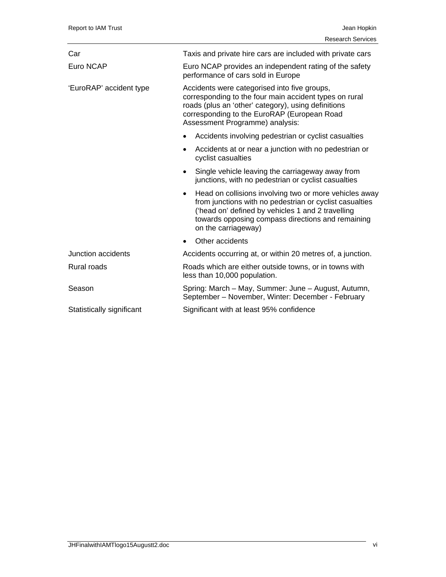| Car                       | Taxis and private hire cars are included with private cars                                                                                                                                                                                                      |
|---------------------------|-----------------------------------------------------------------------------------------------------------------------------------------------------------------------------------------------------------------------------------------------------------------|
| Euro NCAP                 | Euro NCAP provides an independent rating of the safety<br>performance of cars sold in Europe                                                                                                                                                                    |
| 'EuroRAP' accident type   | Accidents were categorised into five groups,<br>corresponding to the four main accident types on rural<br>roads (plus an 'other' category), using definitions<br>corresponding to the EuroRAP (European Road<br>Assessment Programme) analysis:                 |
|                           | Accidents involving pedestrian or cyclist casualties<br>$\bullet$                                                                                                                                                                                               |
|                           | Accidents at or near a junction with no pedestrian or<br>$\bullet$<br>cyclist casualties                                                                                                                                                                        |
|                           | Single vehicle leaving the carriageway away from<br>$\bullet$<br>junctions, with no pedestrian or cyclist casualties                                                                                                                                            |
|                           | Head on collisions involving two or more vehicles away<br>$\bullet$<br>from junctions with no pedestrian or cyclist casualties<br>('head on' defined by vehicles 1 and 2 travelling<br>towards opposing compass directions and remaining<br>on the carriageway) |
|                           | Other accidents<br>$\bullet$                                                                                                                                                                                                                                    |
| Junction accidents        | Accidents occurring at, or within 20 metres of, a junction.                                                                                                                                                                                                     |
| Rural roads               | Roads which are either outside towns, or in towns with<br>less than 10,000 population.                                                                                                                                                                          |
| Season                    | Spring: March – May, Summer: June – August, Autumn,<br>September - November, Winter: December - February                                                                                                                                                        |
| Statistically significant | Significant with at least 95% confidence                                                                                                                                                                                                                        |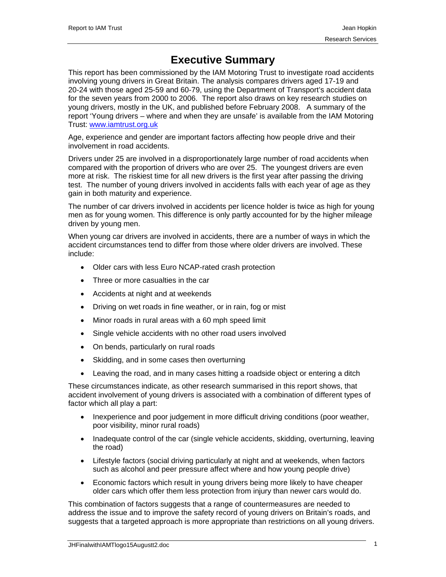# **Executive Summary**

This report has been commissioned by the IAM Motoring Trust to investigate road accidents involving young drivers in Great Britain. The analysis compares drivers aged 17-19 and 20-24 with those aged 25-59 and 60-79, using the Department of Transport's accident data for the seven years from 2000 to 2006. The report also draws on key research studies on young drivers, mostly in the UK, and published before February 2008. A summary of the report 'Young drivers – where and when they are unsafe' is available from the IAM Motoring Trust: www.iamtrust.org.uk

Age, experience and gender are important factors affecting how people drive and their involvement in road accidents.

Drivers under 25 are involved in a disproportionately large number of road accidents when compared with the proportion of drivers who are over 25. The youngest drivers are even more at risk. The riskiest time for all new drivers is the first year after passing the driving test. The number of young drivers involved in accidents falls with each year of age as they gain in both maturity and experience.

The number of car drivers involved in accidents per licence holder is twice as high for young men as for young women. This difference is only partly accounted for by the higher mileage driven by young men.

When young car drivers are involved in accidents, there are a number of ways in which the accident circumstances tend to differ from those where older drivers are involved. These include:

- Older cars with less Euro NCAP-rated crash protection
- Three or more casualties in the car
- Accidents at night and at weekends
- Driving on wet roads in fine weather, or in rain, fog or mist
- Minor roads in rural areas with a 60 mph speed limit
- Single vehicle accidents with no other road users involved
- On bends, particularly on rural roads
- Skidding, and in some cases then overturning
- Leaving the road, and in many cases hitting a roadside object or entering a ditch

These circumstances indicate, as other research summarised in this report shows, that accident involvement of young drivers is associated with a combination of different types of factor which all play a part:

- Inexperience and poor judgement in more difficult driving conditions (poor weather, poor visibility, minor rural roads)
- Inadequate control of the car (single vehicle accidents, skidding, overturning, leaving the road)
- Lifestyle factors (social driving particularly at night and at weekends, when factors such as alcohol and peer pressure affect where and how young people drive)
- Economic factors which result in young drivers being more likely to have cheaper older cars which offer them less protection from injury than newer cars would do.

This combination of factors suggests that a range of countermeasures are needed to address the issue and to improve the safety record of young drivers on Britain's roads, and suggests that a targeted approach is more appropriate than restrictions on all young drivers.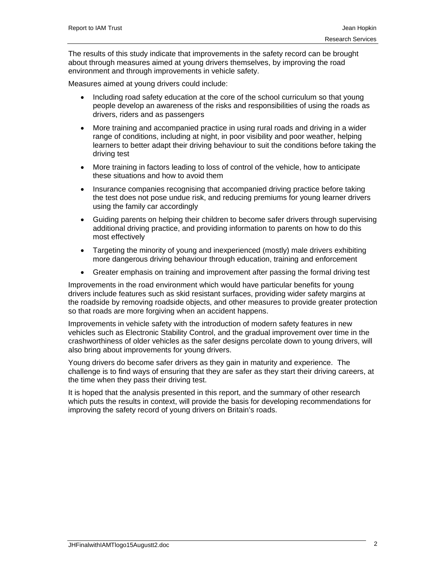The results of this study indicate that improvements in the safety record can be brought about through measures aimed at young drivers themselves, by improving the road environment and through improvements in vehicle safety.

Measures aimed at young drivers could include:

- Including road safety education at the core of the school curriculum so that young people develop an awareness of the risks and responsibilities of using the roads as drivers, riders and as passengers
- More training and accompanied practice in using rural roads and driving in a wider range of conditions, including at night, in poor visibility and poor weather, helping learners to better adapt their driving behaviour to suit the conditions before taking the driving test
- More training in factors leading to loss of control of the vehicle, how to anticipate these situations and how to avoid them
- Insurance companies recognising that accompanied driving practice before taking the test does not pose undue risk, and reducing premiums for young learner drivers using the family car accordingly
- Guiding parents on helping their children to become safer drivers through supervising additional driving practice, and providing information to parents on how to do this most effectively
- Targeting the minority of young and inexperienced (mostly) male drivers exhibiting more dangerous driving behaviour through education, training and enforcement
- Greater emphasis on training and improvement after passing the formal driving test

Improvements in the road environment which would have particular benefits for young drivers include features such as skid resistant surfaces, providing wider safety margins at the roadside by removing roadside objects, and other measures to provide greater protection so that roads are more forgiving when an accident happens.

Improvements in vehicle safety with the introduction of modern safety features in new vehicles such as Electronic Stability Control, and the gradual improvement over time in the crashworthiness of older vehicles as the safer designs percolate down to young drivers, will also bring about improvements for young drivers.

Young drivers do become safer drivers as they gain in maturity and experience. The challenge is to find ways of ensuring that they are safer as they start their driving careers, at the time when they pass their driving test.

It is hoped that the analysis presented in this report, and the summary of other research which puts the results in context, will provide the basis for developing recommendations for improving the safety record of young drivers on Britain's roads.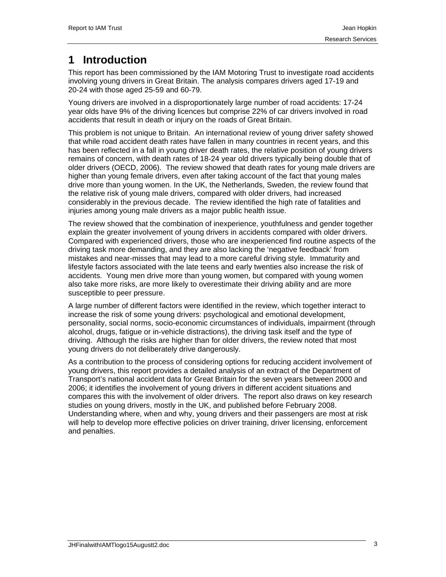# **1 Introduction**

This report has been commissioned by the IAM Motoring Trust to investigate road accidents involving young drivers in Great Britain. The analysis compares drivers aged 17-19 and 20-24 with those aged 25-59 and 60-79.

Young drivers are involved in a disproportionately large number of road accidents: 17-24 year olds have 9% of the driving licences but comprise 22% of car drivers involved in road accidents that result in death or injury on the roads of Great Britain.

This problem is not unique to Britain. An international review of young driver safety showed that while road accident death rates have fallen in many countries in recent years, and this has been reflected in a fall in young driver death rates, the relative position of young drivers remains of concern, with death rates of 18-24 year old drivers typically being double that of older drivers (OECD, 2006). The review showed that death rates for young male drivers are higher than young female drivers, even after taking account of the fact that young males drive more than young women. In the UK, the Netherlands, Sweden, the review found that the relative risk of young male drivers, compared with older drivers, had increased considerably in the previous decade. The review identified the high rate of fatalities and injuries among young male drivers as a major public health issue.

The review showed that the combination of inexperience, youthfulness and gender together explain the greater involvement of young drivers in accidents compared with older drivers. Compared with experienced drivers, those who are inexperienced find routine aspects of the driving task more demanding, and they are also lacking the 'negative feedback' from mistakes and near-misses that may lead to a more careful driving style. Immaturity and lifestyle factors associated with the late teens and early twenties also increase the risk of accidents. Young men drive more than young women, but compared with young women also take more risks, are more likely to overestimate their driving ability and are more susceptible to peer pressure.

A large number of different factors were identified in the review, which together interact to increase the risk of some young drivers: psychological and emotional development, personality, social norms, socio-economic circumstances of individuals, impairment (through alcohol, drugs, fatigue or in-vehicle distractions), the driving task itself and the type of driving. Although the risks are higher than for older drivers, the review noted that most young drivers do not deliberately drive dangerously.

As a contribution to the process of considering options for reducing accident involvement of young drivers, this report provides a detailed analysis of an extract of the Department of Transport's national accident data for Great Britain for the seven years between 2000 and 2006; it identifies the involvement of young drivers in different accident situations and compares this with the involvement of older drivers. The report also draws on key research studies on young drivers, mostly in the UK, and published before February 2008. Understanding where, when and why, young drivers and their passengers are most at risk will help to develop more effective policies on driver training, driver licensing, enforcement and penalties.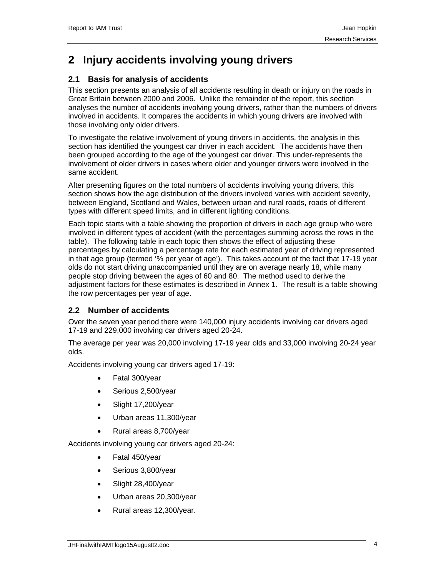# **2 Injury accidents involving young drivers**

# **2.1 Basis for analysis of accidents**

This section presents an analysis of all accidents resulting in death or injury on the roads in Great Britain between 2000 and 2006. Unlike the remainder of the report, this section analyses the number of accidents involving young drivers, rather than the numbers of drivers involved in accidents. It compares the accidents in which young drivers are involved with those involving only older drivers.

To investigate the relative involvement of young drivers in accidents, the analysis in this section has identified the youngest car driver in each accident. The accidents have then been grouped according to the age of the youngest car driver. This under-represents the involvement of older drivers in cases where older and younger drivers were involved in the same accident.

After presenting figures on the total numbers of accidents involving young drivers, this section shows how the age distribution of the drivers involved varies with accident severity, between England, Scotland and Wales, between urban and rural roads, roads of different types with different speed limits, and in different lighting conditions.

Each topic starts with a table showing the proportion of drivers in each age group who were involved in different types of accident (with the percentages summing across the rows in the table). The following table in each topic then shows the effect of adjusting these percentages by calculating a percentage rate for each estimated year of driving represented in that age group (termed '% per year of age'). This takes account of the fact that 17-19 year olds do not start driving unaccompanied until they are on average nearly 18, while many people stop driving between the ages of 60 and 80. The method used to derive the adjustment factors for these estimates is described in Annex 1. The result is a table showing the row percentages per year of age.

## **2.2 Number of accidents**

Over the seven year period there were 140,000 injury accidents involving car drivers aged 17-19 and 229,000 involving car drivers aged 20-24.

The average per year was 20,000 involving 17-19 year olds and 33,000 involving 20-24 year olds.

Accidents involving young car drivers aged 17-19:

- Fatal 300/year
- Serious 2,500/year
- Slight 17,200/year
- Urban areas 11,300/year
- Rural areas 8,700/year

Accidents involving young car drivers aged 20-24:

- Fatal 450/year
- Serious 3,800/year
- Slight 28,400/year
- Urban areas 20,300/year
- Rural areas 12,300/year.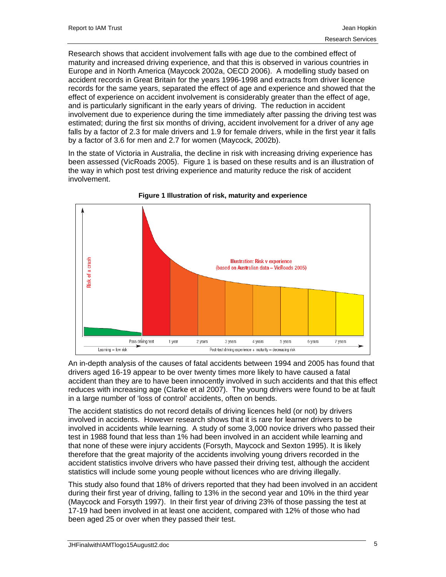Research shows that accident involvement falls with age due to the combined effect of maturity and increased driving experience, and that this is observed in various countries in Europe and in North America (Maycock 2002a, OECD 2006). A modelling study based on accident records in Great Britain for the years 1996-1998 and extracts from driver licence records for the same years, separated the effect of age and experience and showed that the effect of experience on accident involvement is considerably greater than the effect of age, and is particularly significant in the early years of driving. The reduction in accident involvement due to experience during the time immediately after passing the driving test was estimated; during the first six months of driving, accident involvement for a driver of any age falls by a factor of 2.3 for male drivers and 1.9 for female drivers, while in the first year it falls by a factor of 3.6 for men and 2.7 for women (Maycock, 2002b).

In the state of Victoria in Australia, the decline in risk with increasing driving experience has been assessed (VicRoads 2005). Figure 1 is based on these results and is an illustration of the way in which post test driving experience and maturity reduce the risk of accident involvement.





An in-depth analysis of the causes of fatal accidents between 1994 and 2005 has found that drivers aged 16-19 appear to be over twenty times more likely to have caused a fatal accident than they are to have been innocently involved in such accidents and that this effect reduces with increasing age (Clarke et al 2007). The young drivers were found to be at fault in a large number of 'loss of control' accidents, often on bends.

The accident statistics do not record details of driving licences held (or not) by drivers involved in accidents. However research shows that it is rare for learner drivers to be involved in accidents while learning. A study of some 3,000 novice drivers who passed their test in 1988 found that less than 1% had been involved in an accident while learning and that none of these were injury accidents (Forsyth, Maycock and Sexton 1995). It is likely therefore that the great majority of the accidents involving young drivers recorded in the accident statistics involve drivers who have passed their driving test, although the accident statistics will include some young people without licences who are driving illegally.

This study also found that 18% of drivers reported that they had been involved in an accident during their first year of driving, falling to 13% in the second year and 10% in the third year (Maycock and Forsyth 1997). In their first year of driving 23% of those passing the test at 17-19 had been involved in at least one accident, compared with 12% of those who had been aged 25 or over when they passed their test.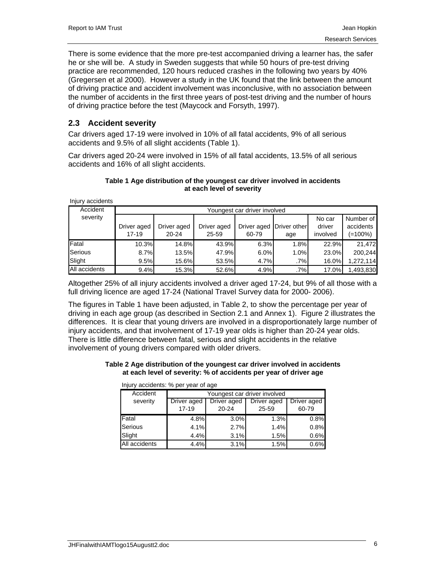There is some evidence that the more pre-test accompanied driving a learner has, the safer he or she will be. A study in Sweden suggests that while 50 hours of pre-test driving practice are recommended, 120 hours reduced crashes in the following two years by 40% (Gregersen et al 2000). However a study in the UK found that the link between the amount of driving practice and accident involvement was inconclusive, with no association between the number of accidents in the first three years of post-test driving and the number of hours of driving practice before the test (Maycock and Forsyth, 1997).

## **2.3 Accident severity**

Car drivers aged 17-19 were involved in 10% of all fatal accidents, 9% of all serious accidents and 9.5% of all slight accidents (Table 1).

Car drivers aged 20-24 were involved in 15% of all fatal accidents, 13.5% of all serious accidents and 16% of all slight accidents.

### **Table 1 Age distribution of the youngest car driver involved in accidents at each level of severity**

Injury accidents

| Accident      | Youngest car driver involved |             |             |                            |      |          |           |
|---------------|------------------------------|-------------|-------------|----------------------------|------|----------|-----------|
| severity      |                              |             |             |                            |      | No car   | Number of |
|               | Driver aged                  | Driver aged | Driver aged | Driver aged   Driver other |      | driver   | accidents |
|               | $17 - 19$                    | $20 - 24$   | 25-59       | 60-79                      | age  | involved | (=100%)   |
| Fatal         | 10.3%                        | 14.8%       | 43.9%       | 6.3%                       | 1.8% | 22.9%    | 21,472    |
| Serious       | 8.7%                         | 13.5%       | 47.9%       | 6.0%                       | 1.0% | 23.0%    | 200.244   |
| Slight        | 9.5%                         | 15.6%       | 53.5%       | 4.7%                       | .7%  | 16.0%    | 1,272,114 |
| All accidents | 9.4%                         | 15.3%       | 52.6%       | 4.9%                       | .7%  | 17.0%    | 1,493,830 |

Altogether 25% of all injury accidents involved a driver aged 17-24, but 9% of all those with a full driving licence are aged 17-24 (National Travel Survey data for 2000- 2006).

The figures in Table 1 have been adjusted, in Table 2, to show the percentage per year of driving in each age group (as described in Section 2.1 and Annex 1). Figure 2 illustrates the differences. It is clear that young drivers are involved in a disproportionately large number of injury accidents, and that involvement of 17-19 year olds is higher than 20-24 year olds. There is little difference between fatal, serious and slight accidents in the relative involvement of young drivers compared with older drivers.

### **Table 2 Age distribution of the youngest car driver involved in accidents at each level of severity: % of accidents per year of driver age**

| Accident<br>Youngest car driver involved |             |             |             |             |  |  |  |  |
|------------------------------------------|-------------|-------------|-------------|-------------|--|--|--|--|
| severity                                 | Driver aged | Driver aged | Driver aged | Driver aged |  |  |  |  |
|                                          | $17 - 19$   | $20 - 24$   | 25-59       | 60-79       |  |  |  |  |
| Fatal                                    | 4.8%        | 3.0%        | 1.3%        | 0.8%        |  |  |  |  |
| Serious                                  | 4.1%        | 2.7%        | 1.4%        | 0.8%        |  |  |  |  |
| Slight                                   | 4.4%        | 3.1%        | 1.5%        | 0.6%        |  |  |  |  |
| All accidents                            | 4.4%        | 3.1%        | 1.5%        | 0.6%        |  |  |  |  |

Injury accidents: % per year of age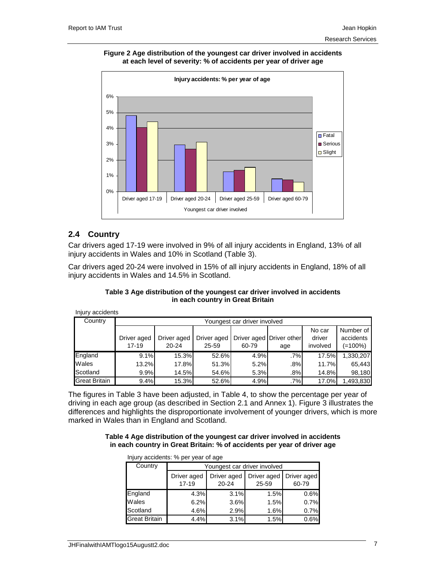### **Figure 2 Age distribution of the youngest car driver involved in accidents at each level of severity: % of accidents per year of driver age**



# **2.4 Country**

Car drivers aged 17-19 were involved in 9% of all injury accidents in England, 13% of all injury accidents in Wales and 10% in Scotland (Table 3).

Car drivers aged 20-24 were involved in 15% of all injury accidents in England, 18% of all injury accidents in Wales and 14.5% in Scotland.

### **Table 3 Age distribution of the youngest car driver involved in accidents in each country in Great Britain**

Injury accidents Driver aged 17-19 Driver aged 20-24 Driver aged 25-59 Driver aged Driver other 60-79 age No car driver involved Number of accidents (=100%) England 9.1% 15.3% 52.6% 4.9% .7% 17.5% 1,330,207 Wales 13.2% 17.8% 51.3% 5.2% .8% 11.7% 65,443 Scotland 9.9% 14.5% 54.6% 5.3% .8% 14.8% 98,180 Great Britain 9.4% 15.3% 52.6% 4.9% .7% 17.0% 1,493,830 Country Youngest car driver involved

The figures in Table 3 have been adjusted, in Table 4, to show the percentage per year of driving in each age group (as described in Section 2.1 and Annex 1). Figure 3 illustrates the differences and highlights the disproportionate involvement of younger drivers, which is more marked in Wales than in England and Scotland.

### **Table 4 Age distribution of the youngest car driver involved in accidents in each country in Great Britain: % of accidents per year of driver age**

| illiuly accidents. 70 per year of age |                              |                      |       |                                    |  |  |  |  |
|---------------------------------------|------------------------------|----------------------|-------|------------------------------------|--|--|--|--|
| Country                               | Youngest car driver involved |                      |       |                                    |  |  |  |  |
|                                       | Driver aged<br>$17 - 19$     | Driver aged<br>20-24 | 25-59 | Driver aged   Driver aged<br>60-79 |  |  |  |  |
| England                               | 4.3%                         | 3.1%                 | 1.5%  | 0.6%                               |  |  |  |  |
| Wales                                 | 6.2%                         | 3.6%                 | 1.5%  | 0.7%                               |  |  |  |  |
| Scotland                              | 4.6%                         | 2.9%                 | 1.6%  | 0.7%                               |  |  |  |  |
| <b>Great Britain</b>                  | 4.4%                         | 3.1%                 | 1.5%  | 0.6%                               |  |  |  |  |

Injury accidents: % per year of age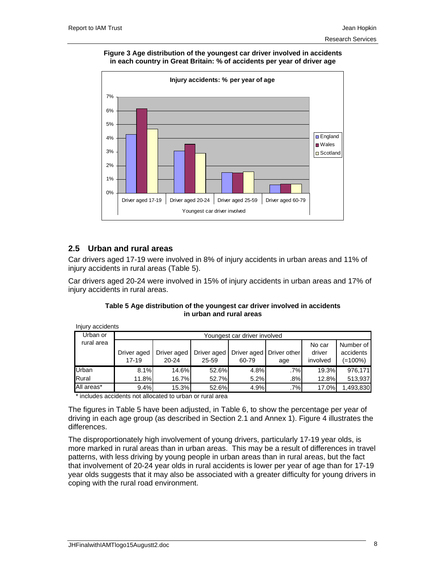### **Figure 3 Age distribution of the youngest car driver involved in accidents in each country in Great Britain: % of accidents per year of driver age**



# **2.5 Urban and rural areas**

Injury accidents

Car drivers aged 17-19 were involved in 8% of injury accidents in urban areas and 11% of injury accidents in rural areas (Table 5).

Car drivers aged 20-24 were involved in 15% of injury accidents in urban areas and 17% of injury accidents in rural areas.

| , a., assignment |                              |             |             |             |              |          |           |  |  |
|------------------|------------------------------|-------------|-------------|-------------|--------------|----------|-----------|--|--|
| Urban or         | Youngest car driver involved |             |             |             |              |          |           |  |  |
| rural area       |                              |             |             |             |              | No car   | Number of |  |  |
|                  | Driver aged                  | Driver aged | Driver aged | Driver aged | Driver other | driver   | accidents |  |  |
|                  | 17-19                        | $20 - 24$   | 25-59       | 60-79       | age          | involved | (=100%)   |  |  |
| Urban            | 8.1%                         | 14.6%       | 52.6%       | 4.8%        | $.7\%$       | 19.3%    | 976,171   |  |  |
| Rural            | 11.8%                        | 16.7%       | 52.7%       | 5.2%        | .8%          | 12.8%    | 513,937   |  |  |
| All areas*       | 9.4%                         | 15.3%       | 52.6%       | 4.9%        | $.7\%$       | 17.0%    | 1,493,830 |  |  |

### **Table 5 Age distribution of the youngest car driver involved in accidents in urban and rural areas**

includes accidents not allocated to urban or rural area

The figures in Table 5 have been adjusted, in Table 6, to show the percentage per year of driving in each age group (as described in Section 2.1 and Annex 1). Figure 4 illustrates the differences.

The disproportionately high involvement of young drivers, particularly 17-19 year olds, is more marked in rural areas than in urban areas. This may be a result of differences in travel patterns, with less driving by young people in urban areas than in rural areas, but the fact that involvement of 20-24 year olds in rural accidents is lower per year of age than for 17-19 year olds suggests that it may also be associated with a greater difficulty for young drivers in coping with the rural road environment.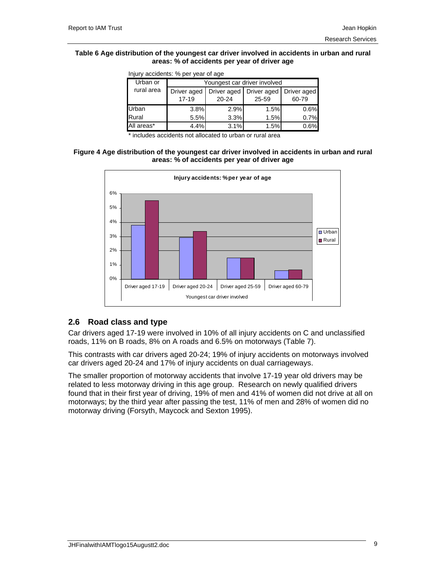### **Table 6 Age distribution of the youngest car driver involved in accidents in urban and rural areas: % of accidents per year of driver age**

| ilijuly accidents. 70 per year of age |                              |                      |                                    |       |  |  |  |
|---------------------------------------|------------------------------|----------------------|------------------------------------|-------|--|--|--|
| Urban or                              | Youngest car driver involved |                      |                                    |       |  |  |  |
| rural area                            | Driver aged<br>$17 - 19$     | Driver aged<br>20-24 | Driver aged   Driver aged<br>25-59 | 60-79 |  |  |  |
| Urban                                 | 3.8%                         | 2.9%                 | 1.5%                               | 0.6%  |  |  |  |
| Rural                                 | 5.5%                         | 3.3%                 | 1.5%                               | 0.7%  |  |  |  |
| All areas*                            | 4.4%                         | 3.1%                 | 1.5%                               | 0.6%  |  |  |  |

Injury accidents: % per year of age

\* includes accidents not allocated to urban or rural area

### **Figure 4 Age distribution of the youngest car driver involved in accidents in urban and rural areas: % of accidents per year of driver age**



## **2.6 Road class and type**

Car drivers aged 17-19 were involved in 10% of all injury accidents on C and unclassified roads, 11% on B roads, 8% on A roads and 6.5% on motorways (Table 7).

This contrasts with car drivers aged 20-24; 19% of injury accidents on motorways involved car drivers aged 20-24 and 17% of injury accidents on dual carriageways.

The smaller proportion of motorway accidents that involve 17-19 year old drivers may be related to less motorway driving in this age group. Research on newly qualified drivers found that in their first year of driving, 19% of men and 41% of women did not drive at all on motorways; by the third year after passing the test, 11% of men and 28% of women did no motorway driving (Forsyth, Maycock and Sexton 1995).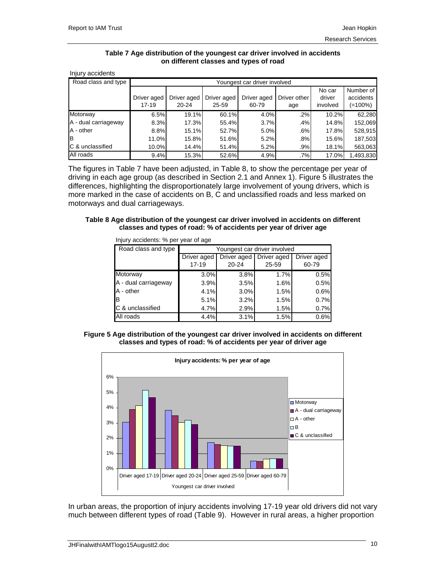### **Table 7 Age distribution of the youngest car driver involved in accidents on different classes and types of road**

| Injury accidents        |                          |                              |                          |                      |                     |                              |                                   |  |
|-------------------------|--------------------------|------------------------------|--------------------------|----------------------|---------------------|------------------------------|-----------------------------------|--|
| Road class and type     |                          | Youngest car driver involved |                          |                      |                     |                              |                                   |  |
|                         | Driver aged<br>$17 - 19$ | Driver aged<br>$20 - 24$     | Driver aged<br>$25 - 59$ | Driver aged<br>60-79 | Driver other<br>age | No car<br>driver<br>involved | Number of<br>accidents<br>(=100%) |  |
| Motorway                | 6.5%                     | 19.1%                        | 60.1%                    | 4.0%                 | .2%                 | 10.2%                        | 62,280                            |  |
| A - dual carriageway    | 8.3%                     | 17.3%                        | 55.4%                    | 3.7%                 | .4%                 | $14.8\%$                     | 152,069                           |  |
| A - other               | 8.8%                     | 15.1%                        | 52.7%                    | 5.0%                 | .6%                 | 17.8%                        | 528,915                           |  |
| Iв                      | 11.0%I                   | 15.8%                        | 51.6%                    | 5.2%                 | .8%                 | 15.6%                        | 187,503                           |  |
| <b>C</b> & unclassified | 10.0%                    | 14.4%                        | 51.4%                    | 5.2%                 | .9%                 | 18.1%                        | 563,063                           |  |
| All roads               | 9.4%                     | 15.3%                        | 52.6%                    | 4.9%                 | .7%                 | 17.0%l                       | 1,493,830                         |  |

The figures in Table 7 have been adjusted, in Table 8, to show the percentage per year of driving in each age group (as described in Section 2.1 and Annex 1). Figure 5 illustrates the differences, highlighting the disproportionately large involvement of young drivers, which is more marked in the case of accidents on B, C and unclassified roads and less marked on motorways and dual carriageways.

### **Table 8 Age distribution of the youngest car driver involved in accidents on different classes and types of road: % of accidents per year of driver age**

| Road class and type  | Youngest car driver involved |                          |                      |                      |  |  |  |
|----------------------|------------------------------|--------------------------|----------------------|----------------------|--|--|--|
|                      | Driver aged<br>$17 - 19$     | Driver aged<br>$20 - 24$ | Driver aged<br>25-59 | Driver aged<br>60-79 |  |  |  |
| Motorway             | 3.0%                         | 3.8%                     | 1.7%                 | 0.5%                 |  |  |  |
| A - dual carriageway | 3.9%                         | 3.5%                     | 1.6%                 | 0.5%                 |  |  |  |
| A - other            | 4.1%                         | 3.0%                     | 1.5%                 | 0.6%                 |  |  |  |
| IB                   | 5.1%                         | 3.2%                     | 1.5%                 | 0.7%                 |  |  |  |
| C & unclassified     | 4.7%                         | 2.9%                     | 1.5%                 | 0.7%                 |  |  |  |
| All roads            | 4.4%                         | 3.1%                     | 1.5%                 | 0.6%                 |  |  |  |

Injury accidents: % per year of age





In urban areas, the proportion of injury accidents involving 17-19 year old drivers did not vary much between different types of road (Table 9). However in rural areas, a higher proportion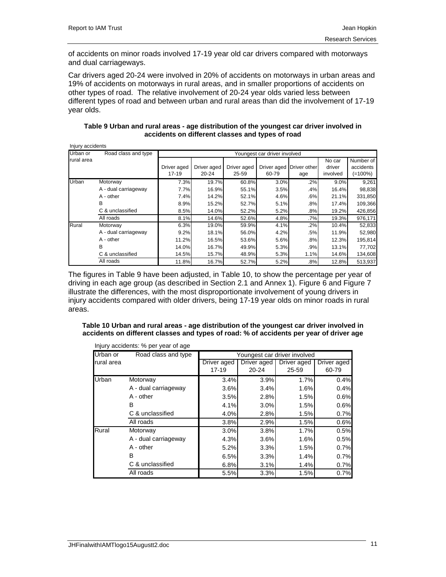of accidents on minor roads involved 17-19 year old car drivers compared with motorways and dual carriageways.

Car drivers aged 20-24 were involved in 20% of accidents on motorways in urban areas and 19% of accidents on motorways in rural areas, and in smaller proportions of accidents on other types of road. The relative involvement of 20-24 year olds varied less between different types of road and between urban and rural areas than did the involvement of 17-19 year olds.

### **Table 9 Urban and rural areas - age distribution of the youngest car driver involved in accidents on different classes and types of road**

| Injury accidents |                      |                        |                              |                      |       |                                 |                              |                                      |  |  |
|------------------|----------------------|------------------------|------------------------------|----------------------|-------|---------------------------------|------------------------------|--------------------------------------|--|--|
| Urban or         | Road class and type  |                        | Youngest car driver involved |                      |       |                                 |                              |                                      |  |  |
| rural area       |                      | Driver aged<br>$17-19$ | Driver aged<br>20-24         | Driver aged<br>25-59 | 60-79 | Driver aged Driver other<br>age | No car<br>driver<br>involved | Number of<br>accidents<br>$(=100\%)$ |  |  |
| Urban            | Motorway             | 7.3%                   | 19.7%                        | 60.8%                | 3.0%  | .2%                             | 9.0%                         | 9,261                                |  |  |
|                  | A - dual carriageway | 7.7%                   | 16.9%                        | 55.1%                | 3.5%  | .4%                             | 16.4%                        | 98,838                               |  |  |
|                  | A - other            | 7.4%                   | 14.2%                        | 52.1%                | 4.6%  | .6%                             | 21.1%                        | 331,850                              |  |  |
|                  | В                    | 8.9%                   | 15.2%                        | 52.7%                | 5.1%  | .8%                             | 17.4%                        | 109,366                              |  |  |
|                  | C & unclassified     | 8.5%                   | 14.0%                        | 52.2%                | 5.2%  | .8%                             | 19.2%                        | 426,856                              |  |  |
|                  | All roads            | 8.1%                   | 14.6%                        | 52.6%                | 4.8%  | .7%                             | 19.3%                        | 976,171                              |  |  |
| Rural            | Motorway             | 6.3%                   | 19.0%                        | 59.9%                | 4.1%  | .2%                             | 10.4%                        | 52,833                               |  |  |
|                  | A - dual carriageway | 9.2%                   | 18.1%                        | 56.0%                | 4.2%  | .5%                             | 11.9%                        | 52,980                               |  |  |
|                  | A - other            | 11.2%                  | 16.5%                        | 53.6%                | 5.6%  | .8%                             | 12.3%                        | 195,814                              |  |  |
|                  | В                    | 14.0%                  | 16.7%                        | 49.9%                | 5.3%  | .9%                             | 13.1%                        | 77,702                               |  |  |
|                  | C & unclassified     | 14.5%                  | 15.7%                        | 48.9%                | 5.3%  | 1.1%                            | 14.6%                        | 134,608                              |  |  |
|                  | All roads            | 11.8%                  | 16.7%                        | 52.7%                | 5.2%  | .8%                             | 12.8%                        | 513,937                              |  |  |

The figures in Table 9 have been adjusted, in Table 10, to show the percentage per year of driving in each age group (as described in Section 2.1 and Annex 1). Figure 6 and Figure 7 illustrate the differences, with the most disproportionate involvement of young drivers in injury accidents compared with older drivers, being 17-19 year olds on minor roads in rural areas.

### **Table 10 Urban and rural areas - age distribution of the youngest car driver involved in accidents on different classes and types of road: % of accidents per year of driver age**

|            | Injury accidents: % per year of age |                              |             |             |             |  |  |
|------------|-------------------------------------|------------------------------|-------------|-------------|-------------|--|--|
| Urban or   | Road class and type                 | Youngest car driver involved |             |             |             |  |  |
| rural area |                                     | Driver aged                  | Driver aged | Driver aged | Driver aged |  |  |
|            |                                     | $17 - 19$                    | $20 - 24$   | 25-59       | 60-79       |  |  |
| Urban      | Motorway                            | 3.4%                         | 3.9%        | 1.7%        | 0.4%        |  |  |
|            | A - dual carriageway                | 3.6%                         | 3.4%        | 1.6%        | 0.4%        |  |  |
|            | A - other                           | 3.5%                         | 2.8%        | 1.5%        | 0.6%        |  |  |
|            | B                                   | 4.1%                         | 3.0%        | 1.5%        | 0.6%        |  |  |
|            | C & unclassified                    | 4.0%                         | 2.8%        | 1.5%        | 0.7%        |  |  |
|            | All roads                           | 3.8%                         | 2.9%        | 1.5%        | 0.6%        |  |  |
| Rural      | Motorway                            | 3.0%                         | 3.8%        | 1.7%        | 0.5%        |  |  |
|            | A - dual carriageway                | 4.3%                         | 3.6%        | 1.6%        | 0.5%        |  |  |
|            | A - other                           | 5.2%                         | 3.3%        | 1.5%        | 0.7%        |  |  |
|            | B                                   | 6.5%                         | 3.3%        | 1.4%        | 0.7%        |  |  |
|            | C & unclassified                    | 6.8%                         | 3.1%        | 1.4%        | 0.7%        |  |  |
|            | All roads                           | 5.5%                         | 3.3%        | 1.5%        | 0.7%        |  |  |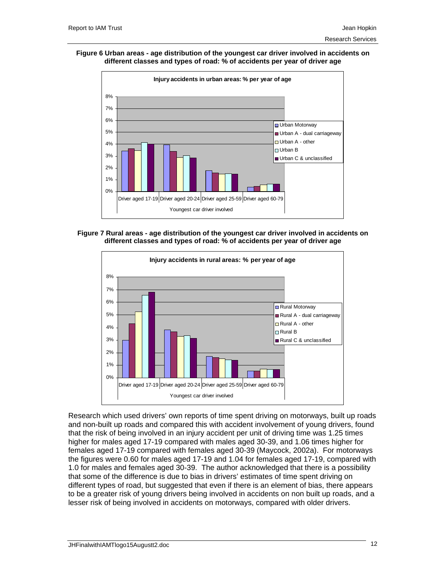#### **Figure 6 Urban areas - age distribution of the youngest car driver involved in accidents on different classes and types of road: % of accidents per year of driver age**







Research which used drivers' own reports of time spent driving on motorways, built up roads and non-built up roads and compared this with accident involvement of young drivers, found that the risk of being involved in an injury accident per unit of driving time was 1.25 times higher for males aged 17-19 compared with males aged 30-39, and 1.06 times higher for females aged 17-19 compared with females aged 30-39 (Maycock, 2002a). For motorways the figures were 0.60 for males aged 17-19 and 1.04 for females aged 17-19, compared with 1.0 for males and females aged 30-39. The author acknowledged that there is a possibility that some of the difference is due to bias in drivers' estimates of time spent driving on different types of road, but suggested that even if there is an element of bias, there appears to be a greater risk of young drivers being involved in accidents on non built up roads, and a lesser risk of being involved in accidents on motorways, compared with older drivers.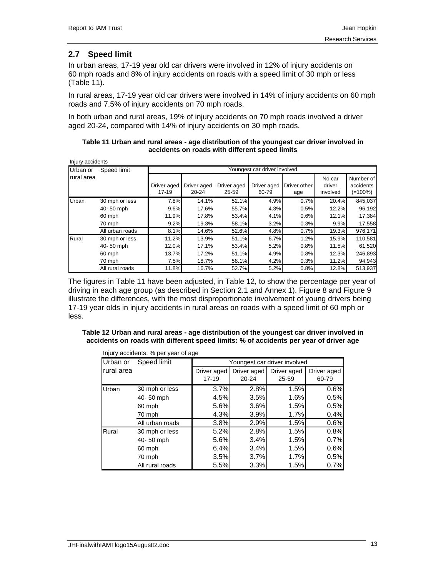# **2.7 Speed limit**

In urban areas, 17-19 year old car drivers were involved in 12% of injury accidents on 60 mph roads and 8% of injury accidents on roads with a speed limit of 30 mph or less (Table 11).

In rural areas, 17-19 year old car drivers were involved in 14% of injury accidents on 60 mph roads and 7.5% of injury accidents on 70 mph roads.

In both urban and rural areas, 19% of injury accidents on 70 mph roads involved a driver aged 20-24, compared with 14% of injury accidents on 30 mph roads.

| Table 11 Urban and rural areas - age distribution of the youngest car driver involved in |
|------------------------------------------------------------------------------------------|
| accidents on roads with different speed limits                                           |

| Injury accidents  |                 |                              |                          |                      |                      |                     |                              |                                      |  |  |
|-------------------|-----------------|------------------------------|--------------------------|----------------------|----------------------|---------------------|------------------------------|--------------------------------------|--|--|
| Urban or          | Speed limit     | Youngest car driver involved |                          |                      |                      |                     |                              |                                      |  |  |
| <b>rural</b> area |                 | Driver aged<br>$17-19$       | Driver aged<br>$20 - 24$ | Driver aged<br>25-59 | Driver aged<br>60-79 | Driver other<br>age | No car<br>driver<br>involved | Number of<br>accidents<br>$(=100\%)$ |  |  |
| Urban             | 30 mph or less  | 7.8%                         | 14.1%                    | 52.1%                | 4.9%                 | 0.7%                | 20.4%                        | 845,037                              |  |  |
|                   | 40-50 mph       | 9.6%                         | 17.6%                    | 55.7%                | 4.3%                 | 0.5%                | 12.2%                        | 96,192                               |  |  |
|                   | 60 mph          | 11.9%                        | 17.8%                    | 53.4%                | 4.1%                 | 0.6%                | 12.1%                        | 17,384                               |  |  |
|                   | 70 mph          | 9.2%                         | 19.3%                    | 58.1%                | 3.2%                 | 0.3%                | 9.9%                         | 17,558                               |  |  |
|                   | All urban roads | 8.1%                         | 14.6%                    | 52.6%                | 4.8%                 | 0.7%                | 19.3%                        | 976,171                              |  |  |
| Rural             | 30 mph or less  | 11.2%                        | 13.9%                    | 51.1%                | 6.7%                 | 1.2%                | 15.9%                        | 110,581                              |  |  |
|                   | 40-50 mph       | 12.0%                        | 17.1%                    | 53.4%                | 5.2%                 | 0.8%                | 11.5%                        | 61,520                               |  |  |
|                   | 60 mph          | 13.7%                        | 17.2%                    | 51.1%                | 4.9%                 | 0.8%                | 12.3%                        | 246,893                              |  |  |
|                   | 70 mph          | 7.5%                         | 18.7%                    | 58.1%                | 4.2%                 | 0.3%                | 11.2%                        | 94,943                               |  |  |
|                   | All rural roads | 11.8%                        | 16.7%                    | 52.7%                | 5.2%                 | 0.8%                | 12.8%                        | 513,937                              |  |  |

The figures in Table 11 have been adjusted, in Table 12, to show the percentage per year of driving in each age group (as described in Section 2.1 and Annex 1). Figure 8 and Figure 9 illustrate the differences, with the most disproportionate involvement of young drivers being 17-19 year olds in injury accidents in rural areas on roads with a speed limit of 60 mph or less.

### **Table 12 Urban and rural areas - age distribution of the youngest car driver involved in accidents on roads with different speed limits: % of accidents per year of driver age**

|            | Injury accidents: % per year of age |                              |                          |                      |                      |  |  |  |
|------------|-------------------------------------|------------------------------|--------------------------|----------------------|----------------------|--|--|--|
| Urban or   | Speed limit                         | Youngest car driver involved |                          |                      |                      |  |  |  |
| rural area |                                     | Driver aged<br>$17 - 19$     | Driver aged<br>$20 - 24$ | Driver aged<br>25-59 | Driver aged<br>60-79 |  |  |  |
| Urban      | 30 mph or less                      | 3.7%                         | 2.8%                     | 1.5%                 | 0.6%                 |  |  |  |
|            | 40-50 mph                           | 4.5%                         | 3.5%                     | 1.6%                 | 0.5%                 |  |  |  |
|            | 60 mph                              | 5.6%                         | 3.6%                     | 1.5%                 | 0.5%                 |  |  |  |
|            | 70 mph                              | 4.3%                         | 3.9%                     | 1.7%                 | 0.4%                 |  |  |  |
|            | All urban roads                     | 3.8%                         | 2.9%                     | 1.5%                 | 0.6%                 |  |  |  |
| Rural      | 30 mph or less                      | 5.2%                         | 2.8%                     | 1.5%                 | 0.8%                 |  |  |  |
|            | 40-50 mph                           | 5.6%                         | 3.4%                     | 1.5%                 | 0.7%                 |  |  |  |
|            | 60 mph                              | 6.4%                         | 3.4%                     | 1.5%                 | 0.6%                 |  |  |  |
|            | 70 mph                              | 3.5%                         | 3.7%                     | 1.7%                 | 0.5%                 |  |  |  |
|            | All rural roads                     | 5.5%                         | 3.3%                     | 1.5%                 | 0.7%                 |  |  |  |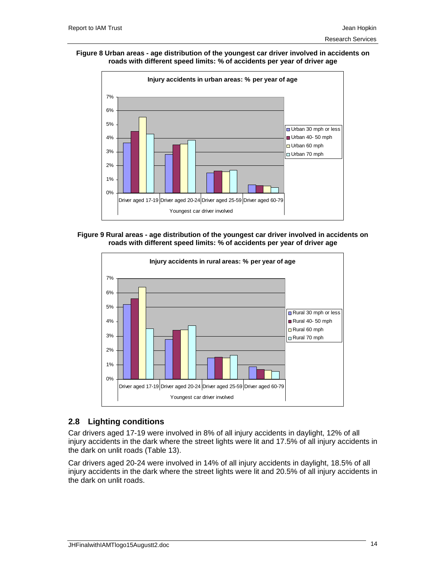#### **Figure 8 Urban areas - age distribution of the youngest car driver involved in accidents on roads with different speed limits: % of accidents per year of driver age**



### **Figure 9 Rural areas - age distribution of the youngest car driver involved in accidents on roads with different speed limits: % of accidents per year of driver age**



## **2.8 Lighting conditions**

Car drivers aged 17-19 were involved in 8% of all injury accidents in daylight, 12% of all injury accidents in the dark where the street lights were lit and 17.5% of all injury accidents in the dark on unlit roads (Table 13).

Car drivers aged 20-24 were involved in 14% of all injury accidents in daylight, 18.5% of all injury accidents in the dark where the street lights were lit and 20.5% of all injury accidents in the dark on unlit roads.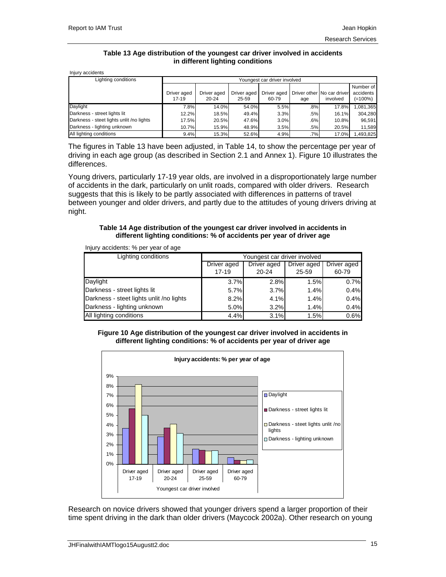### **Table 13 Age distribution of the youngest car driver involved in accidents in different lighting conditions**

Injury accidents

| Lighting conditions                      | Youngest car driver involved |             |             |             |        |                            |            |
|------------------------------------------|------------------------------|-------------|-------------|-------------|--------|----------------------------|------------|
|                                          |                              |             |             |             |        |                            | Number of  |
|                                          | Driver aged                  | Driver aged | Driver aged | Driver aged |        | Driver other No car driver | accidents  |
|                                          | $17-19$                      | 20-24       | 25-59       | 60-79       | age    | involved                   | $(=100\%)$ |
| Daylight                                 | 7.8%                         | 14.0%       | 54.0%       | 5.5%        | .8%    | 17.8%                      | 1,081,365  |
| Darkness - street lights lit             | 12.2%                        | 18.5%       | 49.4%       | 3.3%        | .5%    | 16.1%                      | 304.280    |
| Darkness - steet lights unlit /no lights | 17.5%                        | 20.5%       | 47.6%       | 3.0%        | .6%    | 10.8%                      | 96.591     |
| Darkness - lighting unknown              | 10.7%                        | 15.9%       | 48.9%       | 3.5%        | .5%    | 20.5%                      | 11,589     |
| All lighting conditions                  | 9.4%                         | 15.3%       | 52.6%       | 4.9%        | $.7\%$ | 17.0%                      | ,493,825   |

The figures in Table 13 have been adjusted, in Table 14, to show the percentage per year of driving in each age group (as described in Section 2.1 and Annex 1). Figure 10 illustrates the differences.

Young drivers, particularly 17-19 year olds, are involved in a disproportionately large number of accidents in the dark, particularly on unlit roads, compared with older drivers. Research suggests that this is likely to be partly associated with differences in patterns of travel between younger and older drivers, and partly due to the attitudes of young drivers driving at night.

### **Table 14 Age distribution of the youngest car driver involved in accidents in different lighting conditions: % of accidents per year of driver age**

| injury accidents. 70 pci year or age     |                                           |           |       |             |  |  |  |  |
|------------------------------------------|-------------------------------------------|-----------|-------|-------------|--|--|--|--|
| Lighting conditions                      | Youngest car driver involved              |           |       |             |  |  |  |  |
|                                          | Driver aged<br>Driver aged<br>Driver aged |           |       | Driver aged |  |  |  |  |
|                                          | $17 - 19$                                 | $20 - 24$ | 25-59 | 60-79       |  |  |  |  |
| Daylight                                 | 3.7%                                      | 2.8%      | 1.5%  | 0.7%        |  |  |  |  |
| Darkness - street lights lit             | 5.7%                                      | 3.7%      | 1.4%  | 0.4%        |  |  |  |  |
| Darkness - steet lights unlit /no lights | 8.2%                                      | 4.1%      | 1.4%  | 0.4%        |  |  |  |  |
| Darkness - lighting unknown              | 5.0%                                      | 3.2%      | 1.4%  | 0.4%        |  |  |  |  |
| All lighting conditions                  | 4.4%                                      | 3.1%      | 1.5%  | 0.6%        |  |  |  |  |

Injury accidents: % per year of age

### **Figure 10 Age distribution of the youngest car driver involved in accidents in different lighting conditions: % of accidents per year of driver age**



Research on novice drivers showed that younger drivers spend a larger proportion of their time spent driving in the dark than older drivers (Maycock 2002a). Other research on young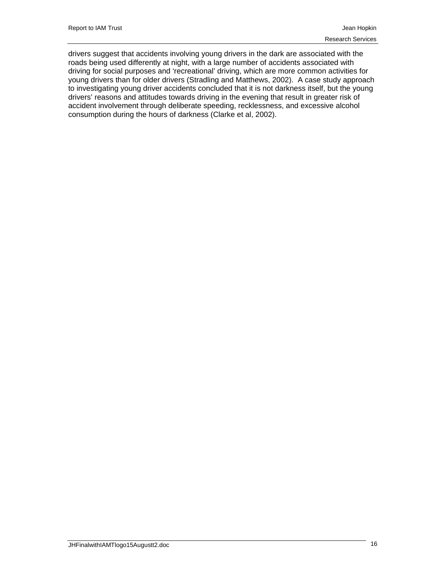drivers suggest that accidents involving young drivers in the dark are associated with the roads being used differently at night, with a large number of accidents associated with driving for social purposes and 'recreational' driving, which are more common activities for young drivers than for older drivers (Stradling and Matthews, 2002). A case study approach to investigating young driver accidents concluded that it is not darkness itself, but the young drivers' reasons and attitudes towards driving in the evening that result in greater risk of accident involvement through deliberate speeding, recklessness, and excessive alcohol consumption during the hours of darkness (Clarke et al, 2002).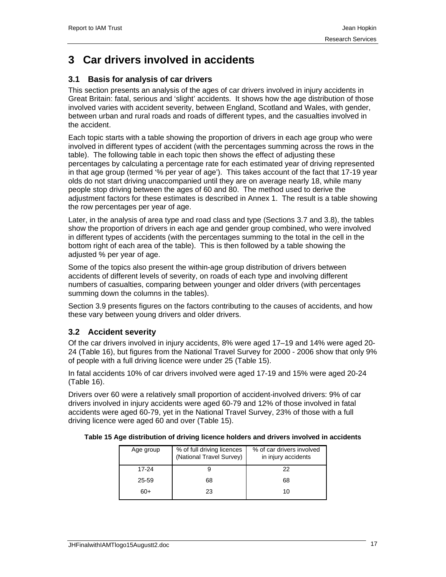# **3 Car drivers involved in accidents**

# **3.1 Basis for analysis of car drivers**

This section presents an analysis of the ages of car drivers involved in injury accidents in Great Britain: fatal, serious and 'slight' accidents. It shows how the age distribution of those involved varies with accident severity, between England, Scotland and Wales, with gender, between urban and rural roads and roads of different types, and the casualties involved in the accident.

Each topic starts with a table showing the proportion of drivers in each age group who were involved in different types of accident (with the percentages summing across the rows in the table). The following table in each topic then shows the effect of adjusting these percentages by calculating a percentage rate for each estimated year of driving represented in that age group (termed '% per year of age'). This takes account of the fact that 17-19 year olds do not start driving unaccompanied until they are on average nearly 18, while many people stop driving between the ages of 60 and 80. The method used to derive the adjustment factors for these estimates is described in Annex 1. The result is a table showing the row percentages per year of age.

Later, in the analysis of area type and road class and type (Sections 3.7 and 3.8), the tables show the proportion of drivers in each age and gender group combined, who were involved in different types of accidents (with the percentages summing to the total in the cell in the bottom right of each area of the table). This is then followed by a table showing the adjusted % per year of age.

Some of the topics also present the within-age group distribution of drivers between accidents of different levels of severity, on roads of each type and involving different numbers of casualties, comparing between younger and older drivers (with percentages summing down the columns in the tables).

Section 3.9 presents figures on the factors contributing to the causes of accidents, and how these vary between young drivers and older drivers.

# **3.2 Accident severity**

Of the car drivers involved in injury accidents, 8% were aged 17–19 and 14% were aged 20- 24 (Table 16), but figures from the National Travel Survey for 2000 - 2006 show that only 9% of people with a full driving licence were under 25 (Table 15).

In fatal accidents 10% of car drivers involved were aged 17-19 and 15% were aged 20-24 (Table 16).

Drivers over 60 were a relatively small proportion of accident-involved drivers: 9% of car drivers involved in injury accidents were aged 60-79 and 12% of those involved in fatal accidents were aged 60-79, yet in the National Travel Survey, 23% of those with a full driving licence were aged 60 and over (Table 15).

| Table 15 Age distribution of driving licence holders and drivers involved in accidents |
|----------------------------------------------------------------------------------------|
|----------------------------------------------------------------------------------------|

| Age group | % of full driving licences<br>(National Travel Survey) | % of car drivers involved<br>in injury accidents |
|-----------|--------------------------------------------------------|--------------------------------------------------|
| 17-24     |                                                        | 22                                               |
| 25-59     | 68                                                     | 68                                               |
| 60+       | 23                                                     | 10                                               |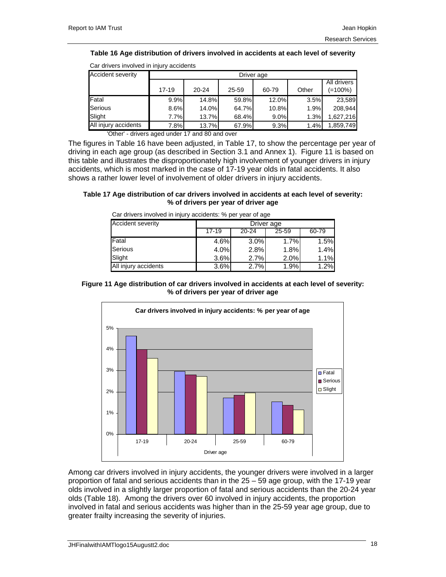### **Table 16 Age distribution of drivers involved in accidents at each level of severity**

| <u>Uar anvoio involvoa in injary abolaonto</u> |            |                                           |       |       |       |                        |  |  |  |
|------------------------------------------------|------------|-------------------------------------------|-------|-------|-------|------------------------|--|--|--|
| Accident severity                              | Driver age |                                           |       |       |       |                        |  |  |  |
|                                                | $17 - 19$  | $20 - 24$                                 | 25-59 | 60-79 | Other | All drivers<br>(=100%) |  |  |  |
| Fatal                                          | 9.9%       | 14.8%                                     | 59.8% | 12.0% | 3.5%  | 23,589                 |  |  |  |
| Serious                                        | 8.6%       | 14.0%                                     | 64.7% | 10.8% | 1.9%  | 208.944                |  |  |  |
| Slight                                         | 7.7%       | 13.7%                                     | 68.4% | 9.0%  | 1.3%  | 1,627,216              |  |  |  |
| All injury accidents                           | 7.8%       | 13.7%                                     | 67.9% | 9.3%  | 1.4%  | 1,859,749              |  |  |  |
|                                                |            | $\sim$ $\sim$<br>$\overline{\phantom{0}}$ |       |       |       |                        |  |  |  |

Car drivers involved in injury accidents

'Other' - drivers aged under 17 and 80 and over

The figures in Table 16 have been adjusted, in Table 17, to show the percentage per year of driving in each age group (as described in Section 3.1 and Annex 1). Figure 11 is based on this table and illustrates the disproportionately high involvement of younger drivers in injury accidents, which is most marked in the case of 17-19 year olds in fatal accidents. It also shows a rather lower level of involvement of older drivers in injury accidents.

### **Table 17 Age distribution of car drivers involved in accidents at each level of severity: % of drivers per year of driver age**

| <b>Accident severity</b> | Driver age |           |       |       |  |  |
|--------------------------|------------|-----------|-------|-------|--|--|
|                          | $17 - 19$  | $20 - 24$ | 25-59 | 60-79 |  |  |
| <b>IFatal</b>            | 4.6%       | 3.0%      | 1.7%  | 1.5%  |  |  |
| Serious                  | 4.0%       | 2.8%      | 1.8%  | 1.4%  |  |  |
| Slight                   | 3.6%       | 2.7%      | 2.0%  | 1.1%  |  |  |
| All injury accidents     | 3.6%       | 2.7%      | 1.9%  | 1.2%  |  |  |

### Car drivers involved in injury accidents: % per year of age

### **Figure 11 Age distribution of car drivers involved in accidents at each level of severity: % of drivers per year of driver age**



Among car drivers involved in injury accidents, the younger drivers were involved in a larger proportion of fatal and serious accidents than in the 25 – 59 age group, with the 17-19 year olds involved in a slightly larger proportion of fatal and serious accidents than the 20-24 year olds (Table 18). Among the drivers over 60 involved in injury accidents, the proportion involved in fatal and serious accidents was higher than in the 25-59 year age group, due to greater frailty increasing the severity of injuries.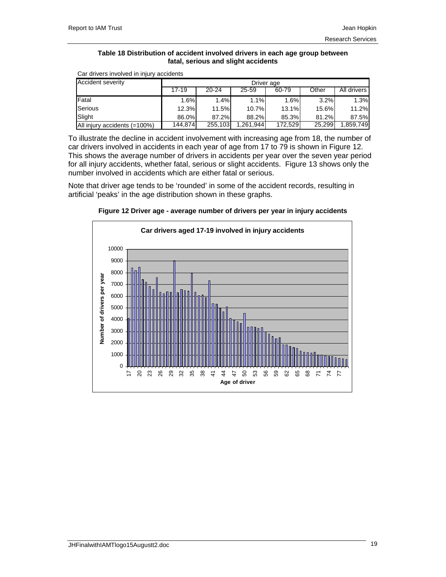### **Table 18 Distribution of accident involved drivers in each age group between fatal, serious and slight accidents**

| <b>Accident severity</b>     | Driver age |           |          |         |        |             |  |
|------------------------------|------------|-----------|----------|---------|--------|-------------|--|
|                              | 17-19      | $20 - 24$ | 25-59    | 60-79   | Other  | All drivers |  |
| Fatal                        | 1.6%       | 1.4%      | 1.1%     | 1.6%    | 3.2%   | 1.3%        |  |
| <b>Serious</b>               | 12.3%      | 11.5%     | 10.7%    | 13.1%   | 15.6%  | $11.2\%$    |  |
| Slight                       | 86.0%      | 87.2%     | 88.2%    | 85.3%   | 81.2%  | 87.5%       |  |
| All injury accidents (=100%) | 144.874    | 255,103   | .261.944 | 172,529 | 25.299 | .859,749    |  |

Car drivers involved in injury accidents

To illustrate the decline in accident involvement with increasing age from 18, the number of car drivers involved in accidents in each year of age from 17 to 79 is shown in Figure 12. This shows the average number of drivers in accidents per year over the seven year period for all injury accidents, whether fatal, serious or slight accidents. Figure 13 shows only the number involved in accidents which are either fatal or serious.

Note that driver age tends to be 'rounded' in some of the accident records, resulting in artificial 'peaks' in the age distribution shown in these graphs.



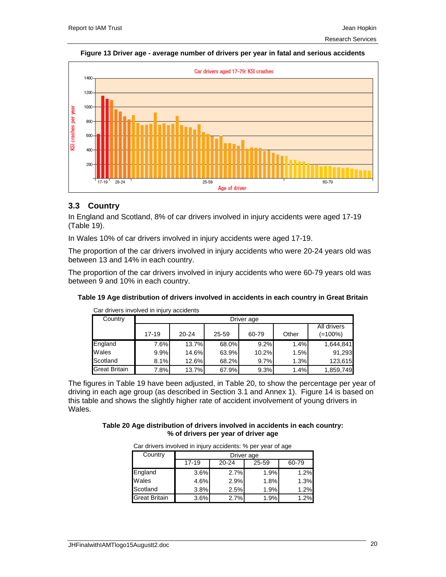### **Figure 13 Driver age - average number of drivers per year in fatal and serious accidents**



## **3.3 Country**

In England and Scotland, 8% of car drivers involved in injury accidents were aged 17-19 (Table 19).

In Wales 10% of car drivers involved in injury accidents were aged 17-19.

The proportion of the car drivers involved in injury accidents who were 20-24 years old was between 13 and 14% in each country.

The proportion of the car drivers involved in injury accidents who were 60-79 years old was between 9 and 10% in each country.

| Car drivers involved in injury accidents |           |            |       |       |       |                           |  |  |  |
|------------------------------------------|-----------|------------|-------|-------|-------|---------------------------|--|--|--|
| Country                                  |           | Driver age |       |       |       |                           |  |  |  |
|                                          | $17 - 19$ | $20 - 24$  | 25-59 | 60-79 | Other | All drivers<br>$(=100\%)$ |  |  |  |
| England                                  | 7.6%      | 13.7%      | 68.0% | 9.2%  | 1.4%  | 1,644,841                 |  |  |  |
| Wales                                    | 9.9%      | 14.6%      | 63.9% | 10.2% | 1.5%  | 91,293                    |  |  |  |
| Scotland                                 | 8.1%      | 12.6%      | 68.2% | 9.7%  | 1.3%  | 123,615                   |  |  |  |
| <b>Great Britain</b>                     | 7.8%      | 13.7%      | 67.9% | 9.3%  | 1.4%  | 1,859,749                 |  |  |  |

**Table 19 Age distribution of drivers involved in accidents in each country in Great Britain** 

The figures in Table 19 have been adjusted, in Table 20, to show the percentage per year of driving in each age group (as described in Section 3.1 and Annex 1). Figure 14 is based on this table and shows the slightly higher rate of accident involvement of young drivers in Wales.

### **Table 20 Age distribution of drivers involved in accidents in each country: % of drivers per year of driver age**

| <b>Part and Printers of the United States and Contract of Castle and Contract Contract Contract Contract Contract</b> |            |       |       |       |  |  |  |  |
|-----------------------------------------------------------------------------------------------------------------------|------------|-------|-------|-------|--|--|--|--|
| Country                                                                                                               | Driver age |       |       |       |  |  |  |  |
|                                                                                                                       | $17 - 19$  | 20-24 | 25-59 | 60-79 |  |  |  |  |
| England                                                                                                               | 3.6%       | 2.7%  | 1.9%  | 1.2%  |  |  |  |  |
| Wales                                                                                                                 | 4.6%       | 2.9%  | 1.8%  | 1.3%  |  |  |  |  |
| Scotland                                                                                                              | 3.8%       | 2.5%  | 1.9%  | 1.2%  |  |  |  |  |
| <b>Great Britain</b>                                                                                                  | 3.6%       | 2.7%  | 1.9%  | 1.2%  |  |  |  |  |

Car drivers involved in injury accidents: % per year of age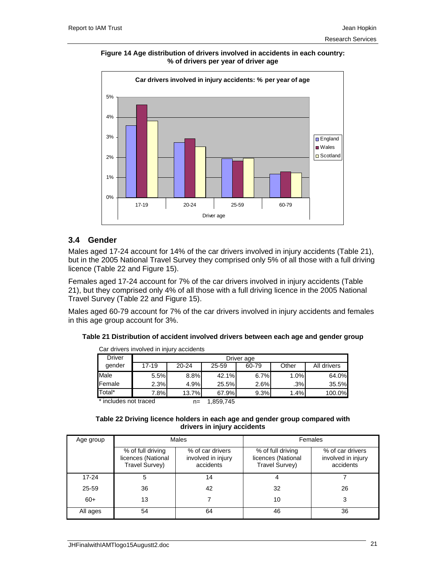**Figure 14 Age distribution of drivers involved in accidents in each country: % of drivers per year of driver age** 



### **3.4 Gender**

Males aged 17-24 account for 14% of the car drivers involved in injury accidents (Table 21), but in the 2005 National Travel Survey they comprised only 5% of all those with a full driving licence (Table 22 and Figure 15).

Females aged 17-24 account for 7% of the car drivers involved in injury accidents (Table 21), but they comprised only 4% of all those with a full driving licence in the 2005 National Travel Survey (Table 22 and Figure 15).

Males aged 60-79 account for 7% of the car drivers involved in injury accidents and females in this age group account for 3%.

**Table 21 Distribution of accident involved drivers between each age and gender group** 

| <u>oui universitive in muuttuve maailmas</u> |            |           |          |       |        |             |  |  |
|----------------------------------------------|------------|-----------|----------|-------|--------|-------------|--|--|
| Driver                                       | Driver age |           |          |       |        |             |  |  |
| gender                                       | 17-19      | $20 - 24$ | 25-59    | 60-79 | Other  | All drivers |  |  |
| Male                                         | 5.5%       | 8.8%      | 42.1%    | 6.7%  | 1.0%   | 64.0%       |  |  |
| Female                                       | 2.3%       | 4.9%      | 25.5%    | 2.6%  | $.3\%$ | 35.5%       |  |  |
| Total*                                       | 7.8%       | 13.7%     | 67.9%    | 9.3%  | 1.4%   | 100.0%      |  |  |
| * includes not traced                        |            | $n-$      | 1.050715 |       |        |             |  |  |

Car drivers involved in injury accidents

includes not traced

n= 1,859,745

| Table 22 Driving licence holders in each age and gender group compared with |
|-----------------------------------------------------------------------------|
| drivers in injury accidents                                                 |

| Age group |                                                           | Males                                               | Females                                                   |                                                     |  |
|-----------|-----------------------------------------------------------|-----------------------------------------------------|-----------------------------------------------------------|-----------------------------------------------------|--|
|           | % of full driving<br>licences (National<br>Travel Survey) | % of car drivers<br>involved in injury<br>accidents | % of full driving<br>licences (National<br>Travel Survey) | % of car drivers<br>involved in injury<br>accidents |  |
| $17 - 24$ | 5                                                         | 14                                                  | 4                                                         |                                                     |  |
| 25-59     | 36                                                        | 42                                                  | 32                                                        | 26                                                  |  |
| $60+$     | 13                                                        |                                                     | 10                                                        | 3                                                   |  |
| All ages  | 54                                                        | 64                                                  | 46                                                        | 36                                                  |  |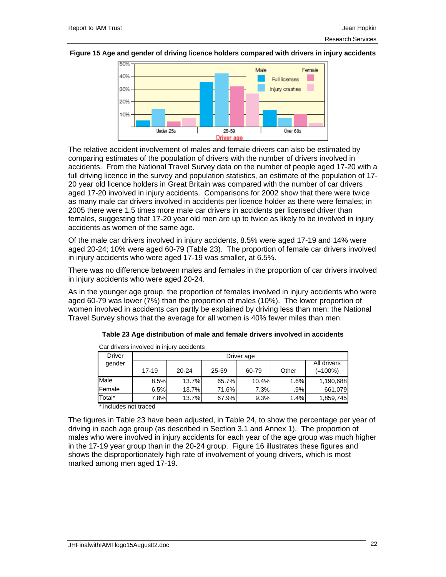### **Figure 15 Age and gender of driving licence holders compared with drivers in injury accidents**



The relative accident involvement of males and female drivers can also be estimated by comparing estimates of the population of drivers with the number of drivers involved in accidents. From the National Travel Survey data on the number of people aged 17-20 with a full driving licence in the survey and population statistics, an estimate of the population of 17- 20 year old licence holders in Great Britain was compared with the number of car drivers aged 17-20 involved in injury accidents. Comparisons for 2002 show that there were twice as many male car drivers involved in accidents per licence holder as there were females; in 2005 there were 1.5 times more male car drivers in accidents per licensed driver than females, suggesting that 17-20 year old men are up to twice as likely to be involved in injury accidents as women of the same age.

Of the male car drivers involved in injury accidents, 8.5% were aged 17-19 and 14% were aged 20-24; 10% were aged 60-79 (Table 23). The proportion of female car drivers involved in injury accidents who were aged 17-19 was smaller, at 6.5%.

There was no difference between males and females in the proportion of car drivers involved in injury accidents who were aged 20-24.

As in the younger age group, the proportion of females involved in injury accidents who were aged 60-79 was lower (7%) than the proportion of males (10%). The lower proportion of women involved in accidents can partly be explained by driving less than men: the National Travel Survey shows that the average for all women is 40% fewer miles than men.

| Car drivers involved in injury accidents |           |             |       |       |       |            |  |  |
|------------------------------------------|-----------|-------------|-------|-------|-------|------------|--|--|
| <b>Driver</b>                            |           | Driver age  |       |       |       |            |  |  |
| gender                                   |           | All drivers |       |       |       |            |  |  |
|                                          | $17 - 19$ | $20 - 24$   | 25-59 | 60-79 | Other | $(=100\%)$ |  |  |
| Male                                     | 8.5%      | 13.7%       | 65.7% | 10.4% | 1.6%  | 1,190,688  |  |  |
| Female                                   | 6.5%      | 13.7%       | 71.6% | 7.3%  | .9%   | 661,079    |  |  |
| Total*                                   | 7.8%      | 13.7%       | 67.9% | 9.3%  | 1.4%  | 1,859,745  |  |  |

| Table 23 Age distribution of male and female drivers involved in accidents |  |
|----------------------------------------------------------------------------|--|
|----------------------------------------------------------------------------|--|

\* includes not traced

The figures in Table 23 have been adjusted, in Table 24, to show the percentage per year of driving in each age group (as described in Section 3.1 and Annex 1). The proportion of males who were involved in injury accidents for each year of the age group was much higher in the 17-19 year group than in the 20-24 group. Figure 16 illustrates these figures and shows the disproportionately high rate of involvement of young drivers, which is most marked among men aged 17-19.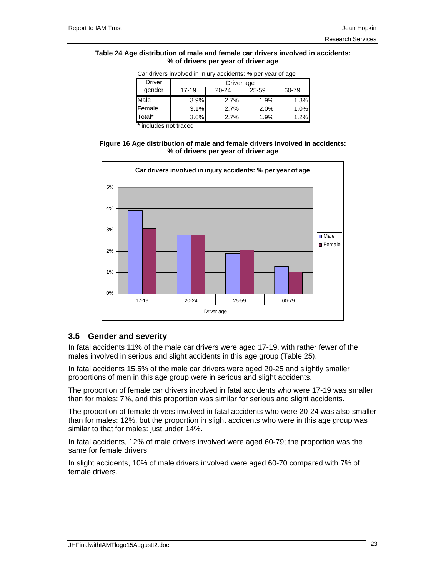### **Table 24 Age distribution of male and female car drivers involved in accidents: % of drivers per year of driver age**

| <u>Udi ulivulo ilivulvud ili ililary addidulito. 70 pul yudi ulidad</u> |            |       |       |       |  |  |  |  |
|-------------------------------------------------------------------------|------------|-------|-------|-------|--|--|--|--|
| <b>Driver</b>                                                           | Driver age |       |       |       |  |  |  |  |
| gender                                                                  | $17 - 19$  | 20-24 | 25-59 | 60-79 |  |  |  |  |
| Male                                                                    | 3.9%       | 2.7%  | 1.9%  | 1.3%  |  |  |  |  |
| <b>IFemale</b>                                                          | 3.1%       | 2.7%  | 2.0%  | 1.0%  |  |  |  |  |
| Total*                                                                  | 3.6%       | 2.7%  | 1.9%  | 1.2%  |  |  |  |  |

Car drivers involved in injury accidents: % per year of age

\* includes not traced

**Figure 16 Age distribution of male and female drivers involved in accidents: % of drivers per year of driver age** 



## **3.5 Gender and severity**

In fatal accidents 11% of the male car drivers were aged 17-19, with rather fewer of the males involved in serious and slight accidents in this age group (Table 25).

In fatal accidents 15.5% of the male car drivers were aged 20-25 and slightly smaller proportions of men in this age group were in serious and slight accidents.

The proportion of female car drivers involved in fatal accidents who were 17-19 was smaller than for males: 7%, and this proportion was similar for serious and slight accidents.

The proportion of female drivers involved in fatal accidents who were 20-24 was also smaller than for males: 12%, but the proportion in slight accidents who were in this age group was similar to that for males: just under 14%.

In fatal accidents, 12% of male drivers involved were aged 60-79; the proportion was the same for female drivers.

In slight accidents, 10% of male drivers involved were aged 60-70 compared with 7% of female drivers.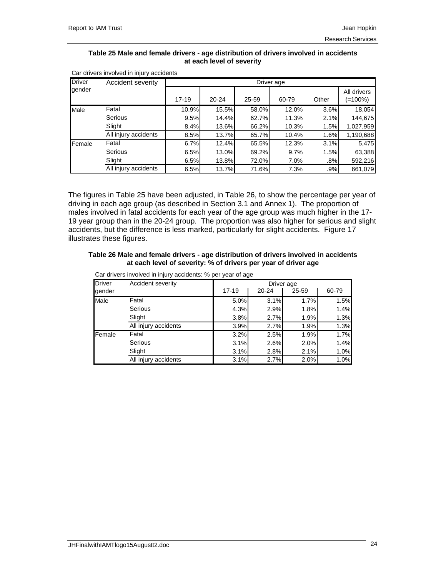### **Table 25 Male and female drivers - age distribution of drivers involved in accidents at each level of severity**

| <b>Driver</b> | Accident severity    |           |       |       | Driver age |       |                        |  |  |
|---------------|----------------------|-----------|-------|-------|------------|-------|------------------------|--|--|
| gender        |                      | $17 - 19$ | 20-24 | 25-59 | 60-79      | Other | All drivers<br>(=100%) |  |  |
| Male          | Fatal                | 10.9%     | 15.5% | 58.0% | 12.0%      | 3.6%  | 18,054                 |  |  |
|               | Serious              | 9.5%      | 14.4% | 62.7% | 11.3%      | 2.1%  | 144,675                |  |  |
|               | Slight               | 8.4%      | 13.6% | 66.2% | 10.3%      | 1.5%  | 1,027,959              |  |  |
|               | All injury accidents | 8.5%      | 13.7% | 65.7% | 10.4%      | 1.6%  | 1,190,688              |  |  |
| Female        | Fatal                | 6.7%      | 12.4% | 65.5% | 12.3%      | 3.1%  | 5,475                  |  |  |
|               | Serious              | 6.5%      | 13.0% | 69.2% | 9.7%       | 1.5%  | 63,388                 |  |  |
|               | Slight               | 6.5%      | 13.8% | 72.0% | 7.0%       | .8%   | 592,216                |  |  |
|               | All injury accidents | 6.5%      | 13.7% | 71.6% | 7.3%       | .9%   | 661,079                |  |  |

Car drivers involved in injury accidents

The figures in Table 25 have been adjusted, in Table 26, to show the percentage per year of driving in each age group (as described in Section 3.1 and Annex 1). The proportion of males involved in fatal accidents for each year of the age group was much higher in the 17- 19 year group than in the 20-24 group. The proportion was also higher for serious and slight accidents, but the difference is less marked, particularly for slight accidents. Figure 17 illustrates these figures.

### **Table 26 Male and female drivers - age distribution of drivers involved in accidents at each level of severity: % of drivers per year of driver age**

| <b>Driver</b> | Accident severity    |       |       | Driver age |       |
|---------------|----------------------|-------|-------|------------|-------|
| gender        |                      | 17-19 | 20-24 | 25-59      | 60-79 |
| Male          | Fatal                | 5.0%  | 3.1%  | 1.7%       | 1.5%  |
|               | Serious              | 4.3%  | 2.9%  | 1.8%       | 1.4%  |
|               | Slight               | 3.8%  | 2.7%  | 1.9%       | 1.3%  |
|               | All injury accidents | 3.9%  | 2.7%  | 1.9%       | 1.3%  |
| Female        | Fatal                | 3.2%  | 2.5%  | 1.9%       | 1.7%  |
|               | Serious              | 3.1%  | 2.6%  | 2.0%       | 1.4%  |
|               | Slight               | 3.1%  | 2.8%  | 2.1%       | 1.0%  |
|               | All injury accidents | 3.1%  | 2.7%  | 2.0%       | 1.0%  |

Car drivers involved in injury accidents: % per year of age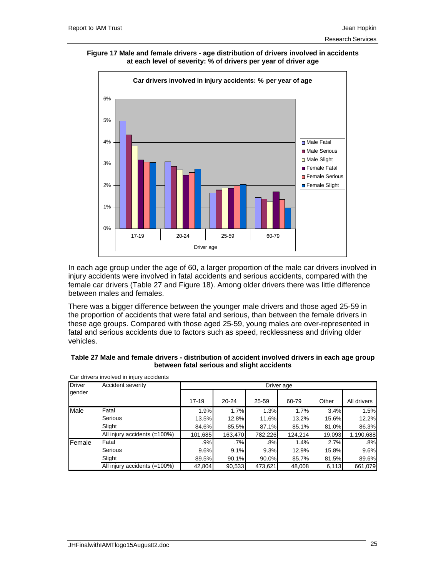**Figure 17 Male and female drivers - age distribution of drivers involved in accidents at each level of severity: % of drivers per year of driver age** 



In each age group under the age of 60, a larger proportion of the male car drivers involved in injury accidents were involved in fatal accidents and serious accidents, compared with the female car drivers (Table 27 and Figure 18). Among older drivers there was little difference between males and females.

There was a bigger difference between the younger male drivers and those aged 25-59 in the proportion of accidents that were fatal and serious, than between the female drivers in these age groups. Compared with those aged 25-59, young males are over-represented in fatal and serious accidents due to factors such as speed, recklessness and driving older vehicles.

| Table 27 Male and female drivers - distribution of accident involved drivers in each age group |
|------------------------------------------------------------------------------------------------|
| between fatal serious and slight accidents                                                     |

| <b>Driver</b> | Accident severity            |           |         |         | Driver age |        |             |
|---------------|------------------------------|-----------|---------|---------|------------|--------|-------------|
| gender        |                              |           |         |         |            |        |             |
|               |                              | $17 - 19$ | 20-24   | 25-59   | 60-79      | Other  | All drivers |
| Male          | Fatal                        | 1.9%      | 1.7%    | 1.3%    | 1.7%       | 3.4%   | 1.5%        |
|               | Serious                      | 13.5%     | 12.8%   | 11.6%   | 13.2%      | 15.6%  | 12.2%       |
|               | Slight                       | 84.6%     | 85.5%   | 87.1%   | 85.1%      | 81.0%  | 86.3%       |
|               | All injury accidents (=100%) | 101,685   | 163,470 | 782,226 | 124,214    | 19,093 | 1,190,688   |
| Female        | Fatal                        | .9%       | .7%     | .8%     | 1.4%       | 2.7%   | .8%         |
|               | Serious                      | 9.6%      | 9.1%    | 9.3%    | 12.9%      | 15.8%  | 9.6%        |
|               | Slight                       | 89.5%     | 90.1%   | 90.0%   | 85.7%      | 81.5%  | 89.6%       |
|               | All injury accidents (=100%) | 42,804    | 90,533  | 473,621 | 48,008     | 6,113  | 661,079     |

Car drivers involved in injury accidents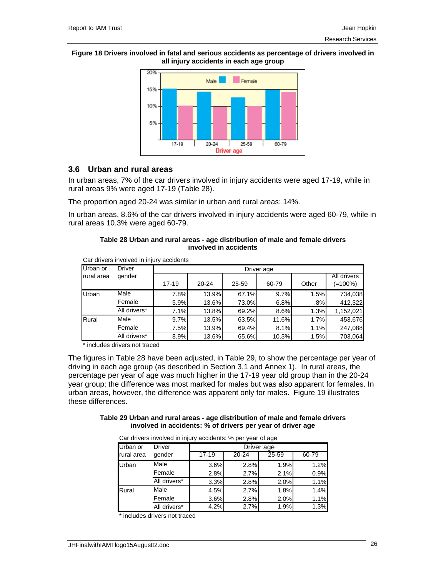### **Figure 18 Drivers involved in fatal and serious accidents as percentage of drivers involved in all injury accidents in each age group**



### **3.6 Urban and rural areas**

In urban areas, 7% of the car drivers involved in injury accidents were aged 17-19, while in rural areas 9% were aged 17-19 (Table 28).

The proportion aged 20-24 was similar in urban and rural areas: 14%.

In urban areas, 8.6% of the car drivers involved in injury accidents were aged 60-79, while in rural areas 10.3% were aged 60-79.

### **Table 28 Urban and rural areas - age distribution of male and female drivers involved in accidents**

| Car drivers involved in injury accidents |               |           |            |       |       |       |                        |  |  |  |
|------------------------------------------|---------------|-----------|------------|-------|-------|-------|------------------------|--|--|--|
| Urban or                                 | <b>Driver</b> |           | Driver age |       |       |       |                        |  |  |  |
| rural area                               | gender        | $17 - 19$ | 20-24      | 25-59 | 60-79 | Other | All drivers<br>(=100%) |  |  |  |
| Urban                                    | Male          | 7.8%      | 13.9%      | 67.1% | 9.7%  | 1.5%  | 734,038                |  |  |  |
|                                          | Female        | 5.9%      | 13.6%      | 73.0% | 6.8%  | .8%   | 412,322                |  |  |  |
|                                          | All drivers*  | 7.1%      | 13.8%      | 69.2% | 8.6%  | 1.3%  | 1,152,021              |  |  |  |
| Rural                                    | Male          | 9.7%      | 13.5%      | 63.5% | 11.6% | 1.7%  | 453,676                |  |  |  |
|                                          | Female        | 7.5%      | 13.9%      | 69.4% | 8.1%  | 1.1%  | 247,088                |  |  |  |
|                                          | All drivers*  | 8.9%      | 13.6%      | 65.6% | 10.3% | 1.5%  | 703,064                |  |  |  |

\* includes drivers not traced

The figures in Table 28 have been adjusted, in Table 29, to show the percentage per year of driving in each age group (as described in Section 3.1 and Annex 1). In rural areas, the percentage per year of age was much higher in the 17-19 year old group than in the 20-24 year group; the difference was most marked for males but was also apparent for females. In urban areas, however, the difference was apparent only for males. Figure 19 illustrates these differences.

### **Table 29 Urban and rural areas - age distribution of male and female drivers involved in accidents: % of drivers per year of driver age**

|            | Car drivers involved in injury accidents. % per year of age |         |           |            |       |
|------------|-------------------------------------------------------------|---------|-----------|------------|-------|
| Urban or   | <b>Driver</b>                                               |         |           | Driver age |       |
| rural area | gender                                                      | $17-19$ | $20 - 24$ | 25-59      | 60-79 |
| Urban      | Male                                                        | 3.6%    | 2.8%      | 1.9%       | 1.2%  |
|            | Female                                                      | 2.8%    | 2.7%      | 2.1%       | 0.9%  |
|            | All drivers*                                                | 3.3%    | 2.8%      | 2.0%       | 1.1%  |
| Rural      | Male                                                        | 4.5%    | 2.7%      | 1.8%       | 1.4%  |
|            | Female                                                      | 3.6%    | 2.8%      | 2.0%       | 1.1%  |
|            | All drivers*                                                | 4.2%    | 2.7%      | 1.9%       | 1.3%  |

Car drivers involved in injury accidents: % per year of age

\* includes drivers not traced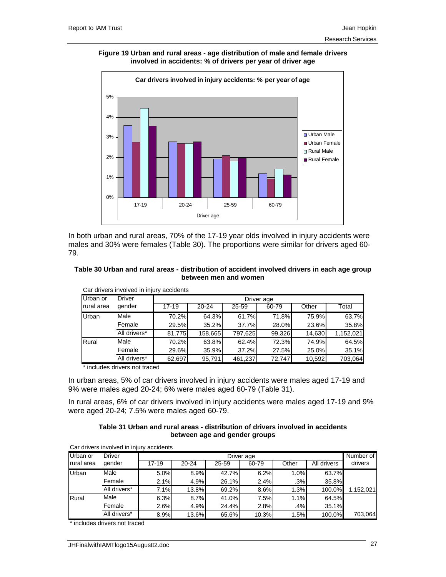**Figure 19 Urban and rural areas - age distribution of male and female drivers involved in accidents: % of drivers per year of driver age** 



In both urban and rural areas, 70% of the 17-19 year olds involved in injury accidents were males and 30% were females (Table 30). The proportions were similar for drivers aged 60- 79.

### **Table 30 Urban and rural areas - distribution of accident involved drivers in each age group between men and women**

| Cal divers involved in linuxy accidents |               |            |           |         |        |        |           |  |  |
|-----------------------------------------|---------------|------------|-----------|---------|--------|--------|-----------|--|--|
| Urban or                                | <b>Driver</b> | Driver age |           |         |        |        |           |  |  |
| rural area                              | gender        | $17 - 19$  | $20 - 24$ | 25-59   | 60-79  | Other  | Total     |  |  |
| Urban                                   | Male          | 70.2%      | 64.3%     | 61.7%   | 71.8%  | 75.9%  | 63.7%     |  |  |
|                                         | Female        | 29.5%      | 35.2%     | 37.7%   | 28.0%  | 23.6%  | 35.8%     |  |  |
|                                         | All drivers*  | 81.775     | 158,665   | 797,625 | 99,326 | 14.630 | 1,152,021 |  |  |
| Rural                                   | Male          | 70.2%      | 63.8%     | 62.4%   | 72.3%  | 74.9%  | 64.5%     |  |  |
|                                         | Female        | 29.6%      | 35.9%     | 37.2%   | 27.5%  | 25.0%  | 35.1%     |  |  |
|                                         | All drivers*  | 62,697     | 95,791    | 461,237 | 72,747 | 10,592 | 703,064   |  |  |

Car drivers involved in injury accidents

\* includes drivers not traced

In urban areas, 5% of car drivers involved in injury accidents were males aged 17-19 and 9% were males aged 20-24; 6% were males aged 60-79 (Table 31).

In rural areas, 6% of car drivers involved in injury accidents were males aged 17-19 and 9% were aged 20-24; 7.5% were males aged 60-79.

### **Table 31 Urban and rural areas - distribution of drivers involved in accidents between age and gender groups**

| Car drivers involved in injury accidents |               |            |           |       |       |       |             |           |
|------------------------------------------|---------------|------------|-----------|-------|-------|-------|-------------|-----------|
| Urban or                                 | <b>Driver</b> | Driver age |           |       |       |       |             |           |
| rural area                               | gender        | 17-19      | $20 - 24$ | 25-59 | 60-79 | Other | All drivers | drivers   |
| Urban                                    | Male          | 5.0%       | 8.9%      | 42.7% | 6.2%  | 1.0%  | 63.7%       |           |
|                                          | Female        | 2.1%       | 4.9%      | 26.1% | 2.4%  | .3%   | 35.8%       |           |
|                                          | All drivers*  | 7.1%       | 13.8%     | 69.2% | 8.6%  | 1.3%  | 100.0%      | 1,152,021 |
| Rural                                    | Male          | 6.3%       | 8.7%      | 41.0% | 7.5%  | 1.1%  | 64.5%       |           |
|                                          | Female        | 2.6%       | 4.9%      | 24.4% | 2.8%  | .4%   | 35.1%       |           |
|                                          | All drivers*  | 8.9%       | 13.6%     | 65.6% | 10.3% | 1.5%  | 100.0%      | 703,064   |

\* includes drivers not traced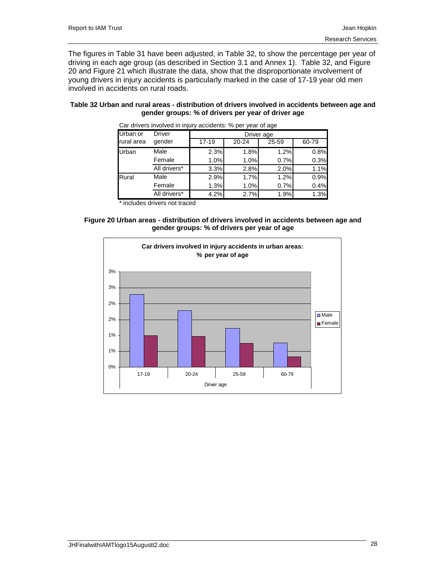The figures in Table 31 have been adjusted, in Table 32, to show the percentage per year of driving in each age group (as described in Section 3.1 and Annex 1). Table 32, and Figure 20 and Figure 21 which illustrate the data, show that the disproportionate involvement of young drivers in injury accidents is particularly marked in the case of 17-19 year old men involved in accidents on rural roads.

### **Table 32 Urban and rural areas - distribution of drivers involved in accidents between age and gender groups: % of drivers per year of driver age**

| Car directs involved in injury accidents. 70 per year or age |              |            |       |       |       |  |  |  |
|--------------------------------------------------------------|--------------|------------|-------|-------|-------|--|--|--|
| Urban or                                                     | Driver       | Driver age |       |       |       |  |  |  |
| rural area                                                   | gender       | $17 - 19$  | 20-24 | 25-59 | 60-79 |  |  |  |
| Urban                                                        | Male         | 2.3%       | 1.8%  | 1.2%  | 0.8%  |  |  |  |
|                                                              | Female       | 1.0%       | 1.0%  | 0.7%  | 0.3%  |  |  |  |
|                                                              | All drivers* | 3.3%       | 2.8%  | 2.0%  | 1.1%  |  |  |  |
| Rural                                                        | Male         | 2.9%       | 1.7%  | 1.2%  | 0.9%  |  |  |  |
|                                                              | Female       | 1.3%       | 1.0%  | 0.7%  | 0.4%  |  |  |  |
|                                                              | All drivers* | 4.2%       | 2.7%  | 1.9%  | 1.3%  |  |  |  |

Car drivers involved in injury accidents: % per year of age

includes drivers not traced



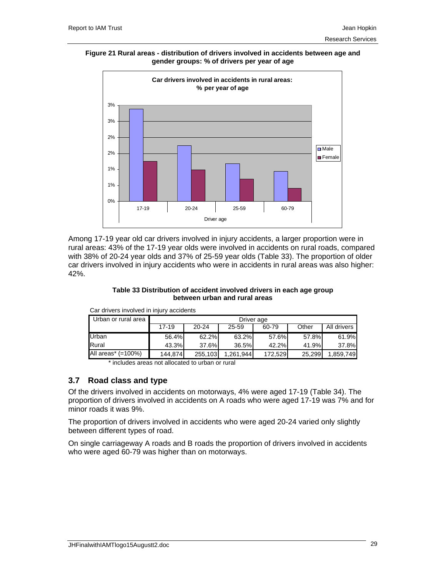**Figure 21 Rural areas - distribution of drivers involved in accidents between age and gender groups: % of drivers per year of age** 



Among 17-19 year old car drivers involved in injury accidents, a larger proportion were in rural areas: 43% of the 17-19 year olds were involved in accidents on rural roads, compared with 38% of 20-24 year olds and 37% of 25-59 year olds (Table 33). The proportion of older car drivers involved in injury accidents who were in accidents in rural areas was also higher: 42%.

### **Table 33 Distribution of accident involved drivers in each age group between urban and rural areas**

Car drivers involved in injury accidents

| Urban or rural area | Driver age                                        |         |          |         |        |             |  |
|---------------------|---------------------------------------------------|---------|----------|---------|--------|-------------|--|
|                     | $17 - 19$<br>Other<br>$20 - 24$<br>25-59<br>60-79 |         |          |         |        | All drivers |  |
| Urban               | 56.4%                                             | 62.2%   | 63.2%    | 57.6%   | 57.8%  | 61.9%       |  |
| Rural               | 43.3%                                             | 37.6%   | 36.5%    | 42.2%   | 41.9%  | 37.8%       |  |
| All areas* (=100%)  | 144.874                                           | 255,103 | .261.944 | 172.529 | 25.299 | 1,859,749   |  |

\* includes areas not allocated to urban or rural

## **3.7 Road class and type**

Of the drivers involved in accidents on motorways, 4% were aged 17-19 (Table 34). The proportion of drivers involved in accidents on A roads who were aged 17-19 was 7% and for minor roads it was 9%.

The proportion of drivers involved in accidents who were aged 20-24 varied only slightly between different types of road.

On single carriageway A roads and B roads the proportion of drivers involved in accidents who were aged 60-79 was higher than on motorways.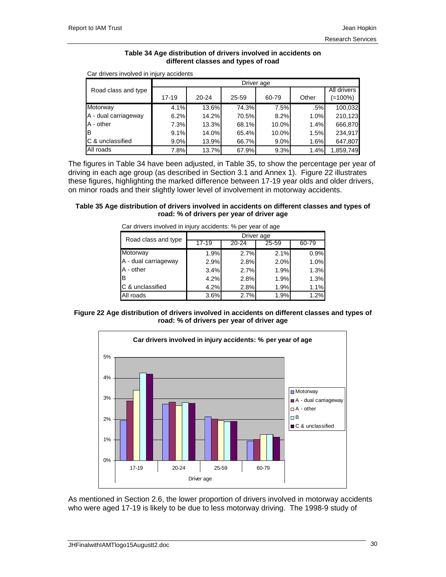### **Table 34 Age distribution of drivers involved in accidents on different classes and types of road**

|                      |           | Driver age |       |       |       |                        |  |  |
|----------------------|-----------|------------|-------|-------|-------|------------------------|--|--|
| Road class and type  | $17 - 19$ | $20 - 24$  | 25-59 | 60-79 | Other | All drivers<br>(=100%) |  |  |
| Motorway             | 4.1%      | 13.6%      | 74.3% | 7.5%  | .5%   | 100,032                |  |  |
| A - dual carriageway | 6.2%      | 14.2%      | 70.5% | 8.2%  | 1.0%  | 210,123                |  |  |
| A - other            | 7.3%      | 13.3%      | 68.1% | 10.0% | 1.4%  | 666,870                |  |  |
| Iв                   | 9.1%      | 14.0%      | 65.4% | 10.0% | 1.5%  | 234,917                |  |  |
| IC & unclassified    | 9.0%      | 13.9%      | 66.7% | 9.0%  | 1.6%  | 647,807                |  |  |
| All roads            | 7.8%      | 13.7%      | 67.9% | 9.3%  | 1.4%  | 1,859,749              |  |  |

Car drivers involved in injury accidents

The figures in Table 34 have been adjusted, in Table 35, to show the percentage per year of driving in each age group (as described in Section 3.1 and Annex 1). Figure 22 illustrates these figures, highlighting the marked difference between 17-19 year olds and older drivers, on minor roads and their slightly lower level of involvement in motorway accidents.

### **Table 35 Age distribution of drivers involved in accidents on different classes and types of road: % of drivers per year of driver age**

| <u>odi direto ilitoredi ili ilijary dobidolito. 70 por yodi ol dao</u> |            |       |       |       |  |  |  |  |
|------------------------------------------------------------------------|------------|-------|-------|-------|--|--|--|--|
| Road class and type                                                    | Driver age |       |       |       |  |  |  |  |
|                                                                        | $17 - 19$  | 20-24 | 25-59 | 60-79 |  |  |  |  |
| Motorway                                                               | 1.9%       | 2.7%  | 2.1%  | 0.9%  |  |  |  |  |
| A - dual carriageway                                                   | 2.9%       | 2.8%  | 2.0%  | 1.0%  |  |  |  |  |
| A - other                                                              | 3.4%       | 2.7%  | 1.9%  | 1.3%  |  |  |  |  |
| IΒ                                                                     | 4.2%       | 2.8%  | 1.9%  | 1.3%  |  |  |  |  |
| C & unclassified                                                       | 4.2%       | 2.8%  | 1.9%  | 1.1%  |  |  |  |  |
| All roads                                                              | 3.6%       | 2.7%  | 1.9%  | 1.2%  |  |  |  |  |

Car drivers involved in injury accidents: % per year of age





As mentioned in Section 2.6, the lower proportion of drivers involved in motorway accidents who were aged 17-19 is likely to be due to less motorway driving. The 1998-9 study of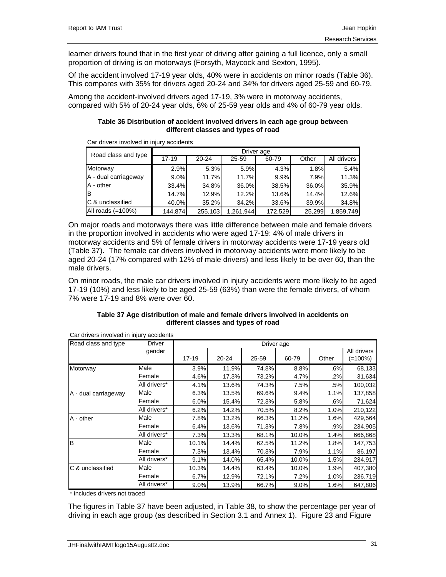learner drivers found that in the first year of driving after gaining a full licence, only a small proportion of driving is on motorways (Forsyth, Maycock and Sexton, 1995).

Of the accident involved 17-19 year olds, 40% were in accidents on minor roads (Table 36). This compares with 35% for drivers aged 20-24 and 34% for drivers aged 25-59 and 60-79.

Among the accident-involved drivers aged 17-19, 3% were in motorway accidents, compared with 5% of 20-24 year olds, 6% of 25-59 year olds and 4% of 60-79 year olds.

## **Table 36 Distribution of accident involved drivers in each age group between different classes and types of road**

| Road class and type  | Driver age |           |           |          |        |             |  |  |  |
|----------------------|------------|-----------|-----------|----------|--------|-------------|--|--|--|
|                      | $17 - 19$  | $20 - 24$ | 25-59     | 60-79    | Other  | All drivers |  |  |  |
| Motorway             | 2.9%       | 5.3%      | 5.9%      | 4.3%     | 1.8%   | 5.4%        |  |  |  |
| A - dual carriageway | 9.0%       | 11.7%     | 11.7%     | 9.9%     | 7.9%   | 11.3%       |  |  |  |
| A - other            | 33.4%      | 34.8%     | 36.0%     | 38.5%    | 36.0%  | 35.9%       |  |  |  |
| Iв                   | 14.7%      | 12.9%     | 12.2%     | $13.6\%$ | 14.4%  | 12.6%       |  |  |  |
| C & unclassified     | 40.0%      | 35.2%     | 34.2%     | 33.6%    | 39.9%  | 34.8%       |  |  |  |
| All roads $(=100\%)$ | 144.874    | 255,103   | 1.261.944 | 172,529  | 25,299 | 1,859,749   |  |  |  |

Car drivers involved in injury accidents

On major roads and motorways there was little difference between male and female drivers in the proportion involved in accidents who were aged 17-19: 4% of male drivers in motorway accidents and 5% of female drivers in motorway accidents were 17-19 years old (Table 37). The female car drivers involved in motorway accidents were more likely to be aged 20-24 (17% compared with 12% of male drivers) and less likely to be over 60, than the male drivers.

On minor roads, the male car drivers involved in injury accidents were more likely to be aged 17-19 (10%) and less likely to be aged 25-59 (63%) than were the female drivers, of whom 7% were 17-19 and 8% were over 60.

| Table 37 Age distribution of male and female drivers involved in accidents on |
|-------------------------------------------------------------------------------|
| different classes and types of road                                           |

| Road class and type  | Driver       | Driver age |       |       |       |       |             |  |  |
|----------------------|--------------|------------|-------|-------|-------|-------|-------------|--|--|
|                      | gender       |            |       |       |       |       | All drivers |  |  |
|                      |              | 17-19      | 20-24 | 25-59 | 60-79 | Other | (=100%)     |  |  |
| Motorway             | Male         | 3.9%       | 11.9% | 74.8% | 8.8%  | .6%   | 68,133      |  |  |
|                      | Female       | 4.6%       | 17.3% | 73.2% | 4.7%  | .2%   | 31,634      |  |  |
|                      | All drivers* | 4.1%       | 13.6% | 74.3% | 7.5%  | .5%   | 100,032     |  |  |
| A - dual carriageway | Male         | 6.3%       | 13.5% | 69.6% | 9.4%  | 1.1%  | 137,858     |  |  |
|                      | Female       | 6.0%       | 15.4% | 72.3% | 5.8%  | .6%   | 71,624      |  |  |
|                      | All drivers* | 6.2%       | 14.2% | 70.5% | 8.2%  | 1.0%  | 210,122     |  |  |
| A - other            | Male         | 7.8%       | 13.2% | 66.3% | 11.2% | 1.6%  | 429,564     |  |  |
|                      | Female       | 6.4%       | 13.6% | 71.3% | 7.8%  | .9%   | 234,905     |  |  |
|                      | All drivers* | 7.3%       | 13.3% | 68.1% | 10.0% | 1.4%  | 666,868     |  |  |
| B                    | Male         | 10.1%      | 14.4% | 62.5% | 11.2% | 1.8%  | 147,753     |  |  |
|                      | Female       | 7.3%       | 13.4% | 70.3% | 7.9%  | 1.1%  | 86,197      |  |  |
|                      | All drivers* | 9.1%       | 14.0% | 65.4% | 10.0% | 1.5%  | 234,917     |  |  |
| C & unclassified     | Male         | 10.3%      | 14.4% | 63.4% | 10.0% | 1.9%  | 407,380     |  |  |
|                      | Female       | 6.7%       | 12.9% | 72.1% | 7.2%  | 1.0%  | 236,719     |  |  |
|                      | All drivers* | 9.0%       | 13.9% | 66.7% | 9.0%  | 1.6%  | 647,806     |  |  |

Car drivers involved in injury accidents

\* includes drivers not traced

The figures in Table 37 have been adjusted, in Table 38, to show the percentage per year of driving in each age group (as described in Section 3.1 and Annex 1). Figure 23 and Figure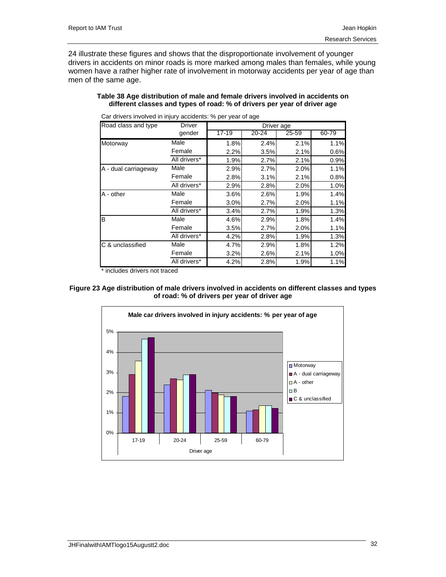24 illustrate these figures and shows that the disproportionate involvement of younger drivers in accidents on minor roads is more marked among males than females, while young women have a rather higher rate of involvement in motorway accidents per year of age than men of the same age.

**Table 38 Age distribution of male and female drivers involved in accidents on different classes and types of road: % of drivers per year of driver age** 

| Road class and type  | <b>Driver</b> |           |       | Driver age |       |
|----------------------|---------------|-----------|-------|------------|-------|
|                      | gender        | $17 - 19$ | 20-24 | 25-59      | 60-79 |
| Motorway             | Male          | 1.8%      | 2.4%  | 2.1%       | 1.1%  |
|                      | Female        | 2.2%      | 3.5%  | 2.1%       | 0.6%  |
|                      | All drivers*  | 1.9%      | 2.7%  | 2.1%       | 0.9%  |
| A - dual carriageway | Male          | 2.9%      | 2.7%  | 2.0%       | 1.1%  |
|                      | Female        | 2.8%      | 3.1%  | 2.1%       | 0.8%  |
|                      | All drivers*  | 2.9%      | 2.8%  | 2.0%       | 1.0%  |
| A - other            | Male          | 3.6%      | 2.6%  | 1.9%       | 1.4%  |
|                      | Female        | 3.0%      | 2.7%  | 2.0%       | 1.1%  |
|                      | All drivers*  | 3.4%      | 2.7%  | 1.9%       | 1.3%  |
| B                    | Male          | 4.6%      | 2.9%  | 1.8%       | 1.4%  |
|                      | Female        | 3.5%      | 2.7%  | 2.0%       | 1.1%  |
|                      | All drivers*  | 4.2%      | 2.8%  | 1.9%       | 1.3%  |
| C & unclassified     | Male          | 4.7%      | 2.9%  | 1.8%       | 1.2%  |
|                      | Female        | 3.2%      | 2.6%  | 2.1%       | 1.0%  |
|                      | All drivers*  | 4.2%      | 2.8%  | 1.9%       | 1.1%  |

Car drivers involved in injury accidents: % per year of age

\* includes drivers not traced



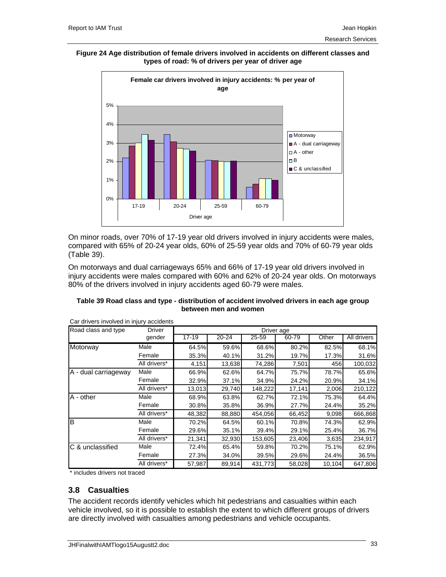#### **Figure 24 Age distribution of female drivers involved in accidents on different classes and types of road: % of drivers per year of driver age**



On minor roads, over 70% of 17-19 year old drivers involved in injury accidents were males, compared with 65% of 20-24 year olds, 60% of 25-59 year olds and 70% of 60-79 year olds (Table 39).

On motorways and dual carriageways 65% and 66% of 17-19 year old drivers involved in injury accidents were males compared with 60% and 62% of 20-24 year olds. On motorways 80% of the drivers involved in injury accidents aged 60-79 were males.

| Table 39 Road class and type - distribution of accident involved drivers in each age group |
|--------------------------------------------------------------------------------------------|
| between men and women                                                                      |

| Road class and type  | <b>Driver</b> |        |           | Driver age |        |        |             |
|----------------------|---------------|--------|-----------|------------|--------|--------|-------------|
|                      | gender        | 17-19  | $20 - 24$ | 25-59      | 60-79  | Other  | All drivers |
| Motorway             | Male          | 64.5%  | 59.6%     | 68.6%      | 80.2%  | 82.5%  | 68.1%       |
|                      | Female        | 35.3%  | 40.1%     | 31.2%      | 19.7%  | 17.3%  | 31.6%       |
|                      | All drivers*  | 4,151  | 13,638    | 74,286     | 7,501  | 456    | 100,032     |
| A - dual carriageway | Male          | 66.9%  | 62.6%     | 64.7%      | 75.7%  | 78.7%  | 65.6%       |
|                      | Female        | 32.9%  | 37.1%     | 34.9%      | 24.2%  | 20.9%  | 34.1%       |
|                      | All drivers*  | 13,013 | 29,740    | 148,222    | 17,141 | 2,006  | 210,122     |
| A - other            | Male          | 68.9%  | 63.8%     | 62.7%      | 72.1%  | 75.3%  | 64.4%       |
|                      | Female        | 30.8%  | 35.8%     | 36.9%      | 27.7%  | 24.4%  | 35.2%       |
|                      | All drivers*  | 48.382 | 88,880    | 454,056    | 66,452 | 9,098  | 666,868     |
| lВ                   | Male          | 70.2%  | 64.5%     | 60.1%      | 70.8%  | 74.3%  | 62.9%       |
|                      | Female        | 29.6%  | 35.1%     | 39.4%      | 29.1%  | 25.4%  | 36.7%       |
|                      | All drivers*  | 21,341 | 32,930    | 153,605    | 23,406 | 3,635  | 234,917     |
| C & unclassified     | Male          | 72.4%  | 65.4%     | 59.8%      | 70.2%  | 75.1%  | 62.9%       |
|                      | Female        | 27.3%  | 34.0%     | 39.5%      | 29.6%  | 24.4%  | 36.5%       |
|                      | All drivers*  | 57,987 | 89,914    | 431,773    | 58,028 | 10,104 | 647,806     |

Car drivers involved in injury accidents

\* includes drivers not traced

## **3.8 Casualties**

The accident records identify vehicles which hit pedestrians and casualties within each vehicle involved, so it is possible to establish the extent to which different groups of drivers are directly involved with casualties among pedestrians and vehicle occupants.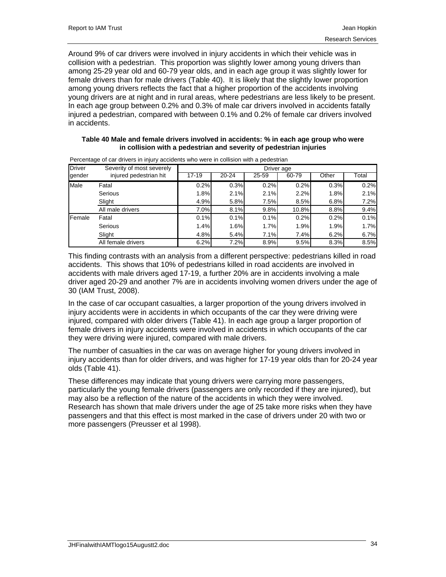Around 9% of car drivers were involved in injury accidents in which their vehicle was in collision with a pedestrian. This proportion was slightly lower among young drivers than among 25-29 year old and 60-79 year olds, and in each age group it was slightly lower for female drivers than for male drivers (Table 40). It is likely that the slightly lower proportion among young drivers reflects the fact that a higher proportion of the accidents involving young drivers are at night and in rural areas, where pedestrians are less likely to be present. In each age group between 0.2% and 0.3% of male car drivers involved in accidents fatally injured a pedestrian, compared with between 0.1% and 0.2% of female car drivers involved in accidents.

## **Table 40 Male and female drivers involved in accidents: % in each age group who were in collision with a pedestrian and severity of pedestrian injuries**

| <b>Driver</b> | Severity of most severely | Driver age |           |       |       |       |       |  |  |
|---------------|---------------------------|------------|-----------|-------|-------|-------|-------|--|--|
| gender        | injured pedestrian hit    | $17 - 19$  | $20 - 24$ | 25-59 | 60-79 | Other | Total |  |  |
| Male          | Fatal                     | 0.2%       | 0.3%      | 0.2%  | 0.2%  | 0.3%  | 0.2%  |  |  |
|               | Serious                   | 1.8%       | 2.1%      | 2.1%  | 2.2%  | 1.8%  | 2.1%  |  |  |
|               | Slight                    | 4.9%       | 5.8%      | 7.5%  | 8.5%  | 6.8%  | 7.2%  |  |  |
|               | All male drivers          | 7.0%       | 8.1%      | 9.8%  | 10.8% | 8.8%  | 9.4%  |  |  |
| Female        | Fatal                     | 0.1%       | 0.1%      | 0.1%  | 0.2%  | 0.2%  | 0.1%  |  |  |
|               | Serious                   | 1.4%       | 1.6%      | 1.7%  | 1.9%  | 1.9%  | 1.7%  |  |  |
|               | Slight                    | 4.8%       | 5.4%      | 7.1%  | 7.4%  | 6.2%  | 6.7%  |  |  |
|               | All female drivers        | 6.2%       | 7.2%      | 8.9%  | 9.5%  | 8.3%  | 8.5%  |  |  |

Percentage of car drivers in injury accidents who were in collision with a pedestrian

This finding contrasts with an analysis from a different perspective: pedestrians killed in road accidents. This shows that 10% of pedestrians killed in road accidents are involved in accidents with male drivers aged 17-19, a further 20% are in accidents involving a male driver aged 20-29 and another 7% are in accidents involving women drivers under the age of 30 (IAM Trust, 2008).

In the case of car occupant casualties, a larger proportion of the young drivers involved in injury accidents were in accidents in which occupants of the car they were driving were injured, compared with older drivers (Table 41). In each age group a larger proportion of female drivers in injury accidents were involved in accidents in which occupants of the car they were driving were injured, compared with male drivers.

The number of casualties in the car was on average higher for young drivers involved in injury accidents than for older drivers, and was higher for 17-19 year olds than for 20-24 year olds (Table 41).

These differences may indicate that young drivers were carrying more passengers, particularly the young female drivers (passengers are only recorded if they are injured), but may also be a reflection of the nature of the accidents in which they were involved. Research has shown that male drivers under the age of 25 take more risks when they have passengers and that this effect is most marked in the case of drivers under 20 with two or more passengers (Preusser et al 1998).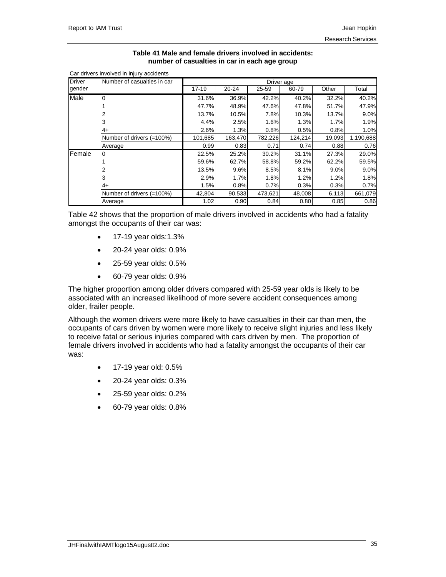Car drivers involved in injury accidents

## **Table 41 Male and female drivers involved in accidents: number of casualties in car in each age group**

| <b>Driver</b> | Number of casualties in car |           |         |           |         |        |           |
|---------------|-----------------------------|-----------|---------|-----------|---------|--------|-----------|
| gender        |                             | $17 - 19$ | 20-24   | $25 - 59$ | 60-79   | Other  | Total     |
| Male          | 0                           | 31.6%     | 36.9%   | 42.2%     | 40.2%   | 32.2%  | 40.2%     |
|               |                             | 47.7%     | 48.9%   | 47.6%     | 47.8%   | 51.7%  | 47.9%     |
|               | 2                           | 13.7%     | 10.5%   | 7.8%      | 10.3%   | 13.7%  | 9.0%      |
|               | 3                           | 4.4%      | 2.5%    | 1.6%      | 1.3%    | 1.7%   | 1.9%      |
|               | 4+                          | 2.6%      | 1.3%    | 0.8%      | 0.5%    | 0.8%   | 1.0%      |
|               | Number of drivers (=100%)   | 101,685   | 163,470 | 782,226   | 124,214 | 19,093 | 1,190,688 |
|               | Average                     | 0.99      | 0.83    | 0.71      | 0.74    | 0.88   | 0.76      |
| Female        | $\Omega$                    | 22.5%     | 25.2%   | 30.2%     | 31.1%   | 27.3%  | 29.0%     |
|               |                             | 59.6%     | 62.7%   | 58.8%     | 59.2%   | 62.2%  | 59.5%     |
|               | 2                           | 13.5%     | 9.6%    | 8.5%      | 8.1%    | 9.0%   | 9.0%      |
|               | 3                           | 2.9%      | 1.7%    | 1.8%      | 1.2%    | 1.2%   | 1.8%      |
|               | 4+                          | 1.5%      | 0.8%    | 0.7%      | 0.3%    | 0.3%   | 0.7%      |
|               | Number of drivers (=100%)   | 42,804    | 90,533  | 473,621   | 48,008  | 6,113  | 661,079   |
|               | Average                     | 1.02      | 0.90    | 0.84      | 0.80    | 0.85   | 0.86      |

Table 42 shows that the proportion of male drivers involved in accidents who had a fatality amongst the occupants of their car was:

- 17-19 year olds:1.3%
- 20-24 year olds: 0.9%
- 25-59 year olds: 0.5%
- 60-79 year olds: 0.9%

The higher proportion among older drivers compared with 25-59 year olds is likely to be associated with an increased likelihood of more severe accident consequences among older, frailer people.

Although the women drivers were more likely to have casualties in their car than men, the occupants of cars driven by women were more likely to receive slight injuries and less likely to receive fatal or serious injuries compared with cars driven by men. The proportion of female drivers involved in accidents who had a fatality amongst the occupants of their car was:

- 17-19 year old: 0.5%
- 20-24 year olds: 0.3%
- 25-59 year olds: 0.2%
- 60-79 year olds: 0.8%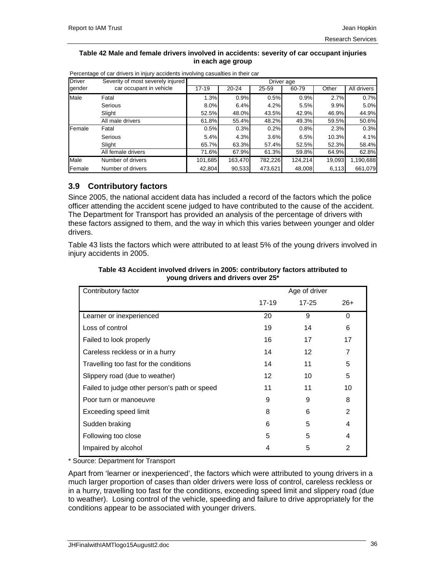#### **Table 42 Male and female drivers involved in accidents: severity of car occupant injuries in each age group**

| <b>Driver</b>  | Severity of most severely injured | Driver age |           |         |         |        |             |  |  |
|----------------|-----------------------------------|------------|-----------|---------|---------|--------|-------------|--|--|
| gender         | car occupant in vehicle           | $17 - 19$  | $20 - 24$ | 25-59   | 60-79   | Other  | All drivers |  |  |
| Male           | Fatal                             | 1.3%       | 0.9%      | 0.5%    | 0.9%    | 2.7%   | 0.7%        |  |  |
|                | Serious                           | 8.0%       | 6.4%      | 4.2%    | 5.5%    | 9.9%   | 5.0%        |  |  |
|                | Slight                            | 52.5%      | 48.0%     | 43.5%   | 42.9%   | 46.9%  | 44.9%       |  |  |
|                | All male drivers                  | 61.8%      | 55.4%     | 48.2%   | 49.3%   | 59.5%  | 50.6%       |  |  |
| Female         | Fatal                             | 0.5%       | 0.3%      | 0.2%    | 0.8%    | 2.3%   | 0.3%        |  |  |
|                | Serious                           | 5.4%       | 4.3%      | 3.6%    | 6.5%    | 10.3%  | 4.1%        |  |  |
|                | Slight                            | 65.7%      | 63.3%     | 57.4%   | 52.5%   | 52.3%  | 58.4%       |  |  |
|                | All female drivers                | 71.6%      | 67.9%     | 61.3%   | 59.8%   | 64.9%  | 62.8%       |  |  |
| Male           | Number of drivers                 | 101,685    | 163,470   | 782,226 | 124,214 | 19,093 | 1,190,688   |  |  |
| <b>IFemale</b> | Number of drivers                 | 42,804     | 90,533    | 473,621 | 48,008  | 6,113  | 661,079     |  |  |

Percentage of car drivers in injury accidents involving casualties in their car

# **3.9 Contributory factors**

Since 2005, the national accident data has included a record of the factors which the police officer attending the accident scene judged to have contributed to the cause of the accident. The Department for Transport has provided an analysis of the percentage of drivers with these factors assigned to them, and the way in which this varies between younger and older drivers.

Table 43 lists the factors which were attributed to at least 5% of the young drivers involved in injury accidents in 2005.

| Contributory factor                          |       | Age of driver |          |
|----------------------------------------------|-------|---------------|----------|
|                                              | 17-19 | $17 - 25$     | $26+$    |
| Learner or inexperienced                     | 20    | 9             | $\Omega$ |
| Loss of control                              | 19    | 14            | 6        |
| Failed to look properly                      | 16    | 17            | 17       |
| Careless reckless or in a hurry              | 14    | 12            | 7        |
| Travelling too fast for the conditions       | 14    | 11            | 5        |
| Slippery road (due to weather)               | 12    | 10            | 5        |
| Failed to judge other person's path or speed | 11    | 11            | 10       |
| Poor turn or manoeuvre                       | 9     | 9             | 8        |
| Exceeding speed limit                        | 8     | 6             | 2        |
| Sudden braking                               | 6     | 5             | 4        |
| Following too close                          | 5     | 5             | 4        |
| Impaired by alcohol                          | 4     | 5             | 2        |

## **Table 43 Accident involved drivers in 2005: contributory factors attributed to young drivers and drivers over 25\***

\* Source: Department for Transport

Apart from 'learner or inexperienced', the factors which were attributed to young drivers in a much larger proportion of cases than older drivers were loss of control, careless reckless or in a hurry, travelling too fast for the conditions, exceeding speed limit and slippery road (due to weather). Losing control of the vehicle, speeding and failure to drive appropriately for the conditions appear to be associated with younger drivers.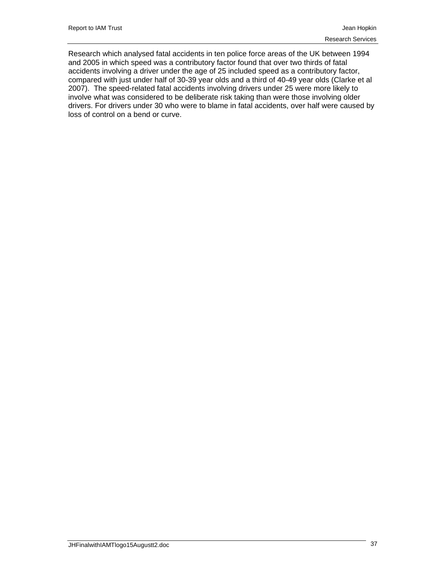Research which analysed fatal accidents in ten police force areas of the UK between 1994 and 2005 in which speed was a contributory factor found that over two thirds of fatal accidents involving a driver under the age of 25 included speed as a contributory factor, compared with just under half of 30-39 year olds and a third of 40-49 year olds (Clarke et al 2007). The speed-related fatal accidents involving drivers under 25 were more likely to involve what was considered to be deliberate risk taking than were those involving older drivers. For drivers under 30 who were to blame in fatal accidents, over half were caused by loss of control on a bend or curve.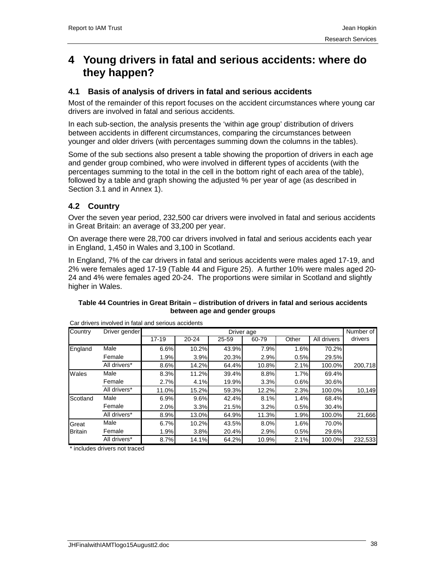# **4 Young drivers in fatal and serious accidents: where do they happen?**

# **4.1 Basis of analysis of drivers in fatal and serious accidents**

Most of the remainder of this report focuses on the accident circumstances where young car drivers are involved in fatal and serious accidents.

In each sub-section, the analysis presents the 'within age group' distribution of drivers between accidents in different circumstances, comparing the circumstances between younger and older drivers (with percentages summing down the columns in the tables).

Some of the sub sections also present a table showing the proportion of drivers in each age and gender group combined, who were involved in different types of accidents (with the percentages summing to the total in the cell in the bottom right of each area of the table), followed by a table and graph showing the adjusted % per year of age (as described in Section 3.1 and in Annex 1).

# **4.2 Country**

Over the seven year period, 232,500 car drivers were involved in fatal and serious accidents in Great Britain: an average of 33,200 per year.

On average there were 28,700 car drivers involved in fatal and serious accidents each year in England, 1,450 in Wales and 3,100 in Scotland.

In England, 7% of the car drivers in fatal and serious accidents were males aged 17-19, and 2% were females aged 17-19 (Table 44 and Figure 25). A further 10% were males aged 20- 24 and 4% were females aged 20-24. The proportions were similar in Scotland and slightly higher in Wales.

| Table 44 Countries in Great Britain – distribution of drivers in fatal and serious accidents |
|----------------------------------------------------------------------------------------------|
| between age and gender groups                                                                |

| Country        | Driver gender |           | Driver age |       |       |       |             |         |  |  |
|----------------|---------------|-----------|------------|-------|-------|-------|-------------|---------|--|--|
|                |               | $17 - 19$ | $20 - 24$  | 25-59 | 60-79 | Other | All drivers | drivers |  |  |
| England        | Male          | 6.6%      | 10.2%      | 43.9% | 7.9%  | 1.6%  | 70.2%       |         |  |  |
|                | Female        | 1.9%      | 3.9%       | 20.3% | 2.9%  | 0.5%  | 29.5%       |         |  |  |
|                | All drivers*  | 8.6%      | 14.2%      | 64.4% | 10.8% | 2.1%  | 100.0%      | 200,718 |  |  |
| Wales          | Male          | 8.3%      | 11.2%      | 39.4% | 8.8%  | 1.7%  | 69.4%       |         |  |  |
|                | Female        | 2.7%      | 4.1%       | 19.9% | 3.3%  | 0.6%  | 30.6%       |         |  |  |
|                | All drivers*  | 11.0%     | 15.2%      | 59.3% | 12.2% | 2.3%  | 100.0%      | 10,149  |  |  |
| Scotland       | Male          | 6.9%      | 9.6%       | 42.4% | 8.1%  | 1.4%  | 68.4%       |         |  |  |
|                | Female        | 2.0%      | 3.3%       | 21.5% | 3.2%  | 0.5%  | 30.4%       |         |  |  |
|                | All drivers*  | 8.9%      | 13.0%      | 64.9% | 11.3% | 1.9%  | 100.0%      | 21,666  |  |  |
| Great          | Male          | 6.7%      | 10.2%      | 43.5% | 8.0%  | 1.6%  | 70.0%       |         |  |  |
| <b>Britain</b> | Female        | 1.9%      | 3.8%       | 20.4% | 2.9%  | 0.5%  | 29.6%       |         |  |  |
|                | All drivers*  | 8.7%      | 14.1%      | 64.2% | 10.9% | 2.1%  | 100.0%      | 232,533 |  |  |

Car drivers involved in fatal and serious accidents

\* includes drivers not traced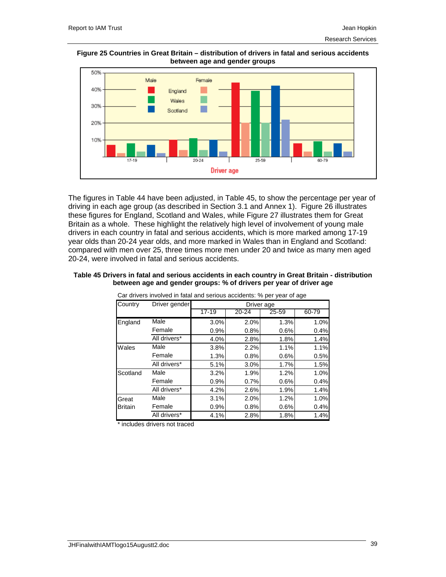#### **Figure 25 Countries in Great Britain – distribution of drivers in fatal and serious accidents between age and gender groups**



The figures in Table 44 have been adjusted, in Table 45, to show the percentage per year of driving in each age group (as described in Section 3.1 and Annex 1). Figure 26 illustrates these figures for England, Scotland and Wales, while Figure 27 illustrates them for Great Britain as a whole. These highlight the relatively high level of involvement of young male drivers in each country in fatal and serious accidents, which is more marked among 17-19 year olds than 20-24 year olds, and more marked in Wales than in England and Scotland: compared with men over 25, three times more men under 20 and twice as many men aged 20-24, were involved in fatal and serious accidents.

|                | Car drivers involved in fatal and serious accidents: % per year of age |           |            |           |       |
|----------------|------------------------------------------------------------------------|-----------|------------|-----------|-------|
| Country        | Driver gender                                                          |           | Driver age |           |       |
|                |                                                                        | $17 - 19$ | 20-24      | $25 - 59$ | 60-79 |
| England        | Male                                                                   | 3.0%      | 2.0%       | 1.3%      | 1.0%  |
|                | Female                                                                 | 0.9%      | 0.8%       | 0.6%      | 0.4%  |
|                | All drivers*                                                           | 4.0%      | 2.8%       | 1.8%      | 1.4%  |
| Wales          | Male                                                                   | 3.8%      | 2.2%       | 1.1%      | 1.1%  |
|                | Female                                                                 | 1.3%      | 0.8%       | 0.6%      | 0.5%  |
|                | All drivers*                                                           | 5.1%      | 3.0%       | 1.7%      | 1.5%  |
| Scotland       | Male                                                                   | 3.2%      | 1.9%       | 1.2%      | 1.0%  |
|                | Female                                                                 | 0.9%      | 0.7%       | 0.6%      | 0.4%  |
|                | All drivers*                                                           | 4.2%      | 2.6%       | 1.9%      | 1.4%  |
| Great          | Male                                                                   | 3.1%      | 2.0%       | 1.2%      | 1.0%  |
| <b>Britain</b> | Female                                                                 | 0.9%      | 0.8%       | 0.6%      | 0.4%  |
|                | All drivers*                                                           | 4.1%      | 2.8%       | 1.8%      | 1.4%  |

### **Table 45 Drivers in fatal and serious accidents in each country in Great Britain - distribution between age and gender groups: % of drivers per year of driver age**

\* includes drivers not traced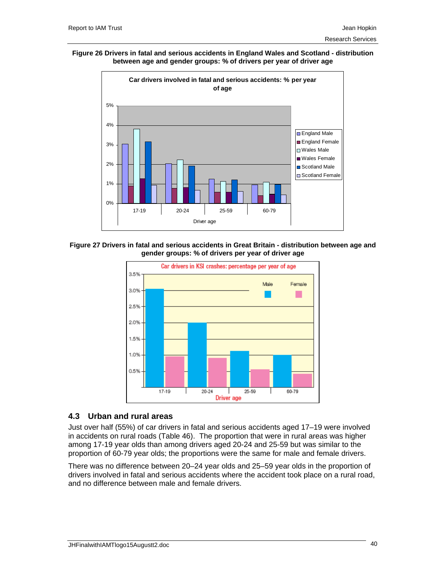#### **Figure 26 Drivers in fatal and serious accidents in England Wales and Scotland - distribution between age and gender groups: % of drivers per year of driver age**



**Figure 27 Drivers in fatal and serious accidents in Great Britain - distribution between age and gender groups: % of drivers per year of driver age** 



## **4.3 Urban and rural areas**

Just over half (55%) of car drivers in fatal and serious accidents aged 17–19 were involved in accidents on rural roads (Table 46). The proportion that were in rural areas was higher among 17-19 year olds than among drivers aged 20-24 and 25-59 but was similar to the proportion of 60-79 year olds; the proportions were the same for male and female drivers.

There was no difference between 20–24 year olds and 25–59 year olds in the proportion of drivers involved in fatal and serious accidents where the accident took place on a rural road, and no difference between male and female drivers.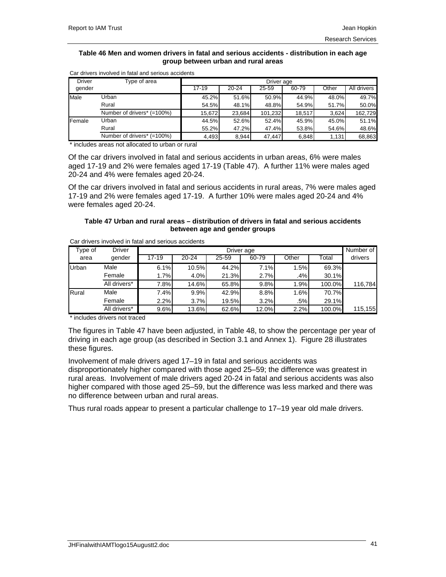#### **Table 46 Men and women drivers in fatal and serious accidents - distribution in each age group between urban and rural areas**

| <b>Driver</b> | Type of area               | Driver age |           |         |        |       |             |  |  |
|---------------|----------------------------|------------|-----------|---------|--------|-------|-------------|--|--|
| gender        |                            | $17 - 19$  | $20 - 24$ | 25-59   | 60-79  | Other | All drivers |  |  |
| Male          | Urban                      | 45.2%      | 51.6%     | 50.9%   | 44.9%  | 48.0% | 49.7%       |  |  |
|               | Rural                      | 54.5%      | 48.1%     | 48.8%   | 54.9%  | 51.7% | 50.0%       |  |  |
|               | Number of drivers* (=100%) | 15.672     | 23.684    | 101.232 | 18.517 | 3.624 | 162.729     |  |  |
| Female        | Urban                      | 44.5%      | 52.6%     | 52.4%   | 45.9%  | 45.0% | 51.1%       |  |  |
|               | Rural                      | 55.2%      | 47.2%     | 47.4%   | 53.8%  | 54.6% | 48.6%       |  |  |
|               | Number of drivers* (=100%) | 4,493      | 8,944     | 47.447  | 6,848  | 1,131 | 68,863      |  |  |

Car drivers involved in fatal and serious accidents

includes areas not allocated to urban or rural

Of the car drivers involved in fatal and serious accidents in urban areas, 6% were males aged 17-19 and 2% were females aged 17-19 (Table 47). A further 11% were males aged 20-24 and 4% were females aged 20-24.

Of the car drivers involved in fatal and serious accidents in rural areas, 7% were males aged 17-19 and 2% were females aged 17-19. A further 10% were males aged 20-24 and 4% were females aged 20-24.

### **Table 47 Urban and rural areas – distribution of drivers in fatal and serious accidents between age and gender groups**

| Type of | <b>Driver</b> |       | Driver age |       |       |       |        |         |  |
|---------|---------------|-------|------------|-------|-------|-------|--------|---------|--|
| area    | gender        | 17-19 | $20 - 24$  | 25-59 | 60-79 | Other | Total  | drivers |  |
| Urban   | Male          | 6.1%  | 10.5%      | 44.2% | 7.1%  | 1.5%  | 69.3%  |         |  |
|         | Female        | 1.7%  | 4.0%       | 21.3% | 2.7%  | .4%   | 30.1%  |         |  |
|         | All drivers*  | 7.8%  | 14.6%      | 65.8% | 9.8%  | 1.9%  | 100.0% | 116,784 |  |
| Rural   | Male          | 7.4%  | 9.9%       | 42.9% | 8.8%  | 1.6%  | 70.7%  |         |  |
|         | Female        | 2.2%  | 3.7%       | 19.5% | 3.2%  | .5%   | 29.1%  |         |  |
|         | All drivers*  | 9.6%  | 13.6%      | 62.6% | 12.0% | 2.2%  | 100.0% | 115,155 |  |

Car drivers involved in fatal and serious accidents

\* includes drivers not traced

The figures in Table 47 have been adjusted, in Table 48, to show the percentage per year of driving in each age group (as described in Section 3.1 and Annex 1). Figure 28 illustrates these figures.

Involvement of male drivers aged 17–19 in fatal and serious accidents was disproportionately higher compared with those aged 25–59; the difference was greatest in rural areas. Involvement of male drivers aged 20-24 in fatal and serious accidents was also higher compared with those aged 25–59, but the difference was less marked and there was no difference between urban and rural areas.

Thus rural roads appear to present a particular challenge to 17–19 year old male drivers.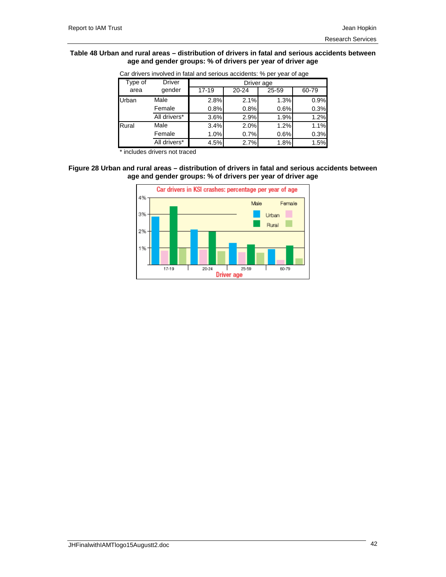#### **Table 48 Urban and rural areas – distribution of drivers in fatal and serious accidents between age and gender groups: % of drivers per year of driver age**

| Type of | <b>Driver</b> | Driver age |       |       |           |  |  |  |  |
|---------|---------------|------------|-------|-------|-----------|--|--|--|--|
| area    | gender        | $17 - 19$  | 20-24 | 25-59 | $60 - 79$ |  |  |  |  |
| Urban   | Male          | 2.8%       | 2.1%  | 1.3%  | 0.9%      |  |  |  |  |
|         | Female        | 0.8%       | 0.8%  | 0.6%  | 0.3%      |  |  |  |  |
|         | All drivers*  | 3.6%       | 2.9%  | 1.9%  | 1.2%      |  |  |  |  |
| Rural   | Male          | 3.4%       | 2.0%  | 1.2%  | 1.1%      |  |  |  |  |
|         | Female        | 1.0%       | 0.7%  | 0.6%  | 0.3%      |  |  |  |  |
|         | All drivers*  | 4.5%       | 2.7%  | 1.8%  | 1.5%      |  |  |  |  |

Car drivers involved in fatal and serious accidents: % per year of age

includes drivers not traced

### **Figure 28 Urban and rural areas – distribution of drivers in fatal and serious accidents between age and gender groups: % of drivers per year of driver age**

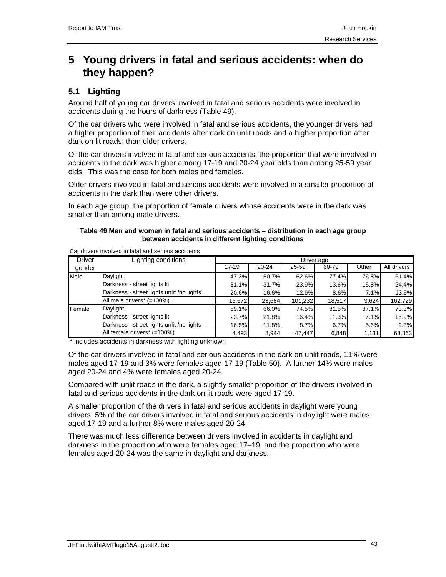# **5 Young drivers in fatal and serious accidents: when do they happen?**

# **5.1 Lighting**

Around half of young car drivers involved in fatal and serious accidents were involved in accidents during the hours of darkness (Table 49).

Of the car drivers who were involved in fatal and serious accidents, the younger drivers had a higher proportion of their accidents after dark on unlit roads and a higher proportion after dark on lit roads, than older drivers.

Of the car drivers involved in fatal and serious accidents, the proportion that were involved in accidents in the dark was higher among 17-19 and 20-24 year olds than among 25-59 year olds. This was the case for both males and females.

Older drivers involved in fatal and serious accidents were involved in a smaller proportion of accidents in the dark than were other drivers.

In each age group, the proportion of female drivers whose accidents were in the dark was smaller than among male drivers.

## **Table 49 Men and women in fatal and serious accidents – distribution in each age group between accidents in different lighting conditions**

| <b>Driver</b> | Lighting conditions                       | Driver age |           |           |        |          |             |  |  |
|---------------|-------------------------------------------|------------|-----------|-----------|--------|----------|-------------|--|--|
| gender        |                                           | $17-19$    | $20 - 24$ | $25 - 59$ | 60-79  | Other    | All drivers |  |  |
| Male          | Daylight                                  | 47.3%      | 50.7%     | 62.6%     | 77.4%  | 76.8%    | 61.4%       |  |  |
|               | Darkness - street lights lit              | 31.1%      | 31.7%     | 23.9%     | 13.6%  | $15.8\%$ | 24.4%       |  |  |
|               | Darkness - street lights unlit /no lights | 20.6%      | 16.6%     | 12.9%     | 8.6%   | 7.1%     | 13.5%       |  |  |
|               | All male drivers* (=100%)                 | 15,672     | 23,684    | 101,232   | 18,517 | 3,624    | 162,729     |  |  |
| Female        | Daylight                                  | 59.1%      | 66.0%     | 74.5%     | 81.5%  | 87.1%    | 73.3%       |  |  |
|               | Darkness - street lights lit              | 23.7%      | 21.8%     | 16.4%     | 11.3%  | 7.1%     | 16.9%       |  |  |
|               | Darkness - street lights unlit /no lights | 16.5%      | 11.8%     | 8.7%      | 6.7%   | 5.6%     | 9.3%        |  |  |
|               | All female drivers* (=100%)               | 4,493      | 8,944     | 47,447    | 6,848  | 1,131    | 68,863      |  |  |

Car drivers involved in fatal and serious accidents

\* includes accidents in darkness with lighting unknown

Of the car drivers involved in fatal and serious accidents in the dark on unlit roads, 11% were males aged 17-19 and 3% were females aged 17-19 (Table 50). A further 14% were males aged 20-24 and 4% were females aged 20-24.

Compared with unlit roads in the dark, a slightly smaller proportion of the drivers involved in fatal and serious accidents in the dark on lit roads were aged 17-19.

A smaller proportion of the drivers in fatal and serious accidents in daylight were young drivers: 5% of the car drivers involved in fatal and serious accidents in daylight were males aged 17-19 and a further 8% were males aged 20-24.

There was much less difference between drivers involved in accidents in daylight and darkness in the proportion who were females aged 17–19, and the proportion who were females aged 20-24 was the same in daylight and darkness.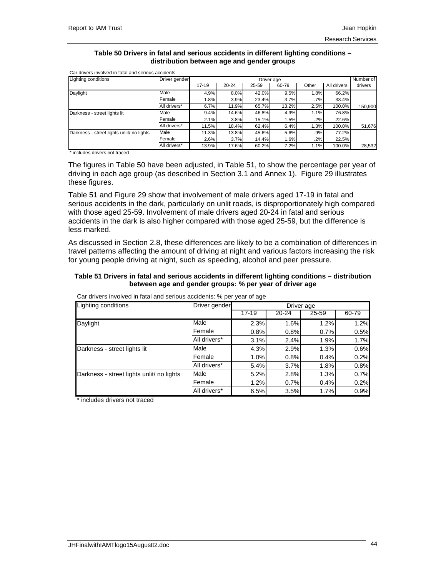#### **Table 50 Drivers in fatal and serious accidents in different lighting conditions – distribution between age and gender groups**

| Lighting conditions                       | Driver gender |           |           |       | Driver age |       |             | Number of |
|-------------------------------------------|---------------|-----------|-----------|-------|------------|-------|-------------|-----------|
|                                           |               | $17 - 19$ | $20 - 24$ | 25-59 | 60-79      | Other | All drivers | drivers   |
| Daylight                                  | Male          | 4.9%      | 8.0%      | 42.0% | 9.5%       | 1.8%  | 66.2%       |           |
|                                           | Female        | 1.8%      | 3.9%      | 23.4% | 3.7%       | .7%   | 33.4%       |           |
|                                           | All drivers*  | 6.7%      | 11.9%     | 65.7% | 13.2%      | 2.5%  | 100.0%      | 150,900   |
| Darkness - street lights lit              | Male          | 9.4%      | 14.6%     | 46.8% | 4.9%       | 1.1%  | 76.8%       |           |
|                                           | Female        | 2.1%      | 3.8%      | 15.1% | 1.5%       | .2%   | 22.6%       |           |
|                                           | All drivers*  | 11.5%     | 18.4%     | 62.4% | 6.4%       | 1.3%  | 100.0%      | 51,676    |
| Darkness - street lights unlit/ no lights | Male          | 11.3%     | 13.8%     | 45.6% | 5.6%       | .9%   | 77.2%       |           |
|                                           | Female        | 2.6%      | 3.7%      | 14.4% | 1.6%       | .2%   | 22.5%       |           |
|                                           | All drivers*  | 13.9%     | 17.6%     | 60.2% | 7.2%       | 1.1%  | 100.0%      | 28,532    |

Car drivers involved in fatal and serious accidents

\* includes drivers not traced

The figures in Table 50 have been adjusted, in Table 51, to show the percentage per year of driving in each age group (as described in Section 3.1 and Annex 1). Figure 29 illustrates these figures.

Table 51 and Figure 29 show that involvement of male drivers aged 17-19 in fatal and serious accidents in the dark, particularly on unlit roads, is disproportionately high compared with those aged 25-59. Involvement of male drivers aged 20-24 in fatal and serious accidents in the dark is also higher compared with those aged 25-59, but the difference is less marked.

As discussed in Section 2.8, these differences are likely to be a combination of differences in travel patterns affecting the amount of driving at night and various factors increasing the risk for young people driving at night, such as speeding, alcohol and peer pressure.

## **Table 51 Drivers in fatal and serious accidents in different lighting conditions – distribution between age and gender groups: % per year of driver age**

| Lighting conditions                       | Driver gender |           |       | Driver age |       |
|-------------------------------------------|---------------|-----------|-------|------------|-------|
|                                           |               | $17 - 19$ | 20-24 | 25-59      | 60-79 |
| Daylight                                  | Male          | 2.3%      | 1.6%  | 1.2%       | 1.2%  |
|                                           | Female        | 0.8%      | 0.8%  | 0.7%       | 0.5%  |
|                                           | All drivers*  | 3.1%      | 2.4%  | 1.9%       | 1.7%  |
| Darkness - street lights lit              | Male          | 4.3%      | 2.9%  | 1.3%       | 0.6%  |
|                                           | Female        | 1.0%      | 0.8%  | 0.4%       | 0.2%  |
|                                           | All drivers*  | 5.4%      | 3.7%  | 1.8%       | 0.8%  |
| Darkness - street lights unlit/ no lights | Male          | 5.2%      | 2.8%  | 1.3%       | 0.7%  |
|                                           | Female        | 1.2%      | 0.7%  | 0.4%       | 0.2%  |
|                                           | All drivers*  | 6.5%      | 3.5%  | 1.7%       | 0.9%  |

Car drivers involved in fatal and serious accidents: % per year of age

\* includes drivers not traced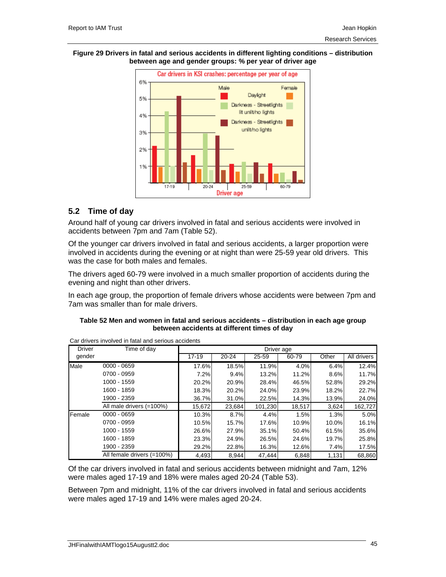#### **Figure 29 Drivers in fatal and serious accidents in different lighting conditions – distribution between age and gender groups: % per year of driver age**



# **5.2 Time of day**

Around half of young car drivers involved in fatal and serious accidents were involved in accidents between 7pm and 7am (Table 52).

Of the younger car drivers involved in fatal and serious accidents, a larger proportion were involved in accidents during the evening or at night than were 25-59 year old drivers. This was the case for both males and females.

The drivers aged 60-79 were involved in a much smaller proportion of accidents during the evening and night than other drivers.

In each age group, the proportion of female drivers whose accidents were between 7pm and 7am was smaller than for male drivers.

| Table 52 Men and women in fatal and serious accidents - distribution in each age group |
|----------------------------------------------------------------------------------------|
| between accidents at different times of day                                            |

| <b>Driver</b> | Time of day                |           |           |         | Driver age |       |             |
|---------------|----------------------------|-----------|-----------|---------|------------|-------|-------------|
| gender        |                            | $17 - 19$ | $20 - 24$ | 25-59   | 60-79      | Other | All drivers |
| Male          | $0000 - 0659$              | 17.6%     | 18.5%     | 11.9%   | 4.0%       | 6.4%  | 12.4%       |
|               | 0700 - 0959                | 7.2%      | 9.4%      | 13.2%   | 11.2%      | 8.6%  | 11.7%       |
|               | 1000 - 1559                | 20.2%     | 20.9%     | 28.4%   | 46.5%      | 52.8% | 29.2%       |
|               | 1600 - 1859                | 18.3%     | 20.2%     | 24.0%   | 23.9%      | 18.2% | 22.7%       |
|               | 1900 - 2359                | 36.7%     | 31.0%     | 22.5%   | 14.3%      | 13.9% | 24.0%       |
|               | All male drivers (=100%)   | 15.672    | 23.684    | 101.230 | 18,517     | 3,624 | 162,727     |
| Female        | $0000 - 0659$              | 10.3%     | 8.7%      | 4.4%    | 1.5%       | 1.3%  | 5.0%        |
|               | 0700 - 0959                | 10.5%     | 15.7%     | 17.6%   | 10.9%      | 10.0% | 16.1%       |
|               | 1000 - 1559                | 26.6%     | 27.9%     | 35.1%   | 50.4%      | 61.5% | 35.6%       |
|               | 1600 - 1859                | 23.3%     | 24.9%     | 26.5%   | 24.6%      | 19.7% | 25.8%       |
|               | 1900 - 2359                | 29.2%     | 22.8%     | 16.3%   | 12.6%      | 7.4%  | 17.5%       |
|               | All female drivers (=100%) | 4,493     | 8,944     | 47,444  | 6,848      | 1,131 | 68,860      |

Car drivers involved in fatal and serious accidents

Of the car drivers involved in fatal and serious accidents between midnight and 7am, 12% were males aged 17-19 and 18% were males aged 20-24 (Table 53).

Between 7pm and midnight, 11% of the car drivers involved in fatal and serious accidents were males aged 17-19 and 14% were males aged 20-24.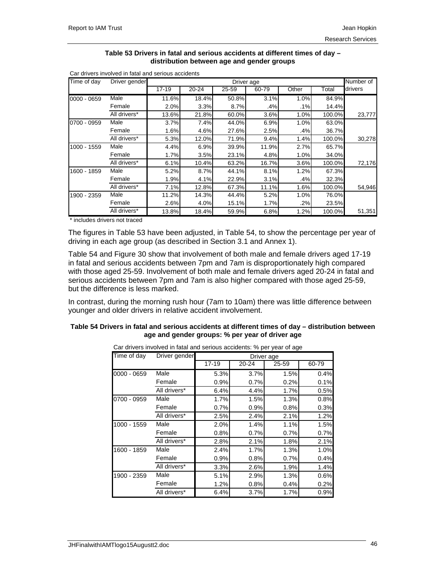#### **Table 53 Drivers in fatal and serious accidents at different times of day – distribution between age and gender groups**

| Time of day   | Driver gender |           |           |       | Driver age |        |        | Number of |
|---------------|---------------|-----------|-----------|-------|------------|--------|--------|-----------|
|               |               | $17 - 19$ | $20 - 24$ | 25-59 | $60 - 79$  | Other  | Total  | drivers   |
| $0000 - 0659$ | Male          | 11.6%     | 18.4%     | 50.8% | 3.1%       | 1.0%   | 84.9%  |           |
|               | Female        | 2.0%      | 3.3%      | 8.7%  | .4%        | .1%    | 14.4%  |           |
|               | All drivers*  | 13.6%     | 21.8%     | 60.0% | 3.6%       | 1.0%   | 100.0% | 23,777    |
| 0700 - 0959   | Male          | 3.7%      | 7.4%      | 44.0% | 6.9%       | 1.0%   | 63.0%  |           |
|               | Female        | 1.6%      | 4.6%      | 27.6% | 2.5%       | .4%    | 36.7%  |           |
|               | All drivers*  | 5.3%      | 12.0%     | 71.9% | 9.4%       | 1.4%   | 100.0% | 30,278    |
| 1000 - 1559   | Male          | 4.4%      | 6.9%      | 39.9% | 11.9%      | 2.7%   | 65.7%  |           |
|               | Female        | 1.7%      | 3.5%      | 23.1% | 4.8%       | 1.0%   | 34.0%  |           |
|               | All drivers*  | 6.1%      | 10.4%     | 63.2% | 16.7%      | 3.6%   | 100.0% | 72,176    |
| 1600 - 1859   | Male          | 5.2%      | 8.7%      | 44.1% | 8.1%       | 1.2%   | 67.3%  |           |
|               | Female        | 1.9%      | 4.1%      | 22.9% | 3.1%       | .4%    | 32.3%  |           |
|               | All drivers*  | 7.1%      | 12.8%     | 67.3% | 11.1%      | 1.6%   | 100.0% | 54,946    |
| 1900 - 2359   | Male          | 11.2%     | 14.3%     | 44.4% | 5.2%       | 1.0%   | 76.0%  |           |
|               | Female        | 2.6%      | 4.0%      | 15.1% | 1.7%       | $.2\%$ | 23.5%  |           |
|               | All drivers*  | 13.8%     | 18.4%     | 59.9% | 6.8%       | 1.2%   | 100.0% | 51,351    |

Car drivers involved in fatal and serious accidents

\* includes drivers not traced

The figures in Table 53 have been adjusted, in Table 54, to show the percentage per year of driving in each age group (as described in Section 3.1 and Annex 1).

Table 54 and Figure 30 show that involvement of both male and female drivers aged 17-19 in fatal and serious accidents between 7pm and 7am is disproportionately high compared with those aged 25-59. Involvement of both male and female drivers aged 20-24 in fatal and serious accidents between 7pm and 7am is also higher compared with those aged 25-59, but the difference is less marked.

In contrast, during the morning rush hour (7am to 10am) there was little difference between younger and older drivers in relative accident involvement.

## **Table 54 Drivers in fatal and serious accidents at different times of day – distribution between age and gender groups: % per year of driver age**

| Time of day   | Driver gender |           |           | Driver age |       |
|---------------|---------------|-----------|-----------|------------|-------|
|               |               | $17 - 19$ | $20 - 24$ | 25-59      | 60-79 |
| $0000 - 0659$ | Male          | 5.3%      | 3.7%      | 1.5%       | 0.4%  |
|               | Female        | 0.9%      | 0.7%      | 0.2%       | 0.1%  |
|               | All drivers*  | 6.4%      | 4.4%      | 1.7%       | 0.5%  |
| 0700 - 0959   | Male          | 1.7%      | 1.5%      | 1.3%       | 0.8%  |
|               | Female        | 0.7%      | 0.9%      | 0.8%       | 0.3%  |
|               | All drivers*  | 2.5%      | 2.4%      | 2.1%       | 1.2%  |
| 1000 - 1559   | Male          | 2.0%      | 1.4%      | 1.1%       | 1.5%  |
|               | Female        | 0.8%      | 0.7%      | 0.7%       | 0.7%  |
|               | All drivers*  | 2.8%      | 2.1%      | 1.8%       | 2.1%  |
| 1600 - 1859   | Male          | 2.4%      | 1.7%      | 1.3%       | 1.0%  |
|               | Female        | 0.9%      | 0.8%      | 0.7%       | 0.4%  |
|               | All drivers*  | 3.3%      | 2.6%      | 1.9%       | 1.4%  |
| 1900 - 2359   | Male          | 5.1%      | 2.9%      | 1.3%       | 0.6%  |
|               | Female        | 1.2%      | 0.8%      | 0.4%       | 0.2%  |
|               | All drivers*  | 6.4%      | 3.7%      | 1.7%       | 0.9%  |

Car drivers involved in fatal and serious accidents: % per year of age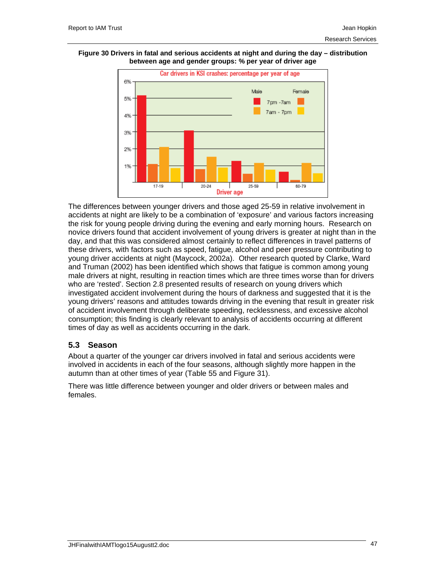



The differences between younger drivers and those aged 25-59 in relative involvement in accidents at night are likely to be a combination of 'exposure' and various factors increasing the risk for young people driving during the evening and early morning hours. Research on novice drivers found that accident involvement of young drivers is greater at night than in the day, and that this was considered almost certainly to reflect differences in travel patterns of these drivers, with factors such as speed, fatigue, alcohol and peer pressure contributing to young driver accidents at night (Maycock, 2002a). Other research quoted by Clarke, Ward and Truman (2002) has been identified which shows that fatigue is common among young male drivers at night, resulting in reaction times which are three times worse than for drivers who are 'rested'. Section 2.8 presented results of research on young drivers which investigated accident involvement during the hours of darkness and suggested that it is the young drivers' reasons and attitudes towards driving in the evening that result in greater risk of accident involvement through deliberate speeding, recklessness, and excessive alcohol consumption; this finding is clearly relevant to analysis of accidents occurring at different times of day as well as accidents occurring in the dark.

## **5.3 Season**

About a quarter of the younger car drivers involved in fatal and serious accidents were involved in accidents in each of the four seasons, although slightly more happen in the autumn than at other times of year (Table 55 and Figure 31).

There was little difference between younger and older drivers or between males and females.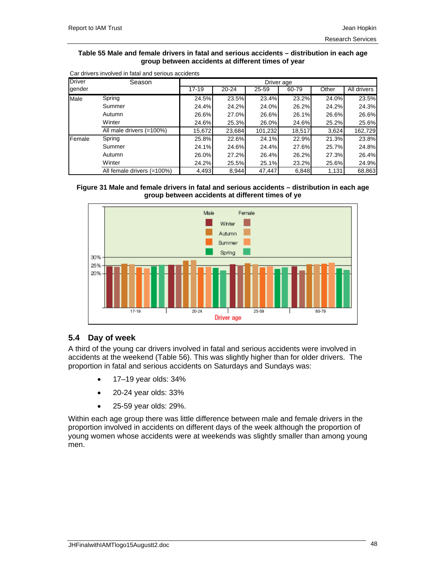## **Table 55 Male and female drivers in fatal and serious accidents – distribution in each age group between accidents at different times of year**

| <b>Driver</b> | Season                     |           | Driver age |         |        |       |             |  |  |  |
|---------------|----------------------------|-----------|------------|---------|--------|-------|-------------|--|--|--|
| gender        |                            | $17 - 19$ | $20 - 24$  | 25-59   | 60-79  | Other | All drivers |  |  |  |
| Male          | Spring                     | 24.5%     | 23.5%      | 23.4%   | 23.2%  | 24.0% | 23.5%       |  |  |  |
|               | Summer                     | 24.4%     | 24.2%      | 24.0%   | 26.2%  | 24.2% | 24.3%       |  |  |  |
|               | Autumn                     | 26.6%     | 27.0%      | 26.6%   | 26.1%  | 26.6% | 26.6%       |  |  |  |
|               | Winter                     | 24.6%     | 25.3%      | 26.0%   | 24.6%  | 25.2% | 25.6%       |  |  |  |
|               | All male drivers (=100%)   | 15,672    | 23,684     | 101,232 | 18,517 | 3,624 | 162,729     |  |  |  |
| Female        | Spring                     | 25.8%     | 22.6%      | 24.1%   | 22.9%  | 21.3% | 23.8%       |  |  |  |
|               | Summer                     | 24.1%     | 24.6%      | 24.4%   | 27.6%  | 25.7% | 24.8%       |  |  |  |
|               | Autumn                     | 26.0%     | 27.2%      | 26.4%   | 26.2%  | 27.3% | 26.4%       |  |  |  |
|               | Winter                     | 24.2%     | 25.5%      | 25.1%   | 23.2%  | 25.6% | 24.9%       |  |  |  |
|               | All female drivers (=100%) | 4,493     | 8,944      | 47,447  | 6,848  | 1,131 | 68,863      |  |  |  |

Car drivers involved in fatal and serious accidents





## **5.4 Day of week**

A third of the young car drivers involved in fatal and serious accidents were involved in accidents at the weekend (Table 56). This was slightly higher than for older drivers. The proportion in fatal and serious accidents on Saturdays and Sundays was:

- 17–19 year olds: 34%
- 20-24 year olds: 33%
- 25-59 year olds: 29%.

Within each age group there was little difference between male and female drivers in the proportion involved in accidents on different days of the week although the proportion of young women whose accidents were at weekends was slightly smaller than among young men.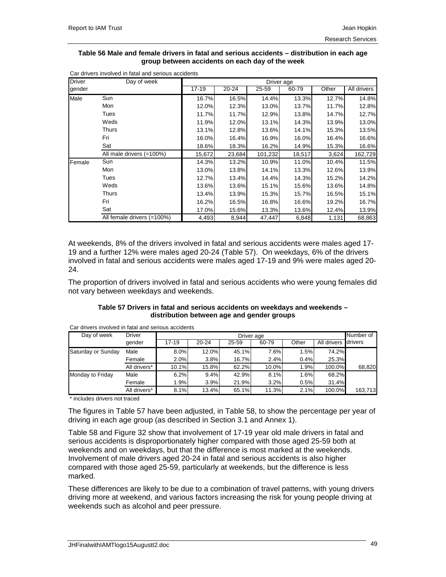#### **Table 56 Male and female drivers in fatal and serious accidents – distribution in each age group between accidents on each day of the week**

| <b>Driver</b> | Day of week                |        |        | Driver age |        |       |             |
|---------------|----------------------------|--------|--------|------------|--------|-------|-------------|
| gender        |                            | 17-19  | 20-24  | 25-59      | 60-79  | Other | All drivers |
| Male          | Sun                        | 16.7%  | 16.5%  | 14.4%      | 13.3%  | 12.7% | 14.8%       |
|               | Mon                        | 12.0%  | 12.3%  | 13.0%      | 13.7%  | 11.7% | 12.8%       |
|               | Tues                       | 11.7%  | 11.7%  | 12.9%      | 13.8%  | 14.7% | 12.7%       |
|               | Weds                       | 11.9%  | 12.0%  | 13.1%      | 14.3%  | 13.9% | 13.0%       |
|               | Thurs                      | 13.1%  | 12.8%  | 13.6%      | 14.1%  | 15.3% | 13.5%       |
|               | Fri                        | 16.0%  | 16.4%  | 16.9%      | 16.0%  | 16.4% | 16.6%       |
|               | Sat                        | 18.6%  | 18.3%  | 16.2%      | 14.9%  | 15.3% | 16.6%       |
|               | All male drivers (=100%)   | 15,672 | 23,684 | 101,232    | 18,517 | 3,624 | 162,729     |
| Female        | Sun                        | 14.3%  | 13.2%  | 10.9%      | 11.0%  | 10.4% | 11.5%       |
|               | Mon                        | 13.0%  | 13.8%  | 14.1%      | 13.3%  | 12.6% | 13.9%       |
|               | Tues                       | 12.7%  | 13.4%  | 14.4%      | 14.3%  | 15.2% | 14.2%       |
|               | Weds                       | 13.6%  | 13.6%  | 15.1%      | 15.6%  | 13.6% | 14.8%       |
|               | Thurs                      | 13.4%  | 13.9%  | 15.3%      | 15.7%  | 16.5% | 15.1%       |
|               | Fri                        | 16.2%  | 16.5%  | 16.8%      | 16.6%  | 19.2% | 16.7%       |
|               | Sat                        | 17.0%  | 15.6%  | 13.3%      | 13.6%  | 12.4% | 13.9%       |
|               | All female drivers (=100%) | 4,493  | 8,944  | 47,447     | 6,848  | 1,131 | 68,863      |

Car drivers involved in fatal and serious accidents

At weekends, 8% of the drivers involved in fatal and serious accidents were males aged 17- 19 and a further 12% were males aged 20-24 (Table 57). On weekdays, 6% of the drivers involved in fatal and serious accidents were males aged 17-19 and 9% were males aged 20- 24.

The proportion of drivers involved in fatal and serious accidents who were young females did not vary between weekdays and weekends.

## **Table 57 Drivers in fatal and serious accidents on weekdays and weekends – distribution between age and gender groups**

Car drivers involved in fatal and serious accidents

| Day of week        | <b>Driver</b> |       | Number of<br>Driver age |       |       |       |             |         |  |  |  |
|--------------------|---------------|-------|-------------------------|-------|-------|-------|-------------|---------|--|--|--|
|                    | gender        | 17-19 | $20 - 24$               | 25-59 | 60-79 | Other | All drivers | drivers |  |  |  |
| Saturday or Sunday | Male          | 8.0%  | 12.0%                   | 45.1% | 7.6%  | 1.5%  | 74.2%       |         |  |  |  |
|                    | Female        | 2.0%  | 3.8%                    | 16.7% | 2.4%  | 0.4%  | 25.3%       |         |  |  |  |
|                    | All drivers*  | 10.1% | 15.8%                   | 62.2% | 10.0% | 1.9%  | 100.0%      | 68,820  |  |  |  |
| Monday to Friday   | Male          | 6.2%  | 9.4%                    | 42.9% | 8.1%  | 1.6%  | 68.2%       |         |  |  |  |
|                    | Female        | 1.9%  | 3.9%                    | 21.9% | 3.2%  | 0.5%  | 31.4%       |         |  |  |  |
|                    | All drivers*  | 8.1%  | 13.4%                   | 65.1% | 11.3% | 2.1%  | 100.0%      | 163,713 |  |  |  |

\* includes drivers not traced

The figures in Table 57 have been adjusted, in Table 58, to show the percentage per year of driving in each age group (as described in Section 3.1 and Annex 1).

Table 58 and Figure 32 show that involvement of 17-19 year old male drivers in fatal and serious accidents is disproportionately higher compared with those aged 25-59 both at weekends and on weekdays, but that the difference is most marked at the weekends. Involvement of male drivers aged 20-24 in fatal and serious accidents is also higher compared with those aged 25-59, particularly at weekends, but the difference is less marked.

These differences are likely to be due to a combination of travel patterns, with young drivers driving more at weekend, and various factors increasing the risk for young people driving at weekends such as alcohol and peer pressure.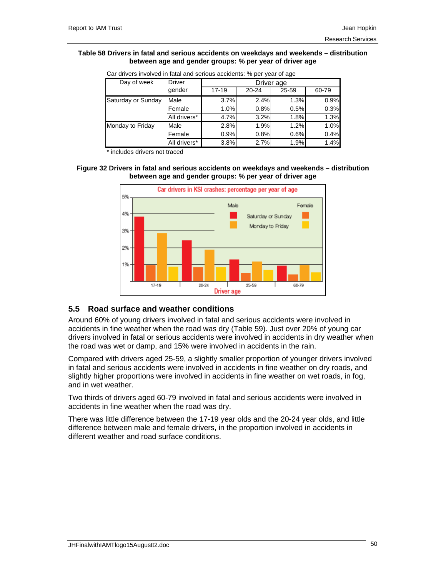#### **Table 58 Drivers in fatal and serious accidents on weekdays and weekends – distribution between age and gender groups: % per year of driver age**

| <u>Udi difvulo ilivulvud ili lalal dila ochudo accidento. 70 pui yual ul aqu</u> |               |           |           |            |       |  |  |  |  |
|----------------------------------------------------------------------------------|---------------|-----------|-----------|------------|-------|--|--|--|--|
| Day of week                                                                      | <b>Driver</b> |           |           | Driver age |       |  |  |  |  |
|                                                                                  | gender        | $17 - 19$ | $20 - 24$ | 25-59      | 60-79 |  |  |  |  |
| Saturday or Sunday                                                               | Male          | 3.7%      | 2.4%      | 1.3%       | 0.9%  |  |  |  |  |
|                                                                                  | Female        | 1.0%      | 0.8%      | 0.5%       | 0.3%  |  |  |  |  |
|                                                                                  | All drivers*  | 4.7%      | 3.2%      | 1.8%       | 1.3%  |  |  |  |  |
| Monday to Friday                                                                 | Male          | 2.8%      | 1.9%      | 1.2%       | 1.0%  |  |  |  |  |
|                                                                                  | Female        | 0.9%      | 0.8%      | 0.6%       | 0.4%  |  |  |  |  |
|                                                                                  | All drivers*  | 3.8%      | 2.7%      | 1.9%       | 1.4%  |  |  |  |  |

Car drivers involved in fatal and serious accidents: % per year of age

\* includes drivers not traced

## **Figure 32 Drivers in fatal and serious accidents on weekdays and weekends – distribution between age and gender groups: % per year of driver age**



# **5.5 Road surface and weather conditions**

Around 60% of young drivers involved in fatal and serious accidents were involved in accidents in fine weather when the road was dry (Table 59). Just over 20% of young car drivers involved in fatal or serious accidents were involved in accidents in dry weather when the road was wet or damp, and 15% were involved in accidents in the rain.

Compared with drivers aged 25-59, a slightly smaller proportion of younger drivers involved in fatal and serious accidents were involved in accidents in fine weather on dry roads, and slightly higher proportions were involved in accidents in fine weather on wet roads, in fog, and in wet weather.

Two thirds of drivers aged 60-79 involved in fatal and serious accidents were involved in accidents in fine weather when the road was dry.

There was little difference between the 17-19 year olds and the 20-24 year olds, and little difference between male and female drivers, in the proportion involved in accidents in different weather and road surface conditions.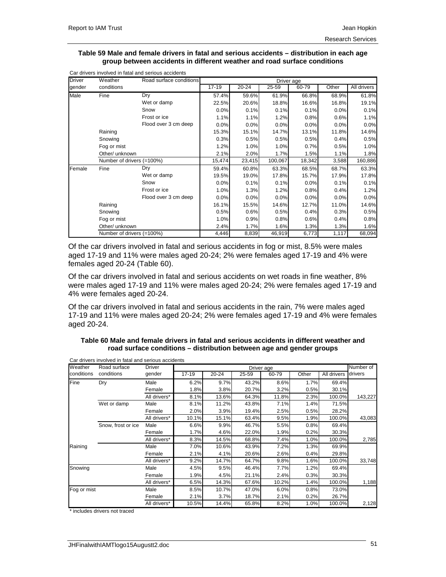#### **Table 59 Male and female drivers in fatal and serious accidents – distribution in each age group between accidents in different weather and road surface conditions**

| <b>Driver</b> | Weather                   | Road surface conditions |           |           | Driver age |           |       |             |
|---------------|---------------------------|-------------------------|-----------|-----------|------------|-----------|-------|-------------|
| gender        | conditions                |                         | $17 - 19$ | $20 - 24$ | 25-59      | $60 - 79$ | Other | All drivers |
| Male          | Fine                      | Dry                     | 57.4%     | 59.6%     | 61.9%      | 66.8%     | 68.9% | 61.8%       |
|               |                           | Wet or damp             | 22.5%     | 20.6%     | 18.8%      | 16.6%     | 16.8% | 19.1%       |
|               |                           | Snow                    | 0.0%      | 0.1%      | 0.1%       | 0.1%      | 0.0%  | 0.1%        |
|               |                           | Frost or ice            | 1.1%      | 1.1%      | 1.2%       | 0.8%      | 0.6%  | 1.1%        |
|               |                           | Flood over 3 cm deep    | 0.0%      | 0.0%      | 0.0%       | 0.0%      | 0.0%  | 0.0%        |
|               | Raining                   |                         | 15.3%     | 15.1%     | 14.7%      | 13.1%     | 11.8% | 14.6%       |
|               | Snowing                   |                         | 0.3%      | 0.5%      | 0.5%       | 0.5%      | 0.4%  | 0.5%        |
|               | Fog or mist               |                         | 1.2%      | 1.0%      | 1.0%       | 0.7%      | 0.5%  | 1.0%        |
|               | Other/ unknown            |                         | 2.1%      | 2.0%      | 1.7%       | 1.5%      | 1.1%  | 1.8%        |
|               | Number of drivers (=100%) |                         | 15,474    | 23,415    | 100,067    | 18,342    | 3,588 | 160,886     |
| Female        | Fine                      | Dry                     | 59.4%     | 60.8%     | 63.3%      | 68.5%     | 68.7% | 63.3%       |
|               |                           | Wet or damp             | 19.5%     | 19.0%     | 17.8%      | 15.7%     | 17.9% | 17.8%       |
|               |                           | Snow                    | 0.0%      | 0.1%      | 0.1%       | 0.0%      | 0.1%  | 0.1%        |
|               |                           | Frost or ice            | 1.0%      | 1.3%      | 1.2%       | 0.8%      | 0.4%  | 1.2%        |
|               |                           | Flood over 3 cm deep    | 0.0%      | 0.0%      | 0.0%       | 0.0%      | 0.0%  | 0.0%        |
|               | Raining                   |                         | 16.1%     | 15.5%     | 14.6%      | 12.7%     | 11.0% | 14.6%       |
|               | Snowing                   |                         | 0.5%      | 0.6%      | 0.5%       | 0.4%      | 0.3%  | 0.5%        |
|               | Fog or mist               |                         | 1.0%      | 0.9%      | 0.8%       | 0.6%      | 0.4%  | 0.8%        |
|               | Other/ unknown            |                         | 2.4%      | 1.7%      | 1.6%       | 1.3%      | 1.3%  | 1.6%        |
|               | Number of drivers (=100%) |                         | 4,446     | 8,839     | 46,919     | 6,773     | 1,117 | 68,094      |

Of the car drivers involved in fatal and serious accidents in fog or mist, 8.5% were males aged 17-19 and 11% were males aged 20-24; 2% were females aged 17-19 and 4% were females aged 20-24 (Table 60).

Of the car drivers involved in fatal and serious accidents on wet roads in fine weather, 8% were males aged 17-19 and 11% were males aged 20-24; 2% were females aged 17-19 and 4% were females aged 20-24.

Of the car drivers involved in fatal and serious accidents in the rain, 7% were males aged 17-19 and 11% were males aged 20-24; 2% were females aged 17-19 and 4% were females aged 20-24.

## **Table 60 Male and female drivers in fatal and serious accidents in different weather and road surface conditions – distribution between age and gender groups**

| Weather     | Road surface       | <b>Driver</b> |           |           |       | Driver age |       |             | Number of |
|-------------|--------------------|---------------|-----------|-----------|-------|------------|-------|-------------|-----------|
| conditions  | conditions         | gender        | $17 - 19$ | $20 - 24$ | 25-59 | 60-79      | Other | All drivers | drivers   |
| Fine        | Dry                | Male          | 6.2%      | 9.7%      | 43.2% | 8.6%       | 1.7%  | 69.4%       |           |
|             |                    | Female        | 1.8%      | 3.8%      | 20.7% | 3.2%       | 0.5%  | 30.1%       |           |
|             |                    | All drivers*  | 8.1%      | 13.6%     | 64.3% | 11.8%      | 2.3%  | 100.0%      | 143,227   |
|             | Wet or damp        | Male          | 8.1%      | 11.2%     | 43.8% | 7.1%       | 1.4%  | 71.5%       |           |
|             |                    | Female        | 2.0%      | 3.9%      | 19.4% | 2.5%       | 0.5%  | 28.2%       |           |
|             |                    | All drivers*  | 10.1%     | 15.1%     | 63.4% | 9.5%       | 1.9%  | 100.0%      | 43,083    |
|             | Snow, frost or ice | Male          | 6.6%      | 9.9%      | 46.7% | 5.5%       | 0.8%  | 69.4%       |           |
|             |                    | Female        | 1.7%      | 4.6%      | 22.0% | 1.9%       | 0.2%  | 30.3%       |           |
|             |                    | All drivers*  | 8.3%      | 14.5%     | 68.8% | 7.4%       | 1.0%  | 100.0%      | 2,785     |
| Raining     |                    | Male          | 7.0%      | 10.6%     | 43.9% | 7.2%       | 1.3%  | 69.9%       |           |
|             |                    | Female        | 2.1%      | 4.1%      | 20.6% | 2.6%       | 0.4%  | 29.8%       |           |
|             |                    | All drivers*  | 9.2%      | 14.7%     | 64.7% | 9.8%       | 1.6%  | 100.0%      | 33,748    |
| Snowing     |                    | Male          | 4.5%      | 9.5%      | 46.4% | 7.7%       | 1.2%  | 69.4%       |           |
|             |                    | Female        | 1.9%      | 4.5%      | 21.1% | 2.4%       | 0.3%  | 30.3%       |           |
|             |                    | All drivers*  | 6.5%      | 14.3%     | 67.6% | 10.2%      | 1.4%  | 100.0%      | 1,188     |
| Fog or mist |                    | Male          | 8.5%      | 10.7%     | 47.0% | 6.0%       | 0.8%  | 73.0%       |           |
|             |                    | Female        | 2.1%      | 3.7%      | 18.7% | 2.1%       | 0.2%  | 26.7%       |           |
|             |                    | All drivers*  | 10.5%     | 14.4%     | 65.8% | 8.2%       | 1.0%  | 100.0%      | 2,128     |

Car drivers involved in fatal and serious accidents

\* includes drivers not traced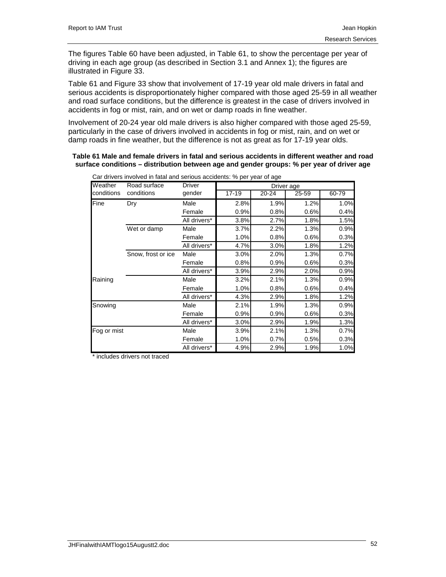The figures Table 60 have been adjusted, in Table 61, to show the percentage per year of driving in each age group (as described in Section 3.1 and Annex 1); the figures are illustrated in Figure 33.

Table 61 and Figure 33 show that involvement of 17-19 year old male drivers in fatal and serious accidents is disproportionately higher compared with those aged 25-59 in all weather and road surface conditions, but the difference is greatest in the case of drivers involved in accidents in fog or mist, rain, and on wet or damp roads in fine weather.

Involvement of 20-24 year old male drivers is also higher compared with those aged 25-59, particularly in the case of drivers involved in accidents in fog or mist, rain, and on wet or damp roads in fine weather, but the difference is not as great as for 17-19 year olds.

#### **Table 61 Male and female drivers in fatal and serious accidents in different weather and road surface conditions – distribution between age and gender groups: % per year of driver age**

| Weather     | Road surface       | <b>Driver</b> |           | Driver age |       |       |
|-------------|--------------------|---------------|-----------|------------|-------|-------|
| conditions  | conditions         | gender        | $17 - 19$ | $20 - 24$  | 25-59 | 60-79 |
| Fine        | Dry                | Male          | 2.8%      | 1.9%       | 1.2%  | 1.0%  |
|             |                    | Female        | 0.9%      | 0.8%       | 0.6%  | 0.4%  |
|             |                    | All drivers*  | 3.8%      | 2.7%       | 1.8%  | 1.5%  |
|             | Wet or damp        | Male          | 3.7%      | 2.2%       | 1.3%  | 0.9%  |
|             |                    | Female        | 1.0%      | 0.8%       | 0.6%  | 0.3%  |
|             |                    | All drivers*  | 4.7%      | 3.0%       | 1.8%  | 1.2%  |
|             | Snow, frost or ice | Male          | 3.0%      | 2.0%       | 1.3%  | 0.7%  |
|             |                    | Female        | 0.8%      | 0.9%       | 0.6%  | 0.3%  |
|             |                    | All drivers*  | 3.9%      | 2.9%       | 2.0%  | 0.9%  |
| Raining     |                    | Male          | 3.2%      | 2.1%       | 1.3%  | 0.9%  |
|             |                    | Female        | 1.0%      | 0.8%       | 0.6%  | 0.4%  |
|             |                    | All drivers*  | 4.3%      | 2.9%       | 1.8%  | 1.2%  |
| Snowing     |                    | Male          | 2.1%      | 1.9%       | 1.3%  | 0.9%  |
|             |                    | Female        | 0.9%      | 0.9%       | 0.6%  | 0.3%  |
|             |                    | All drivers*  | 3.0%      | 2.9%       | 1.9%  | 1.3%  |
| Fog or mist |                    | Male          | 3.9%      | 2.1%       | 1.3%  | 0.7%  |
|             |                    | Female        | 1.0%      | 0.7%       | 0.5%  | 0.3%  |
|             |                    | All drivers*  | 4.9%      | 2.9%       | 1.9%  | 1.0%  |

Car drivers involved in fatal and serious accidents: % per year of age

\* includes drivers not traced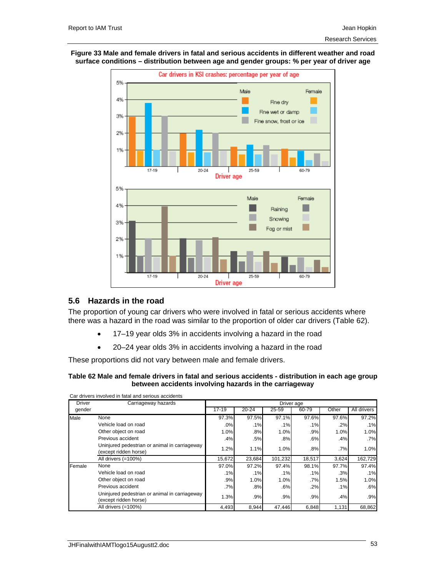## **Figure 33 Male and female drivers in fatal and serious accidents in different weather and road surface conditions – distribution between age and gender groups: % per year of driver age**



## **5.6 Hazards in the road**

The proportion of young car drivers who were involved in fatal or serious accidents where there was a hazard in the road was similar to the proportion of older car drivers (Table 62).

- 17–19 year olds 3% in accidents involving a hazard in the road
- 20–24 year olds 3% in accidents involving a hazard in the road

These proportions did not vary between male and female drivers.

## **Table 62 Male and female drivers in fatal and serious accidents - distribution in each age group between accidents involving hazards in the carriageway**

| <b>Driver</b> | Carriageway hazards                                                    |           |           | Driver age |        |       |             |
|---------------|------------------------------------------------------------------------|-----------|-----------|------------|--------|-------|-------------|
| gender        |                                                                        | $17 - 19$ | $20 - 24$ | 25-59      | 60-79  | Other | All drivers |
| Male          | None                                                                   | 97.3%     | 97.5%     | 97.1%      | 97.6%  | 97.6% | 97.2%       |
|               | Vehicle load on road                                                   | .0%       | .1%       | .1%        | .1%    | .2%   | .1%         |
|               | Other object on road                                                   | 1.0%      | .8%       | 1.0%       | .9%    | 1.0%  | 1.0%        |
|               | Previous accident                                                      | .4%       | .5%       | .8%        | .6%    | .4%   | .7%         |
|               | Uninjured pedestrian or animal in carriageway<br>(except ridden horse) | 1.2%      | 1.1%      | 1.0%       | $.8\%$ | .7%   | 1.0%        |
|               | All drivers (=100%)                                                    | 15,672    | 23,684    | 101,232    | 18,517 | 3,624 | 162,729     |
| Female        | None                                                                   | 97.0%     | 97.2%     | 97.4%      | 98.1%  | 97.7% | 97.4%       |
|               | Vehicle load on road                                                   | .1%       | .1%       | .1%        | .1%    | .3%   | .1%         |
|               | Other object on road                                                   | .9%       | 1.0%      | 1.0%       | $.7\%$ | 1.5%  | 1.0%        |
|               | Previous accident                                                      | .7%       | $.8\%$    | .6%        | .2%    | .1%   | .6%         |
|               | Uninjured pedestrian or animal in carriageway<br>(except ridden horse) | 1.3%      | .9%       | .9%        | .9%    | .4%   | .9%         |
|               | All drivers (=100%)                                                    | 4,493     | 8,944     | 47,446     | 6,848  | 1,131 | 68,862      |

Car drivers involved in fatal and serious accidents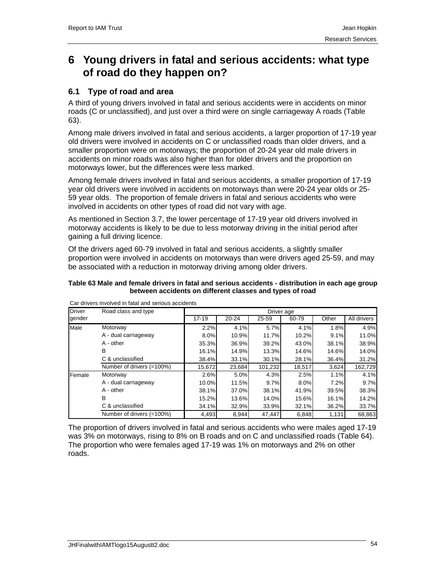# **6 Young drivers in fatal and serious accidents: what type of road do they happen on?**

# **6.1 Type of road and area**

A third of young drivers involved in fatal and serious accidents were in accidents on minor roads (C or unclassified), and just over a third were on single carriageway A roads (Table 63).

Among male drivers involved in fatal and serious accidents, a larger proportion of 17-19 year old drivers were involved in accidents on C or unclassified roads than older drivers, and a smaller proportion were on motorways; the proportion of 20-24 year old male drivers in accidents on minor roads was also higher than for older drivers and the proportion on motorways lower, but the differences were less marked.

Among female drivers involved in fatal and serious accidents, a smaller proportion of 17-19 year old drivers were involved in accidents on motorways than were 20-24 year olds or 25- 59 year olds. The proportion of female drivers in fatal and serious accidents who were involved in accidents on other types of road did not vary with age.

As mentioned in Section 3.7, the lower percentage of 17-19 year old drivers involved in motorway accidents is likely to be due to less motorway driving in the initial period after gaining a full driving licence.

Of the drivers aged 60-79 involved in fatal and serious accidents, a slightly smaller proportion were involved in accidents on motorways than were drivers aged 25-59, and may be associated with a reduction in motorway driving among older drivers.

## **Table 63 Male and female drivers in fatal and serious accidents - distribution in each age group between accidents on different classes and types of road**

| <b>Driver</b> | Road class and type       |           |           | Driver age |        |       |             |
|---------------|---------------------------|-----------|-----------|------------|--------|-------|-------------|
| gender        |                           | $17 - 19$ | $20 - 24$ | 25-59      | 60-79  | Other | All drivers |
| Male          | Motorway                  | 2.2%      | 4.1%      | 5.7%       | 4.1%   | 1.8%  | 4.9%        |
|               | A - dual carriageway      | 8.0%      | 10.9%     | 11.7%      | 10.2%  | 9.1%  | 11.0%       |
|               | A - other                 | 35.3%     | 36.9%     | 39.2%      | 43.0%  | 38.1% | 38.9%       |
|               | в                         | 16.1%     | 14.9%     | 13.3%      | 14.6%  | 14.6% | 14.0%       |
|               | C & unclassified          | 38.4%     | 33.1%     | 30.1%      | 28.1%  | 36.4% | 31.2%       |
|               | Number of drivers (=100%) | 15.672    | 23.684    | 101.232    | 18,517 | 3,624 | 162,729     |
| Female        | Motorway                  | 2.6%      | 5.0%      | 4.3%       | 2.5%   | 1.1%  | 4.1%        |
|               | A - dual carriageway      | 10.0%     | 11.5%     | 9.7%       | 8.0%   | 7.2%  | 9.7%        |
|               | $A - other$               | 38.1%     | 37.0%     | 38.1%      | 41.9%  | 39.5% | 38.3%       |
|               | B                         | 15.2%     | 13.6%     | 14.0%      | 15.6%  | 16.1% | 14.2%       |
|               | C & unclassified          | 34.1%     | 32.9%     | 33.9%      | 32.1%  | 36.2% | 33.7%       |
|               | Number of drivers (=100%) | 4,493     | 8,944     | 47.447     | 6,848  | 1,131 | 68,863      |

Car drivers involved in fatal and serious accidents

The proportion of drivers involved in fatal and serious accidents who were males aged 17-19 was 3% on motorways, rising to 8% on B roads and on C and unclassified roads (Table 64). The proportion who were females aged 17-19 was 1% on motorways and 2% on other roads.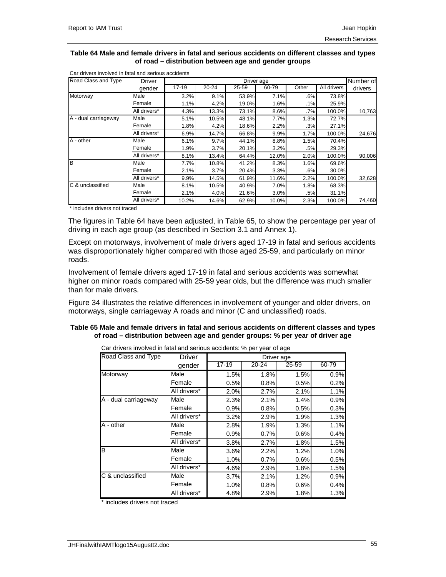#### **Table 64 Male and female drivers in fatal and serious accidents on different classes and types of road – distribution between age and gender groups**

| Road Class and Type  | <b>Driver</b> |       |           | Driver age |       |        |                    | Number of |
|----------------------|---------------|-------|-----------|------------|-------|--------|--------------------|-----------|
|                      | gender        | 17-19 | $20 - 24$ | 25-59      | 60-79 | Other  | <b>All drivers</b> | drivers   |
| Motorway             | Male          | 3.2%  | 9.1%      | 53.9%      | 7.1%  | .6%    | 73.8%              |           |
|                      | Female        | 1.1%  | 4.2%      | 19.0%      | 1.6%  | .1%    | 25.9%              |           |
|                      | All drivers*  | 4.3%  | 13.3%     | 73.1%      | 8.6%  | $.7\%$ | 100.0%             | 10,763    |
| A - dual carriageway | Male          | 5.1%  | 10.5%     | 48.1%      | 7.7%  | 1.3%   | 72.7%              |           |
|                      | Female        | 1.8%  | 4.2%      | 18.6%      | 2.2%  | .3%    | 27.1%              |           |
|                      | All drivers*  | 6.9%  | 14.7%     | 66.8%      | 9.9%  | 1.7%   | 100.0%             | 24,676    |
| A - other            | Male          | 6.1%  | 9.7%      | 44.1%      | 8.8%  | 1.5%   | 70.4%              |           |
|                      | Female        | 1.9%  | 3.7%      | 20.1%      | 3.2%  | .5%    | 29.3%              |           |
|                      | All drivers*  | 8.1%  | 13.4%     | 64.4%      | 12.0% | 2.0%   | 100.0%             | 90,006    |
| lв                   | Male          | 7.7%  | 10.8%     | 41.2%      | 8.3%  | 1.6%   | 69.6%              |           |
|                      | Female        | 2.1%  | 3.7%      | 20.4%      | 3.3%  | .6%    | 30.0%              |           |
|                      | All drivers*  | 9.9%  | 14.5%     | 61.9%      | 11.6% | 2.2%   | 100.0%             | 32,628    |
| C & unclassified     | Male          | 8.1%  | 10.5%     | 40.9%      | 7.0%  | 1.8%   | 68.3%              |           |
|                      | Female        | 2.1%  | 4.0%      | 21.6%      | 3.0%  | .5%    | 31.1%              |           |
|                      | All drivers*  | 10.2% | 14.6%     | 62.9%      | 10.0% | 2.3%   | 100.0%             | 74,460    |

Car drivers involved in fatal and serious accidents

\* includes drivers not traced

The figures in Table 64 have been adjusted, in Table 65, to show the percentage per year of driving in each age group (as described in Section 3.1 and Annex 1).

Except on motorways, involvement of male drivers aged 17-19 in fatal and serious accidents was disproportionately higher compared with those aged 25-59, and particularly on minor roads.

Involvement of female drivers aged 17-19 in fatal and serious accidents was somewhat higher on minor roads compared with 25-59 year olds, but the difference was much smaller than for male drivers.

Figure 34 illustrates the relative differences in involvement of younger and older drivers, on motorways, single carriageway A roads and minor (C and unclassified) roads.

## **Table 65 Male and female drivers in fatal and serious accidents on different classes and types of road – distribution between age and gender groups: % per year of driver age**

| Road Class and Type  | <b>Driver</b> |           | Driver age |       |       |
|----------------------|---------------|-----------|------------|-------|-------|
|                      | gender        | $17 - 19$ | 20-24      | 25-59 | 60-79 |
| Motorway             | Male          | 1.5%      | 1.8%       | 1.5%  | 0.9%  |
|                      | Female        | 0.5%      | 0.8%       | 0.5%  | 0.2%  |
|                      | All drivers*  | 2.0%      | 2.7%       | 2.1%  | 1.1%  |
| A - dual carriageway | Male          | 2.3%      | 2.1%       | 1.4%  | 0.9%  |
|                      | Female        | 0.9%      | 0.8%       | 0.5%  | 0.3%  |
|                      | All drivers*  | 3.2%      | 2.9%       | 1.9%  | 1.3%  |
| A - other            | Male          | 2.8%      | 1.9%       | 1.3%  | 1.1%  |
|                      | Female        | 0.9%      | 0.7%       | 0.6%  | 0.4%  |
|                      | All drivers*  | 3.8%      | 2.7%       | 1.8%  | 1.5%  |
| B                    | Male          | 3.6%      | 2.2%       | 1.2%  | 1.0%  |
|                      | Female        | 1.0%      | 0.7%       | 0.6%  | 0.5%  |
|                      | All drivers*  | 4.6%      | 2.9%       | 1.8%  | 1.5%  |
| C & unclassified     | Male          | 3.7%      | 2.1%       | 1.2%  | 0.9%  |
|                      | Female        | 1.0%      | 0.8%       | 0.6%  | 0.4%  |
|                      | All drivers*  | 4.8%      | 2.9%       | 1.8%  | 1.3%  |

Car drivers involved in fatal and serious accidents: % per year of age

includes drivers not traced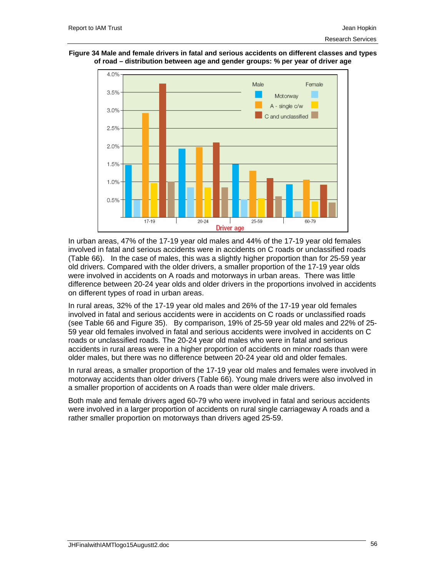



In urban areas, 47% of the 17-19 year old males and 44% of the 17-19 year old females involved in fatal and serious accidents were in accidents on C roads or unclassified roads (Table 66). In the case of males, this was a slightly higher proportion than for 25-59 year old drivers. Compared with the older drivers, a smaller proportion of the 17-19 year olds were involved in accidents on A roads and motorways in urban areas. There was little difference between 20-24 year olds and older drivers in the proportions involved in accidents on different types of road in urban areas.

In rural areas, 32% of the 17-19 year old males and 26% of the 17-19 year old females involved in fatal and serious accidents were in accidents on C roads or unclassified roads (see Table 66 and Figure 35). By comparison, 19% of 25-59 year old males and 22% of 25- 59 year old females involved in fatal and serious accidents were involved in accidents on C roads or unclassified roads. The 20-24 year old males who were in fatal and serious accidents in rural areas were in a higher proportion of accidents on minor roads than were older males, but there was no difference between 20-24 year old and older females.

In rural areas, a smaller proportion of the 17-19 year old males and females were involved in motorway accidents than older drivers (Table 66). Young male drivers were also involved in a smaller proportion of accidents on A roads than were older male drivers.

Both male and female drivers aged 60-79 who were involved in fatal and serious accidents were involved in a larger proportion of accidents on rural single carriageway A roads and a rather smaller proportion on motorways than drivers aged 25-59.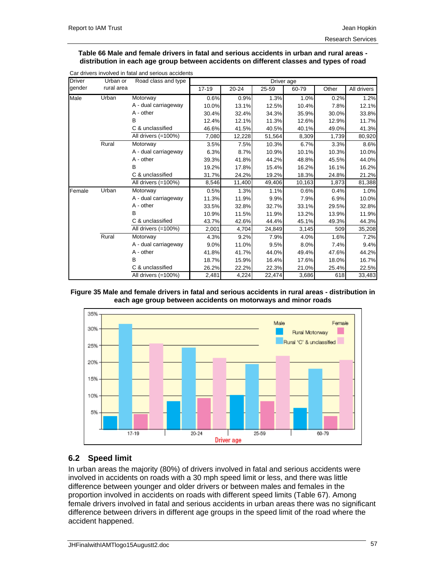#### **Table 66 Male and female drivers in fatal and serious accidents in urban and rural areas distribution in each age group between accidents on different classes and types of road**

| <b>Driver</b> | Urban or   | Road class and type  |           |           |        | Driver age |       |             |
|---------------|------------|----------------------|-----------|-----------|--------|------------|-------|-------------|
| gender        | rural area |                      | $17 - 19$ | $20 - 24$ | 25-59  | 60-79      | Other | All drivers |
| <b>Male</b>   | Urban      | Motorway             | 0.6%      | 0.9%      | 1.3%   | 1.0%       | 0.2%  | 1.2%        |
|               |            | A - dual carriageway | 10.0%     | 13.1%     | 12.5%  | 10.4%      | 7.8%  | 12.1%       |
|               |            | A - other            | 30.4%     | 32.4%     | 34.3%  | 35.9%      | 30.0% | 33.8%       |
|               |            | B                    | 12.4%     | 12.1%     | 11.3%  | 12.6%      | 12.9% | 11.7%       |
|               |            | C & unclassified     | 46.6%     | 41.5%     | 40.5%  | 40.1%      | 49.0% | 41.3%       |
|               |            | All drivers (=100%)  | 7,080     | 12,228    | 51,564 | 8,309      | 1,739 | 80,920      |
|               | Rural      | Motorway             | 3.5%      | 7.5%      | 10.3%  | 6.7%       | 3.3%  | 8.6%        |
|               |            | A - dual carriageway | 6.3%      | 8.7%      | 10.9%  | 10.1%      | 10.3% | 10.0%       |
|               |            | $A - other$          | 39.3%     | 41.8%     | 44.2%  | 48.8%      | 45.5% | 44.0%       |
|               |            | В                    | 19.2%     | 17.8%     | 15.4%  | 16.2%      | 16.1% | 16.2%       |
|               |            | C & unclassified     | 31.7%     | 24.2%     | 19.2%  | 18.3%      | 24.8% | 21.2%       |
|               |            | All drivers (=100%)  | 8,546     | 11,400    | 49,406 | 10,163     | 1,873 | 81,388      |
| Female        | Urban      | Motorway             | 0.5%      | 1.3%      | 1.1%   | 0.6%       | 0.4%  | 1.0%        |
|               |            | A - dual carriageway | 11.3%     | 11.9%     | 9.9%   | 7.9%       | 6.9%  | 10.0%       |
|               |            | A - other            | 33.5%     | 32.8%     | 32.7%  | 33.1%      | 29.5% | 32.8%       |
|               |            | B                    | 10.9%     | 11.5%     | 11.9%  | 13.2%      | 13.9% | 11.9%       |
|               |            | C & unclassified     | 43.7%     | 42.6%     | 44.4%  | 45.1%      | 49.3% | 44.3%       |
|               |            | All drivers (=100%)  | 2,001     | 4,704     | 24,849 | 3,145      | 509   | 35,208      |
|               | Rural      | Motorway             | 4.3%      | 9.2%      | 7.9%   | 4.0%       | 1.6%  | 7.2%        |
|               |            | A - dual carriageway | 9.0%      | 11.0%     | 9.5%   | 8.0%       | 7.4%  | 9.4%        |
|               |            | $A - other$          | 41.8%     | 41.7%     | 44.0%  | 49.4%      | 47.6% | 44.2%       |
|               |            | B                    | 18.7%     | 15.9%     | 16.4%  | 17.6%      | 18.0% | 16.7%       |
|               |            | C & unclassified     | 26.2%     | 22.2%     | 22.3%  | 21.0%      | 25.4% | 22.5%       |
|               |            | All drivers (=100%)  | 2,481     | 4,224     | 22,474 | 3,686      | 618   | 33,483      |

#### Car drivers involved in fatal and serious accidents

## **Figure 35 Male and female drivers in fatal and serious accidents in rural areas - distribution in each age group between accidents on motorways and minor roads**



## **6.2 Speed limit**

In urban areas the majority (80%) of drivers involved in fatal and serious accidents were involved in accidents on roads with a 30 mph speed limit or less, and there was little difference between younger and older drivers or between males and females in the proportion involved in accidents on roads with different speed limits (Table 67). Among female drivers involved in fatal and serious accidents in urban areas there was no significant difference between drivers in different age groups in the speed limit of the road where the accident happened.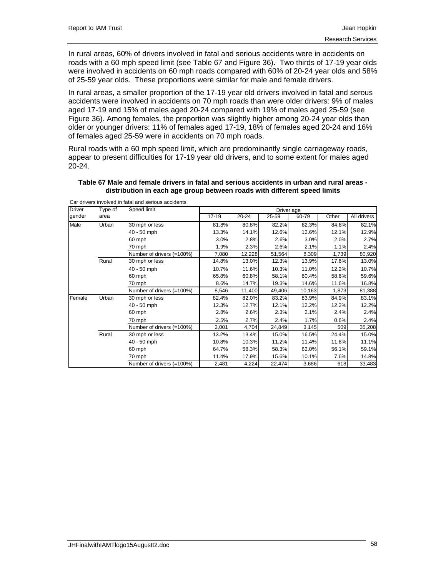In rural areas, 60% of drivers involved in fatal and serious accidents were in accidents on roads with a 60 mph speed limit (see Table 67 and Figure 36). Two thirds of 17-19 year olds were involved in accidents on 60 mph roads compared with 60% of 20-24 year olds and 58% of 25-59 year olds. These proportions were similar for male and female drivers.

In rural areas, a smaller proportion of the 17-19 year old drivers involved in fatal and serous accidents were involved in accidents on 70 mph roads than were older drivers: 9% of males aged 17-19 and 15% of males aged 20-24 compared with 19% of males aged 25-59 (see Figure 36). Among females, the proportion was slightly higher among 20-24 year olds than older or younger drivers: 11% of females aged 17-19, 18% of females aged 20-24 and 16% of females aged 25-59 were in accidents on 70 mph roads.

Rural roads with a 60 mph speed limit, which are predominantly single carriageway roads, appear to present difficulties for 17-19 year old drivers, and to some extent for males aged 20-24.

|               |         | Car drivers involved in fatal and serious accidents |           |           |            |        |       |             |
|---------------|---------|-----------------------------------------------------|-----------|-----------|------------|--------|-------|-------------|
| <b>Driver</b> | Type of | Speed limit                                         |           |           | Driver age |        |       |             |
| gender        | area    |                                                     | $17 - 19$ | $20 - 24$ | 25-59      | 60-79  | Other | All drivers |
| Male          | Urban   | 30 mph or less                                      | 81.8%     | 80.8%     | 82.2%      | 82.3%  | 84.8% | 82.1%       |
|               |         | 40 - 50 mph                                         | 13.3%     | 14.1%     | 12.6%      | 12.6%  | 12.1% | 12.9%       |
|               |         | 60 mph                                              | 3.0%      | 2.8%      | 2.6%       | 3.0%   | 2.0%  | 2.7%        |
|               |         | 70 mph                                              | 1.9%      | 2.3%      | 2.6%       | 2.1%   | 1.1%  | 2.4%        |
|               |         | Number of drivers (=100%)                           | 7,080     | 12,228    | 51,564     | 8,309  | 1,739 | 80,920      |
|               | Rural   | 30 mph or less                                      | 14.8%     | 13.0%     | 12.3%      | 13.9%  | 17.6% | 13.0%       |
|               |         | 40 - 50 mph                                         | 10.7%     | 11.6%     | 10.3%      | 11.0%  | 12.2% | 10.7%       |
|               |         | 60 mph                                              | 65.8%     | 60.8%     | 58.1%      | 60.4%  | 58.6% | 59.6%       |
|               |         | 70 mph                                              | 8.6%      | 14.7%     | 19.3%      | 14.6%  | 11.6% | 16.8%       |
|               |         | Number of drivers (=100%)                           | 8,546     | 11,400    | 49,406     | 10,163 | 1,873 | 81,388      |
| Female        | Urban   | 30 mph or less                                      | 82.4%     | 82.0%     | 83.2%      | 83.9%  | 84.9% | 83.1%       |
|               |         | 40 - 50 mph                                         | 12.3%     | 12.7%     | 12.1%      | 12.2%  | 12.2% | 12.2%       |
|               |         | 60 mph                                              | 2.8%      | 2.6%      | 2.3%       | 2.1%   | 2.4%  | 2.4%        |
|               |         | 70 mph                                              | 2.5%      | 2.7%      | 2.4%       | 1.7%   | 0.6%  | 2.4%        |
|               |         | Number of drivers (=100%)                           | 2,001     | 4,704     | 24,849     | 3,145  | 509   | 35,208      |
|               | Rural   | 30 mph or less                                      | 13.2%     | 13.4%     | 15.0%      | 16.5%  | 24.4% | 15.0%       |
|               |         | 40 - 50 mph                                         | 10.8%     | 10.3%     | 11.2%      | 11.4%  | 11.8% | 11.1%       |
|               |         | 60 mph                                              | 64.7%     | 58.3%     | 58.3%      | 62.0%  | 56.1% | 59.1%       |
|               |         | 70 mph                                              | 11.4%     | 17.9%     | 15.6%      | 10.1%  | 7.6%  | 14.8%       |
|               |         | Number of drivers (=100%)                           | 2,481     | 4,224     | 22,474     | 3,686  | 618   | 33,483      |

## **Table 67 Male and female drivers in fatal and serious accidents in urban and rural areas distribution in each age group between roads with different speed limits**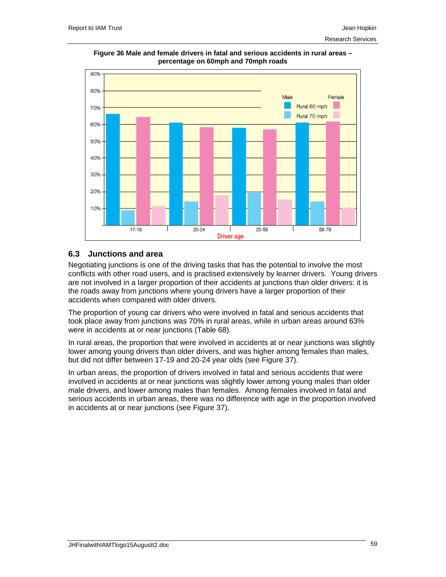

**Figure 36 Male and female drivers in fatal and serious accidents in rural areas – percentage on 60mph and 70mph roads** 

# **6.3 Junctions and area**

Negotiating junctions is one of the driving tasks that has the potential to involve the most conflicts with other road users, and is practised extensively by learner drivers. Young drivers are not involved in a larger proportion of their accidents at junctions than older drivers: it is the roads away from junctions where young drivers have a larger proportion of their accidents when compared with older drivers.

The proportion of young car drivers who were involved in fatal and serious accidents that took place away from junctions was 70% in rural areas, while in urban areas around 63% were in accidents at or near junctions (Table 68).

In rural areas, the proportion that were involved in accidents at or near junctions was slightly lower among young drivers than older drivers, and was higher among females than males, but did not differ between 17-19 and 20-24 year olds (see Figure 37).

In urban areas, the proportion of drivers involved in fatal and serious accidents that were involved in accidents at or near junctions was slightly lower among young males than older male drivers, and lower among males than females. Among females involved in fatal and serious accidents in urban areas, there was no difference with age in the proportion involved in accidents at or near junctions (see Figure 37).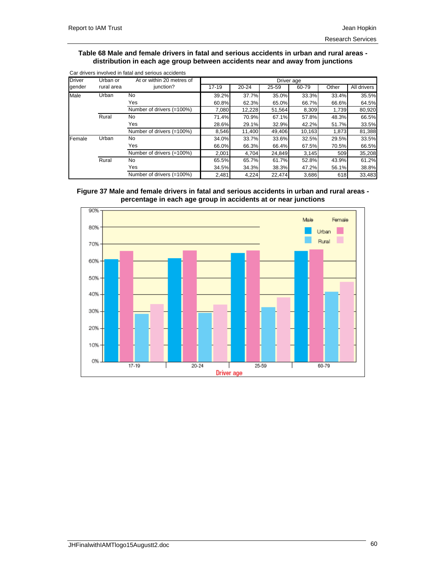#### **Table 68 Male and female drivers in fatal and serious accidents in urban and rural areas distribution in each age group between accidents near and away from junctions**

| <b>Driver</b> | Urban or   | At or within 20 metres of |           |           |        | Driver age |       |             |  |  |  |  |
|---------------|------------|---------------------------|-----------|-----------|--------|------------|-------|-------------|--|--|--|--|
| gender        | rural area | junction?                 | $17 - 19$ | $20 - 24$ | 25-59  | 60-79      | Other | All drivers |  |  |  |  |
| Male          | Urban      | No                        | 39.2%     | 37.7%     | 35.0%  | 33.3%      | 33.4% | 35.5%       |  |  |  |  |
|               |            | Yes                       | 60.8%     | 62.3%     | 65.0%  | 66.7%      | 66.6% | 64.5%       |  |  |  |  |
|               |            | Number of drivers (=100%) | 7.080     | 12,228    | 51,564 | 8.309      | 1.739 | 80,920      |  |  |  |  |
|               | Rural      | No                        | 71.4%     | 70.9%     | 67.1%  | 57.8%      | 48.3% | 66.5%       |  |  |  |  |
|               |            | Yes                       | 28.6%     | 29.1%     | 32.9%  | 42.2%      | 51.7% | 33.5%       |  |  |  |  |
|               |            | Number of drivers (=100%) | 8,546     | 11.400    | 49,406 | 10.163     | 1.873 | 81,388      |  |  |  |  |
| Female        | Urban      | No                        | 34.0%     | 33.7%     | 33.6%  | 32.5%      | 29.5% | 33.5%       |  |  |  |  |
|               |            | Yes                       | 66.0%     | 66.3%     | 66.4%  | 67.5%      | 70.5% | 66.5%       |  |  |  |  |
|               |            | Number of drivers (=100%) | 2,001     | 4,704     | 24,849 | 3,145      | 509   | 35,208      |  |  |  |  |
|               | Rural      | No                        | 65.5%     | 65.7%     | 61.7%  | 52.8%      | 43.9% | 61.2%       |  |  |  |  |
|               |            | Yes                       | 34.5%     | 34.3%     | 38.3%  | 47.2%      | 56.1% | 38.8%       |  |  |  |  |
|               |            | Number of drivers (=100%) | 2,481     | 4,224     | 22.474 | 3,686      | 618   | 33,483      |  |  |  |  |





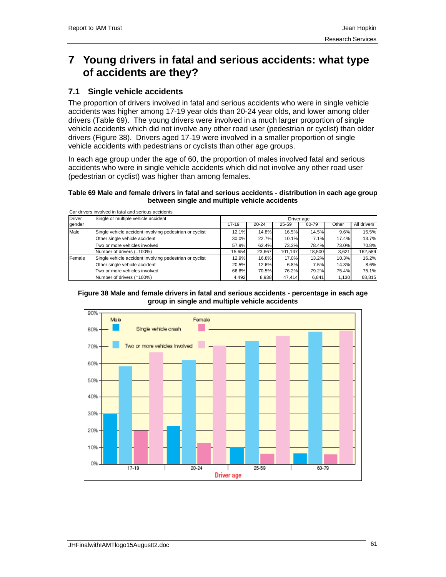# **7 Young drivers in fatal and serious accidents: what type of accidents are they?**

# **7.1 Single vehicle accidents**

The proportion of drivers involved in fatal and serious accidents who were in single vehicle accidents was higher among 17-19 year olds than 20-24 year olds, and lower among older drivers (Table 69). The young drivers were involved in a much larger proportion of single vehicle accidents which did not involve any other road user (pedestrian or cyclist) than older drivers (Figure 38). Drivers aged 17-19 were involved in a smaller proportion of single vehicle accidents with pedestrians or cyclists than other age groups.

In each age group under the age of 60, the proportion of males involved fatal and serious accidents who were in single vehicle accidents which did not involve any other road user (pedestrian or cyclist) was higher than among females.

## **Table 69 Male and female drivers in fatal and serious accidents - distribution in each age group between single and multiple vehicle accidents**

|               | Car drivers involved in fatal and serious accidents     |            |           |         |        |       |             |  |  |  |
|---------------|---------------------------------------------------------|------------|-----------|---------|--------|-------|-------------|--|--|--|
| <b>Driver</b> | Single or multiple vehicle accident                     | Driver age |           |         |        |       |             |  |  |  |
| gender        |                                                         | $17 - 19$  | $20 - 24$ | 25-59   | 60-79  | Other | All drivers |  |  |  |
| Male          | Single vehicle accident involving pedestrian or cyclist | 12.1%      | 14.8%     | 16.5%   | 14.5%  | 9.6%  | 15.5%       |  |  |  |
|               | Other single vehicle accident                           | 30.0%      | 22.7%     | 10.1%   | 7.1%   | 17.4% | 13.7%       |  |  |  |
|               | Two or more vehicles involved                           | 57.9%      | 62.4%     | 73.3%   | 78.4%  | 73.0% | 70.8%       |  |  |  |
|               | Number of drivers (=100%)                               | 15,654     | 23,667    | 101.147 | 18,500 | 3.621 | 162,589     |  |  |  |
| Female        | Single vehicle accident involving pedestrian or cyclist | 12.9%      | 16.8%     | 17.0%   | 13.2%  | 10.3% | 16.2%       |  |  |  |
|               | Other single vehicle accident                           | 20.5%      | 12.6%     | 6.8%    | 7.5%   | 14.3% | 8.6%        |  |  |  |
|               | Two or more vehicles involved                           | 66.6%      | 70.5%     | 76.2%   | 79.2%  | 75.4% | 75.1%       |  |  |  |
|               | Number of drivers (=100%)                               | 4.492      | 8,938     | 47.414  | 6.841  | 1.130 | 68,815      |  |  |  |

#### **Figure 38 Male and female drivers in fatal and serious accidents - percentage in each age group in single and multiple vehicle accidents**

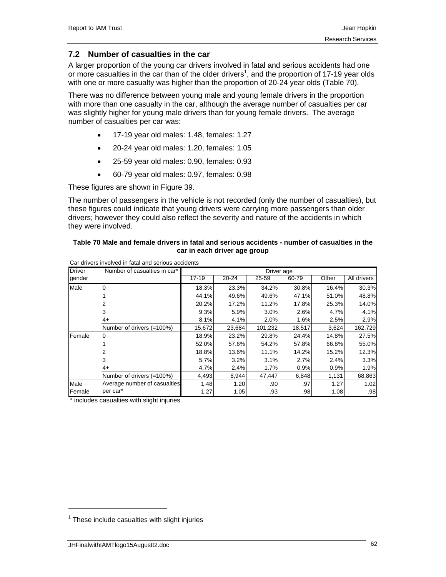# **7.2 Number of casualties in the car**

A larger proportion of the young car drivers involved in fatal and serious accidents had one or more casualties in the car than of the older drivers<sup>1</sup>, and the proportion of 17-19 year olds with one or more casualty was higher than the proportion of 20-24 year olds (Table 70).

There was no difference between young male and young female drivers in the proportion with more than one casualty in the car, although the average number of casualties per car was slightly higher for young male drivers than for young female drivers. The average number of casualties per car was:

- 17-19 year old males: 1.48, females: 1.27
- 20-24 year old males: 1.20, females: 1.05
- 25-59 year old males: 0.90, females: 0.93
- 60-79 year old males: 0.97, females: 0.98

These figures are shown in Figure 39.

The number of passengers in the vehicle is not recorded (only the number of casualties), but these figures could indicate that young drivers were carrying more passengers than older drivers; however they could also reflect the severity and nature of the accidents in which they were involved.

## **Table 70 Male and female drivers in fatal and serious accidents - number of casualties in the car in each driver age group**

| <b>Driver</b> | Number of casualties in car* | Driver age |           |                  |        |       |                  |  |  |
|---------------|------------------------------|------------|-----------|------------------|--------|-------|------------------|--|--|
| gender        |                              | $17 - 19$  | $20 - 24$ | 25-59            | 60-79  | Other | All drivers      |  |  |
| Male          | 0                            | 18.3%      | 23.3%     | 34.2%            | 30.8%  | 16.4% | 30.3%            |  |  |
|               |                              | 44.1%      | 49.6%     | 49.6%            | 47.1%  | 51.0% | 48.8%            |  |  |
|               |                              | 20.2%      | 17.2%     | 11.2%            | 17.8%  | 25.3% | 14.0%            |  |  |
|               | 3                            | 9.3%       | 5.9%      | 3.0%             | 2.6%   | 4.7%  | 4.1%             |  |  |
|               | 4+                           | 8.1%       | 4.1%      | 2.0%             | 1.6%   | 2.5%  | 2.9%             |  |  |
|               | Number of drivers (=100%)    | 15,672     | 23,684    | 101,232          | 18,517 | 3,624 | 162,729          |  |  |
| Female        | $\Omega$                     | 18.9%      | 23.2%     | 29.8%            | 24.4%  | 14.8% | 27.5%            |  |  |
|               |                              | 52.0%      | 57.6%     | 54.2%            | 57.8%  | 66.8% | 55.0%            |  |  |
|               |                              | 18.8%      | 13.6%     | 11.1%            | 14.2%  | 15.2% | 12.3%            |  |  |
|               | 3                            | 5.7%       | 3.2%      | 3.1%             | 2.7%   | 2.4%  | 3.3%             |  |  |
|               | 4+                           | 4.7%       | 2.4%      | 1.7%             | 0.9%   | 0.9%  | 1.9%             |  |  |
|               | Number of drivers (=100%)    | 4,493      | 8,944     | 47.447           | 6,848  | 1,131 | 68,863           |  |  |
| Male          | Average number of casualties | 1.48       | 1.20      | .90              | .97    | 1.27  | 1.02             |  |  |
| Female        | per car*                     | 1.27       | 1.05      | .93 <sub>1</sub> | .98    | 1.08  | .98 <sub>l</sub> |  |  |

Car drivers involved in fatal and serious accidents

\* includes casualties with slight injuries

1

 $1$  These include casualties with slight injuries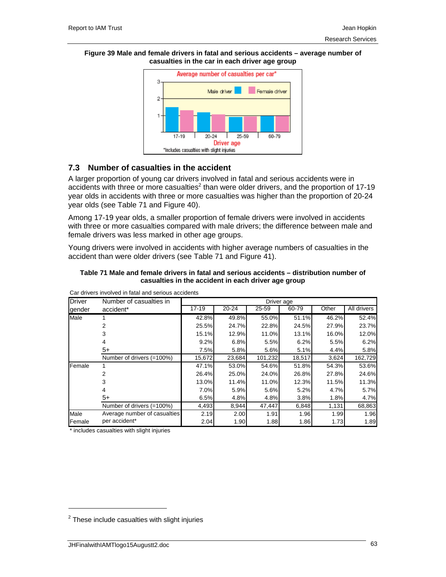#### **Figure 39 Male and female drivers in fatal and serious accidents – average number of casualties in the car in each driver age group**



# **7.3 Number of casualties in the accident**

A larger proportion of young car drivers involved in fatal and serious accidents were in accidents with three or more casualties<sup>2</sup> than were older drivers, and the proportion of 17-19 year olds in accidents with three or more casualties was higher than the proportion of 20-24 year olds (see Table 71 and Figure 40).

Among 17-19 year olds, a smaller proportion of female drivers were involved in accidents with three or more casualties compared with male drivers; the difference between male and female drivers was less marked in other age groups.

Young drivers were involved in accidents with higher average numbers of casualties in the accident than were older drivers (see Table 71 and Figure 41).

| Table 71 Male and female drivers in fatal and serious accidents – distribution number of |
|------------------------------------------------------------------------------------------|
| casualties in the accident in each driver age group                                      |

| <b>Driver</b> | Number of casualties in      | Driver age |           |         |        |       |             |  |  |
|---------------|------------------------------|------------|-----------|---------|--------|-------|-------------|--|--|
| gender        | accident*                    | $17 - 19$  | $20 - 24$ | 25-59   | 60-79  | Other | All drivers |  |  |
| Male          |                              | 42.8%      | 49.8%     | 55.0%   | 51.1%  | 46.2% | 52.4%       |  |  |
|               |                              | 25.5%      | 24.7%     | 22.8%   | 24.5%  | 27.9% | 23.7%       |  |  |
|               | 3                            | 15.1%      | 12.9%     | 11.0%   | 13.1%  | 16.0% | 12.0%       |  |  |
|               |                              | 9.2%       | 6.8%      | 5.5%    | 6.2%   | 5.5%  | 6.2%        |  |  |
|               | $5+$                         | 7.5%       | 5.8%      | 5.6%    | 5.1%   | 4.4%  | 5.8%        |  |  |
|               | Number of drivers (=100%)    | 15,672     | 23,684    | 101,232 | 18,517 | 3,624 | 162,729     |  |  |
| Female        | 1                            | 47.1%      | 53.0%     | 54.6%   | 51.8%  | 54.3% | 53.6%       |  |  |
|               | 2                            | 26.4%      | 25.0%     | 24.0%   | 26.8%  | 27.8% | 24.6%       |  |  |
|               | 3                            | 13.0%      | 11.4%     | 11.0%   | 12.3%  | 11.5% | 11.3%       |  |  |
|               |                              | 7.0%       | 5.9%      | 5.6%    | 5.2%   | 4.7%  | 5.7%        |  |  |
|               | $5+$                         | 6.5%       | 4.8%      | 4.8%    | 3.8%   | 1.8%  | 4.7%        |  |  |
|               | Number of drivers (=100%)    | 4,493      | 8,944     | 47,447  | 6,848  | 1,131 | 68,863      |  |  |
| Male          | Average number of casualties | 2.19       | 2.00      | 1.91    | 1.96   | 1.99  | 1.96        |  |  |
| Female        | per accident*                | 2.04       | 1.90      | 1.88    | 1.86   | 1.73  | 1.89        |  |  |

Car drivers involved in fatal and serious accidents

\* includes casualties with slight injuries

1

 $2$  These include casualties with slight injuries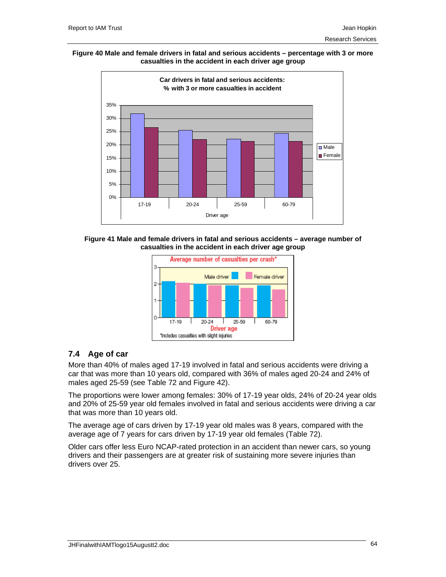#### **Figure 40 Male and female drivers in fatal and serious accidents – percentage with 3 or more casualties in the accident in each driver age group**







# **7.4 Age of car**

More than 40% of males aged 17-19 involved in fatal and serious accidents were driving a car that was more than 10 years old, compared with 36% of males aged 20-24 and 24% of males aged 25-59 (see Table 72 and Figure 42).

The proportions were lower among females: 30% of 17-19 year olds, 24% of 20-24 year olds and 20% of 25-59 year old females involved in fatal and serious accidents were driving a car that was more than 10 years old.

The average age of cars driven by 17-19 year old males was 8 years, compared with the average age of 7 years for cars driven by 17-19 year old females (Table 72).

Older cars offer less Euro NCAP-rated protection in an accident than newer cars, so young drivers and their passengers are at greater risk of sustaining more severe injuries than drivers over 25.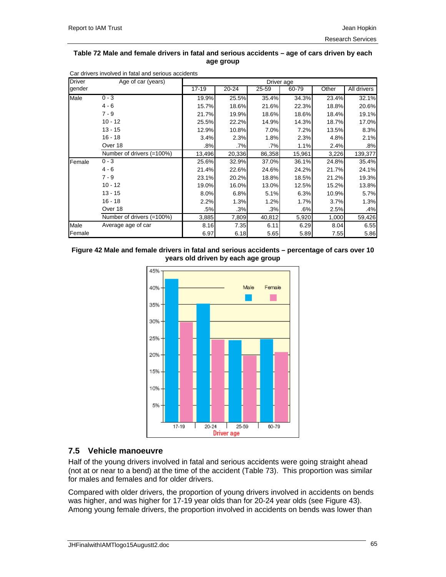## **Table 72 Male and female drivers in fatal and serious accidents – age of cars driven by each age group**

| <b>Driver</b> | Age of car (years)<br>Driver age |           |           |        |        |       |             |
|---------------|----------------------------------|-----------|-----------|--------|--------|-------|-------------|
| gender        |                                  | $17 - 19$ | $20 - 24$ | 25-59  | 60-79  | Other | All drivers |
| Male          | $0 - 3$                          | 19.9%     | 25.5%     | 35.4%  | 34.3%  | 23.4% | 32.1%       |
|               | $4 - 6$                          | 15.7%     | 18.6%     | 21.6%  | 22.3%  | 18.8% | 20.6%       |
|               | $7 - 9$                          | 21.7%     | 19.9%     | 18.6%  | 18.6%  | 18.4% | 19.1%       |
|               | $10 - 12$                        | 25.5%     | 22.2%     | 14.9%  | 14.3%  | 18.7% | 17.0%       |
|               | $13 - 15$                        | 12.9%     | 10.8%     | 7.0%   | 7.2%   | 13.5% | 8.3%        |
|               | $16 - 18$                        | 3.4%      | 2.3%      | 1.8%   | 2.3%   | 4.8%  | 2.1%        |
|               | Over 18                          | .8%       | .7%       | .7%    | 1.1%   | 2.4%  | .8%         |
|               | Number of drivers (=100%)        | 13,496    | 20,336    | 86,358 | 15,961 | 3,226 | 139,377     |
| Female        | $0 - 3$                          | 25.6%     | 32.9%     | 37.0%  | 36.1%  | 24.8% | 35.4%       |
|               | $4 - 6$                          | 21.4%     | 22.6%     | 24.6%  | 24.2%  | 21.7% | 24.1%       |
|               | $7 - 9$                          | 23.1%     | 20.2%     | 18.8%  | 18.5%  | 21.2% | 19.3%       |
|               | $10 - 12$                        | 19.0%     | 16.0%     | 13.0%  | 12.5%  | 15.2% | 13.8%       |
|               | $13 - 15$                        | 8.0%      | 6.8%      | 5.1%   | 6.3%   | 10.9% | 5.7%        |
|               | $16 - 18$                        | 2.2%      | 1.3%      | 1.2%   | 1.7%   | 3.7%  | 1.3%        |
|               | Over 18                          | .5%       | .3%       | .3%    | .6%    | 2.5%  | .4%         |
|               | Number of drivers (=100%)        | 3,885     | 7,809     | 40,812 | 5,920  | 1,000 | 59,426      |
| Male          | Average age of car               | 8.16      | 7.35      | 6.11   | 6.29   | 8.04  | 6.55        |
| Female        |                                  | 6.97      | 6.18      | 5.65   | 5.89   | 7.55  | 5.86        |

Car drivers involved in fatal and serious accidents

## **Figure 42 Male and female drivers in fatal and serious accidents – percentage of cars over 10 years old driven by each age group**



# **7.5 Vehicle manoeuvre**

Half of the young drivers involved in fatal and serious accidents were going straight ahead (not at or near to a bend) at the time of the accident (Table 73). This proportion was similar for males and females and for older drivers.

Compared with older drivers, the proportion of young drivers involved in accidents on bends was higher, and was higher for 17-19 year olds than for 20-24 year olds (see Figure 43). Among young female drivers, the proportion involved in accidents on bends was lower than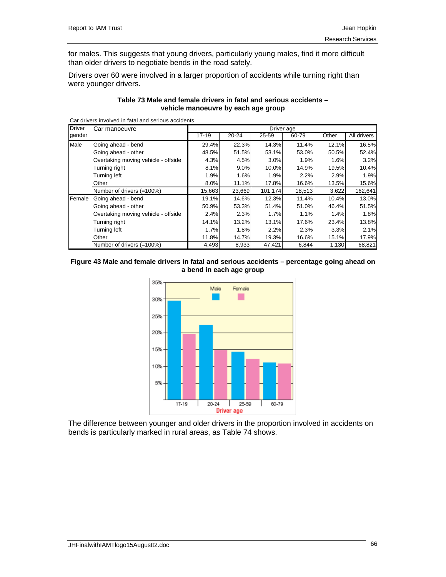for males. This suggests that young drivers, particularly young males, find it more difficult than older drivers to negotiate bends in the road safely.

Drivers over 60 were involved in a larger proportion of accidents while turning right than were younger drivers.

## **Table 73 Male and female drivers in fatal and serious accidents – vehicle manoeuvre by each age group**

Car drivers involved in fatal and serious accidents

| <b>Driver</b> | Car manoeuvre                       | Driver age |           |         |        |       |             |  |  |
|---------------|-------------------------------------|------------|-----------|---------|--------|-------|-------------|--|--|
| gender        |                                     | $17 - 19$  | $20 - 24$ | 25-59   | 60-79  | Other | All drivers |  |  |
| Male          | Going ahead - bend                  | 29.4%      | 22.3%     | 14.3%   | 11.4%  | 12.1% | 16.5%       |  |  |
|               | Going ahead - other                 | 48.5%      | 51.5%     | 53.1%   | 53.0%  | 50.5% | 52.4%       |  |  |
|               | Overtaking moving vehicle - offside | 4.3%       | 4.5%      | 3.0%    | 1.9%   | 1.6%  | 3.2%        |  |  |
|               | Turning right                       | 8.1%       | 9.0%      | 10.0%   | 14.9%  | 19.5% | 10.4%       |  |  |
|               | Turning left                        | 1.9%       | 1.6%      | 1.9%    | 2.2%   | 2.9%  | 1.9%        |  |  |
|               | Other                               | 8.0%       | 11.1%     | 17.8%   | 16.6%  | 13.5% | 15.6%       |  |  |
|               | Number of drivers (=100%)           | 15,663     | 23,669    | 101,174 | 18,513 | 3,622 | 162,641     |  |  |
| Female        | Going ahead - bend                  | 19.1%      | 14.6%     | 12.3%   | 11.4%  | 10.4% | 13.0%       |  |  |
|               | Going ahead - other                 | 50.9%      | 53.3%     | 51.4%   | 51.0%  | 46.4% | 51.5%       |  |  |
|               | Overtaking moving vehicle - offside | 2.4%       | 2.3%      | 1.7%    | 1.1%   | 1.4%  | 1.8%        |  |  |
|               | Turning right                       | 14.1%      | 13.2%     | 13.1%   | 17.6%  | 23.4% | 13.8%       |  |  |
|               | Turning left                        | 1.7%       | 1.8%      | 2.2%    | 2.3%   | 3.3%  | 2.1%        |  |  |
|               | Other                               | 11.8%      | 14.7%     | 19.3%   | 16.6%  | 15.1% | 17.9%       |  |  |
|               | Number of drivers (=100%)           | 4,493      | 8,933     | 47,421  | 6,844  | 1,130 | 68,821      |  |  |

## **Figure 43 Male and female drivers in fatal and serious accidents – percentage going ahead on a bend in each age group**



The difference between younger and older drivers in the proportion involved in accidents on bends is particularly marked in rural areas, as Table 74 shows.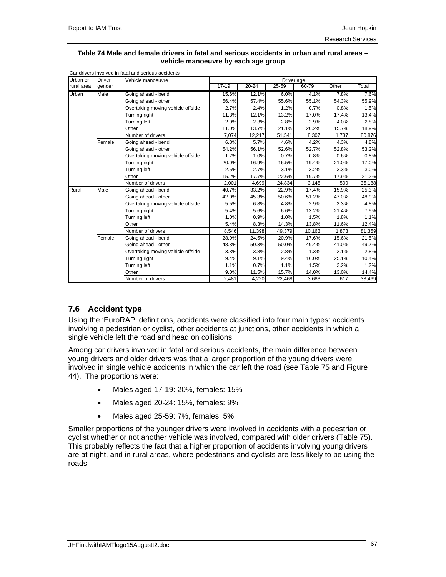#### **Table 74 Male and female drivers in fatal and serious accidents in urban and rural areas – vehicle manoeuvre by each age group**

| Urban or   | <b>Driver</b> | Vehicle manoeuvre                 |           |           | Driver age |        |       |        |
|------------|---------------|-----------------------------------|-----------|-----------|------------|--------|-------|--------|
| rural area | gender        |                                   | $17 - 19$ | $20 - 24$ | 25-59      | 60-79  | Other | Total  |
| Urban      | Male          | Going ahead - bend                | 15.6%     | 12.1%     | 6.0%       | 4.1%   | 7.8%  | 7.6%   |
|            |               | Going ahead - other               | 56.4%     | 57.4%     | 55.6%      | 55.1%  | 54.3% | 55.9%  |
|            |               | Overtaking moving vehicle offside | 2.7%      | 2.4%      | 1.2%       | 0.7%   | 0.8%  | 1.5%   |
|            |               | Turning right                     | 11.3%     | 12.1%     | 13.2%      | 17.0%  | 17.4% | 13.4%  |
|            |               | Turning left                      | 2.9%      | 2.3%      | 2.8%       | 2.9%   | 4.0%  | 2.8%   |
|            |               | Other                             | 11.0%     | 13.7%     | 21.1%      | 20.2%  | 15.7% | 18.9%  |
|            |               | Number of drivers                 | 7,074     | 12,217    | 51,541     | 8,307  | 1,737 | 80,876 |
|            | Female        | Going ahead - bend                | 6.8%      | 5.7%      | 4.6%       | 4.2%   | 4.3%  | 4.8%   |
|            |               | Going ahead - other               | 54.2%     | 56.1%     | 52.6%      | 52.7%  | 52.8% | 53.2%  |
|            |               | Overtaking moving vehicle offside | 1.2%      | 1.0%      | 0.7%       | 0.8%   | 0.6%  | 0.8%   |
|            |               | Turning right                     | 20.0%     | 16.9%     | 16.5%      | 19.4%  | 21.0% | 17.0%  |
|            |               | Turning left                      | 2.5%      | 2.7%      | 3.1%       | 3.2%   | 3.3%  | 3.0%   |
|            |               | Other                             | 15.2%     | 17.7%     | 22.6%      | 19.7%  | 17.9% | 21.2%  |
|            |               | Number of drivers                 | 2,001     | 4,699     | 24,834     | 3,145  | 509   | 35,188 |
| Rural      | Male          | Going ahead - bend                | 40.7%     | 33.2%     | 22.9%      | 17.4%  | 15.9% | 25.3%  |
|            |               | Going ahead - other               | 42.0%     | 45.3%     | 50.6%      | 51.2%  | 47.0% | 48.9%  |
|            |               | Overtaking moving vehicle offside | 5.5%      | 6.8%      | 4.8%       | 2.9%   | 2.3%  | 4.8%   |
|            |               | Turning right                     | 5.4%      | 5.6%      | 6.6%       | 13.2%  | 21.4% | 7.5%   |
|            |               | <b>Turning left</b>               | 1.0%      | 0.9%      | 1.0%       | 1.5%   | 1.8%  | 1.1%   |
|            |               | Other                             | 5.4%      | 8.3%      | 14.3%      | 13.8%  | 11.6% | 12.4%  |
|            |               | Number of drivers                 | 8,546     | 11,398    | 49,379     | 10,163 | 1,873 | 81,359 |
|            | Female        | Going ahead - bend                | 28.9%     | 24.5%     | 20.9%      | 17.6%  | 15.6% | 21.5%  |
|            |               | Going ahead - other               | 48.3%     | 50.3%     | 50.0%      | 49.4%  | 41.0% | 49.7%  |
|            |               | Overtaking moving vehicle offside | 3.3%      | 3.8%      | 2.8%       | 1.3%   | 2.1%  | 2.8%   |
|            |               | Turning right                     | 9.4%      | 9.1%      | 9.4%       | 16.0%  | 25.1% | 10.4%  |
|            |               | Turning left                      | 1.1%      | 0.7%      | 1.1%       | 1.5%   | 3.2%  | 1.2%   |
|            |               | Other                             | 9.0%      | 11.5%     | 15.7%      | 14.0%  | 13.0% | 14.4%  |
|            |               | Number of drivers                 | 2,481     | 4,220     | 22,468     | 3,683  | 617   | 33,469 |

## **7.6 Accident type**

Using the 'EuroRAP' definitions, accidents were classified into four main types: accidents involving a pedestrian or cyclist, other accidents at junctions, other accidents in which a single vehicle left the road and head on collisions.

Among car drivers involved in fatal and serious accidents, the main difference between young drivers and older drivers was that a larger proportion of the young drivers were involved in single vehicle accidents in which the car left the road (see Table 75 and Figure 44). The proportions were:

- Males aged 17-19: 20%, females: 15%
- Males aged 20-24: 15%, females: 9%
- Males aged 25-59: 7%, females: 5%

Smaller proportions of the younger drivers were involved in accidents with a pedestrian or cyclist whether or not another vehicle was involved, compared with older drivers (Table 75). This probably reflects the fact that a higher proportion of accidents involving young drivers are at night, and in rural areas, where pedestrians and cyclists are less likely to be using the roads.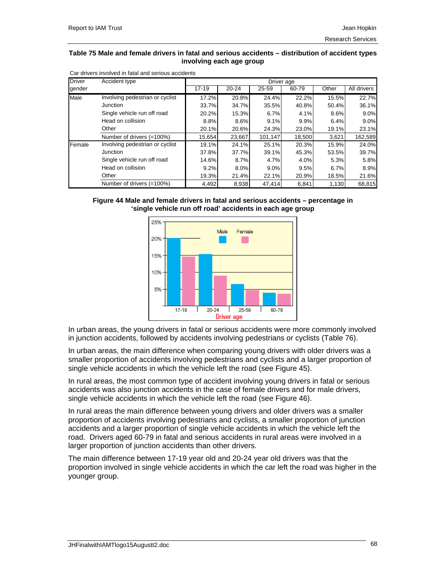#### **Table 75 Male and female drivers in fatal and serious accidents – distribution of accident types involving each age group**

| <b>Driver</b> | Accident type                   |           |           |           | Driver age |       |             |
|---------------|---------------------------------|-----------|-----------|-----------|------------|-------|-------------|
| gender        |                                 | $17 - 19$ | $20 - 24$ | $25 - 59$ | 60-79      | Other | All drivers |
| Male          | Involving pedestrian or cyclist | 17.2%     | 20.8%     | 24.4%     | 22.2%      | 15.5% | 22.7%       |
|               | Junction                        | 33.7%     | 34.7%     | 35.5%     | 40.8%      | 50.4% | 36.1%       |
|               | Single vehicle run off road     | 20.2%     | 15.3%     | 6.7%      | 4.1%       | 8.6%  | 9.0%        |
|               | Head on collision               | 8.8%      | 8.6%      | 9.1%      | 9.9%       | 6.4%  | 9.0%        |
|               | Other                           | 20.1%     | 20.6%     | 24.3%     | 23.0%      | 19.1% | 23.1%       |
|               | Number of drivers (=100%)       | 15,654    | 23,667    | 101,147   | 18,500     | 3,621 | 162,589     |
| Female        | Involving pedestrian or cyclist | 19.1%     | 24.1%     | 25.1%     | 20.3%      | 15.9% | 24.0%       |
|               | Junction                        | 37.8%     | 37.7%     | 39.1%     | 45.3%      | 53.5% | 39.7%       |
|               | Single vehicle run off road     | 14.6%     | 8.7%      | 4.7%      | 4.0%       | 5.3%  | 5.8%        |
|               | Head on collision               | 9.2%      | 8.0%      | 9.0%      | 9.5%       | 6.7%  | 8.9%        |
|               | Other                           | 19.3%     | 21.4%     | 22.1%     | 20.9%      | 18.5% | 21.6%       |
|               | Number of drivers (=100%)       | 4.492     | 8,938     | 47,414    | 6,841      | 1.130 | 68,815      |

Car drivers involved in fatal and serious accidents





In urban areas, the young drivers in fatal or serious accidents were more commonly involved in junction accidents, followed by accidents involving pedestrians or cyclists (Table 76).

In urban areas, the main difference when comparing young drivers with older drivers was a smaller proportion of accidents involving pedestrians and cyclists and a larger proportion of single vehicle accidents in which the vehicle left the road (see Figure 45).

In rural areas, the most common type of accident involving young drivers in fatal or serious accidents was also junction accidents in the case of female drivers and for male drivers, single vehicle accidents in which the vehicle left the road (see Figure 46).

In rural areas the main difference between young drivers and older drivers was a smaller proportion of accidents involving pedestrians and cyclists, a smaller proportion of junction accidents and a larger proportion of single vehicle accidents in which the vehicle left the road. Drivers aged 60-79 in fatal and serious accidents in rural areas were involved in a larger proportion of junction accidents than other drivers.

The main difference between 17-19 year old and 20-24 year old drivers was that the proportion involved in single vehicle accidents in which the car left the road was higher in the younger group.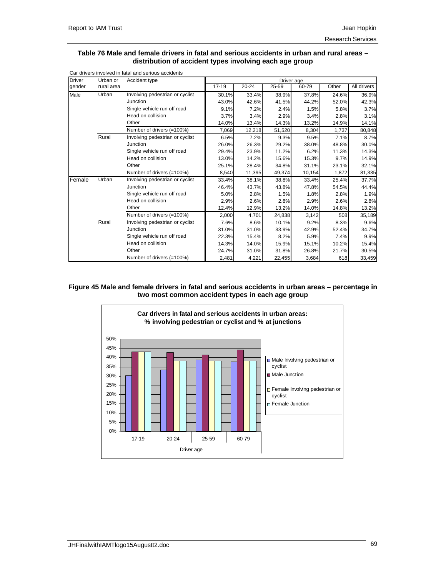#### **Table 76 Male and female drivers in fatal and serious accidents in urban and rural areas – distribution of accident types involving each age group**

| <b>Driver</b> | Urban or   | Accident type                   |           |           | Driver age |        |       |             |
|---------------|------------|---------------------------------|-----------|-----------|------------|--------|-------|-------------|
| qender        | rural area |                                 | $17 - 19$ | $20 - 24$ | 25-59      | 60-79  | Other | All drivers |
| Male          | Urban      | Involving pedestrian or cyclist | 30.1%     | 33.4%     | 38.9%      | 37.8%  | 24.6% | 36.9%       |
|               |            | Junction                        | 43.0%     | 42.6%     | 41.5%      | 44.2%  | 52.0% | 42.3%       |
|               |            | Single vehicle run off road     | 9.1%      | 7.2%      | 2.4%       | 1.5%   | 5.8%  | 3.7%        |
|               |            | Head on collision               | 3.7%      | 3.4%      | 2.9%       | 3.4%   | 2.8%  | 3.1%        |
|               |            | Other                           | 14.0%     | 13.4%     | 14.3%      | 13.2%  | 14.9% | 14.1%       |
|               |            | Number of drivers (=100%)       | 7,069     | 12,218    | 51,520     | 8,304  | 1,737 | 80,848      |
|               | Rural      | Involving pedestrian or cyclist | 6.5%      | 7.2%      | 9.3%       | 9.5%   | 7.1%  | 8.7%        |
|               |            | Junction                        | 26.0%     | 26.3%     | 29.2%      | 38.0%  | 48.8% | 30.0%       |
|               |            | Single vehicle run off road     | 29.4%     | 23.9%     | 11.2%      | 6.2%   | 11.3% | 14.3%       |
|               |            | Head on collision               | 13.0%     | 14.2%     | 15.6%      | 15.3%  | 9.7%  | 14.9%       |
|               |            | Other                           | 25.1%     | 28.4%     | 34.8%      | 31.1%  | 23.1% | 32.1%       |
|               |            | Number of drivers (=100%)       | 8,540     | 11,395    | 49,374     | 10,154 | 1,872 | 81,335      |
| Female        | Urban      | Involving pedestrian or cyclist | 33.4%     | 38.1%     | 38.8%      | 33.4%  | 25.4% | 37.7%       |
|               |            | Junction                        | 46.4%     | 43.7%     | 43.8%      | 47.8%  | 54.5% | 44.4%       |
|               |            | Single vehicle run off road     | 5.0%      | 2.8%      | 1.5%       | 1.8%   | 2.8%  | 1.9%        |
|               |            | Head on collision               | 2.9%      | 2.6%      | 2.8%       | 2.9%   | 2.6%  | 2.8%        |
|               |            | Other                           | 12.4%     | 12.9%     | 13.2%      | 14.0%  | 14.8% | 13.2%       |
|               |            | Number of drivers (=100%)       | 2.000     | 4,701     | 24,838     | 3,142  | 508   | 35,189      |
|               | Rural      | Involving pedestrian or cyclist | 7.6%      | 8.6%      | 10.1%      | 9.2%   | 8.3%  | 9.6%        |
|               |            | Junction                        | 31.0%     | 31.0%     | 33.9%      | 42.9%  | 52.4% | 34.7%       |
|               |            | Single vehicle run off road     | 22.3%     | 15.4%     | 8.2%       | 5.9%   | 7.4%  | 9.9%        |
|               |            | Head on collision               | 14.3%     | 14.0%     | 15.9%      | 15.1%  | 10.2% | 15.4%       |
|               |            | Other                           | 24.7%     | 31.0%     | 31.8%      | 26.8%  | 21.7% | 30.5%       |
|               |            | Number of drivers (=100%)       | 2,481     | 4,221     | 22,455     | 3,684  | 618   | 33,459      |

Car drivers involved in fatal and serious accidents

#### **Figure 45 Male and female drivers in fatal and serious accidents in urban areas – percentage in two most common accident types in each age group**

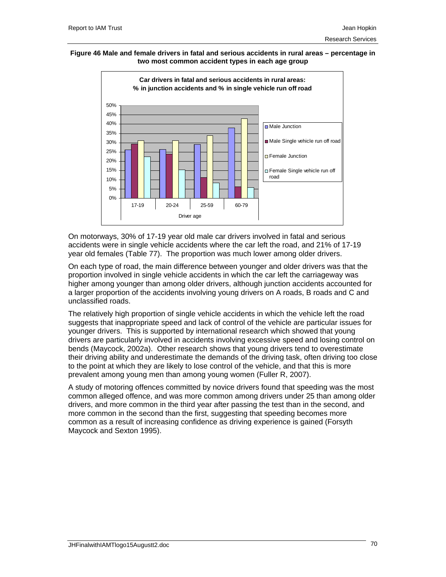#### **Figure 46 Male and female drivers in fatal and serious accidents in rural areas – percentage in two most common accident types in each age group**



On motorways, 30% of 17-19 year old male car drivers involved in fatal and serious accidents were in single vehicle accidents where the car left the road, and 21% of 17-19 year old females (Table 77). The proportion was much lower among older drivers.

On each type of road, the main difference between younger and older drivers was that the proportion involved in single vehicle accidents in which the car left the carriageway was higher among younger than among older drivers, although junction accidents accounted for a larger proportion of the accidents involving young drivers on A roads, B roads and C and unclassified roads.

The relatively high proportion of single vehicle accidents in which the vehicle left the road suggests that inappropriate speed and lack of control of the vehicle are particular issues for younger drivers. This is supported by international research which showed that young drivers are particularly involved in accidents involving excessive speed and losing control on bends (Maycock, 2002a). Other research shows that young drivers tend to overestimate their driving ability and underestimate the demands of the driving task, often driving too close to the point at which they are likely to lose control of the vehicle, and that this is more prevalent among young men than among young women (Fuller R, 2007).

A study of motoring offences committed by novice drivers found that speeding was the most common alleged offence, and was more common among drivers under 25 than among older drivers, and more common in the third year after passing the test than in the second, and more common in the second than the first, suggesting that speeding becomes more common as a result of increasing confidence as driving experience is gained (Forsyth Maycock and Sexton 1995).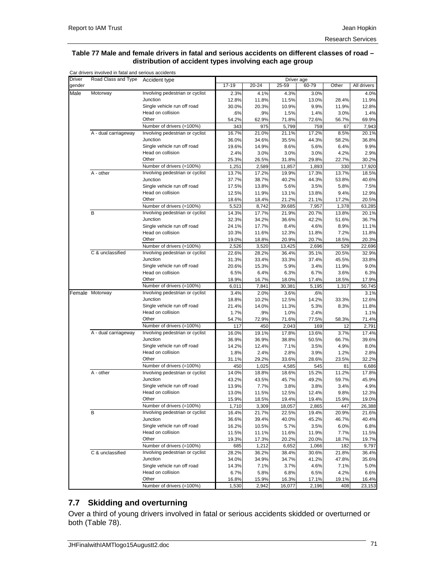#### **Table 77 Male and female drivers in fatal and serious accidents on different classes of road – distribution of accident types involving each age group**

| <b>Driver</b> | Road Class and Type  | Accident type                   |           |           |           | Driver age |                |             |
|---------------|----------------------|---------------------------------|-----------|-----------|-----------|------------|----------------|-------------|
| gender        |                      |                                 | $17 - 19$ | $20 - 24$ | $25 - 59$ | 60-79      | Other          | All drivers |
| Male          | Motorway             | Involving pedestrian or cyclist | 2.3%      | 4.1%      | 4.3%      | 3.0%       |                | 4.0%        |
|               |                      | Junction                        | 12.8%     | 11.8%     | 11.5%     | 13.0%      | 28.4%          | 11.9%       |
|               |                      | Single vehicle run off road     | 30.0%     | 20.3%     | 10.9%     | 9.9%       | 11.9%          | 12.8%       |
|               |                      | Head on collision               | .6%       | .9%       | 1.5%      | 1.4%       | 3.0%           | 1.4%        |
|               |                      | Other                           | 54.2%     | 62.9%     | 71.8%     | 72.6%      | 56.7%          | 69.9%       |
|               |                      | Number of drivers (=100%)       | 343       | 975       | 5,799     | 759        | 67             | 7,943       |
|               | A - dual carriageway | Involving pedestrian or cyclist | 16.7%     | 21.0%     | 21.1%     | 17.2%      | 8.5%           | 20.1%       |
|               |                      | Junction                        | 36.0%     | 34.6%     | 35.5%     | 44.3%      | 58.2%          | 36.8%       |
|               |                      | Single vehicle run off road     | 19.6%     | 14.9%     | 8.6%      | 5.6%       | 6.4%           | 9.9%        |
|               |                      | Head on collision               | 2.4%      | 3.0%      | 3.0%      | 3.0%       | 4.2%           | 2.9%        |
|               |                      | Other                           | 25.3%     | 26.5%     | 31.8%     | 29.8%      | 22.7%          | 30.2%       |
|               |                      | Number of drivers (=100%)       | 1,251     | 2,589     | 11,857    | 1,893      | 330            | 17,920      |
|               | $A - other$          | Involving pedestrian or cyclist | 13.7%     | 17.2%     | 19.9%     | 17.3%      | 13.7%          | 18.5%       |
|               |                      | Junction                        | 37.7%     | 38.7%     | 40.2%     | 44.3%      | 53.8%          | 40.6%       |
|               |                      | Single vehicle run off road     | 17.5%     | 13.8%     | 5.6%      | 3.5%       | 5.8%           | 7.5%        |
|               |                      | Head on collision               | 12.5%     | 11.9%     | 13.1%     | 13.8%      | 9.4%           | 12.9%       |
|               |                      | Other                           | 18.6%     | 18.4%     | 21.2%     | 21.1%      | 17.2%          | 20.5%       |
|               |                      | Number of drivers (=100%)       |           |           |           |            |                |             |
|               | B                    | Involving pedestrian or cyclist | 5,523     | 8,742     | 39,685    | 7,957      | 1,378<br>13.8% | 63,285      |
|               |                      | Junction                        | 14.3%     | 17.7%     | 21.9%     | 20.7%      |                | 20.1%       |
|               |                      |                                 | 32.3%     | 34.2%     | 36.6%     | 42.2%      | 51.6%          | 36.7%       |
|               |                      | Single vehicle run off road     | 24.1%     | 17.7%     | 8.4%      | 4.6%       | 8.9%           | 11.1%       |
|               |                      | Head on collision<br>Other      | 10.3%     | 11.6%     | 12.3%     | 11.8%      | 7.2%           | 11.8%       |
|               |                      |                                 | 19.0%     | 18.8%     | 20.9%     | 20.7%      | 18.5%          | 20.3%       |
|               |                      | Number of drivers (=100%)       | 2,526     | 3,520     | 13,425    | 2,696      | 529            | 22,696      |
|               | C & unclassified     | Involving pedestrian or cyclist | 22.6%     | 28.2%     | 36.4%     | 35.1%      | 20.5%          | 32.9%       |
|               |                      | Junction                        | 31.3%     | 33.4%     | 33.3%     | 37.4%      | 45.5%          | 33.8%       |
|               |                      | Single vehicle run off road     | 20.6%     | 15.3%     | 5.9%      | 3.4%       | 11.9%          | 9.0%        |
|               |                      | Head on collision               | 6.5%      | 6.4%      | 6.3%      | 6.7%       | 3.6%           | 6.3%        |
|               |                      | Other                           | 18.9%     | 16.7%     | 18.0%     | 17.4%      | 18.5%          | 17.9%       |
|               |                      | Number of drivers (=100%)       | 6,011     | 7,841     | 30,381    | 5,195      | 1,317          | 50,745      |
|               | Female Motorway      | Involving pedestrian or cyclist | 3.4%      | 2.0%      | 3.6%      | .6%        |                | 3.1%        |
|               |                      | Junction                        | 18.8%     | 10.2%     | 12.5%     | 14.2%      | 33.3%          | 12.6%       |
|               |                      | Single vehicle run off road     | 21.4%     | 14.0%     | 11.3%     | 5.3%       | 8.3%           | 11.8%       |
|               |                      | Head on collision               | 1.7%      | .9%       | 1.0%      | 2.4%       |                | 1.1%        |
|               |                      | Other                           | 54.7%     | 72.9%     | 71.6%     | 77.5%      | 58.3%          | 71.4%       |
|               |                      | Number of drivers (=100%)       | 117       | 450       | 2,043     | 169        | 12             | 2,791       |
|               | A - dual carriageway | Involving pedestrian or cyclist | 16.0%     | 19.1%     | 17.8%     | 13.6%      | 3.7%           | 17.4%       |
|               |                      | Junction                        | 36.9%     | 36.9%     | 38.8%     | 50.5%      | 66.7%          | 39.6%       |
|               |                      | Single vehicle run off road     | 14.2%     | 12.4%     | 7.1%      | 3.5%       | 4.9%           | 8.0%        |
|               |                      | Head on collision               | 1.8%      | 2.4%      | 2.8%      | 3.9%       | 1.2%           | 2.8%        |
|               |                      | Other                           | 31.1%     | 29.2%     | 33.6%     | 28.6%      | 23.5%          | 32.2%       |
|               |                      | Number of drivers (=100%)       | 450       | 1,025     | 4,585     | 545        | 81             | 6,686       |
|               | A - other            | Involving pedestrian or cyclist | 14.0%     | 18.8%     | 18.6%     | 15.2%      | 11.2%          | 17.8%       |
|               |                      | Junction                        | 43.2%     | 43.5%     | 45.7%     | 49.2%      | 59.7%          | 45.9%       |
|               |                      | Single vehicle run off road     | 13.9%     | 7.7%      | 3.8%      | 3.8%       | 3.4%           | 4.9%        |
|               |                      | Head on collision               | 13.0%     | 11.5%     | 12.5%     | 12.4%      | 9.8%           | 12.3%       |
|               |                      | Other                           | 15.9%     | 18.5%     | 19.4%     | 19.4%      | 15.9%          | 19.0%       |
|               |                      | Number of drivers (=100%)       | 1,710     | 3,309     | 18,057    | 2,865      | 447            | 26,388      |
|               | B                    | Involving pedestrian or cyclist | 16.4%     | 21.7%     | 22.5%     | 19.4%      | 20.9%          | 21.6%       |
|               |                      | Junction                        | 36.6%     | 39.4%     | 40.0%     | 45.2%      | 46.7%          | 40.4%       |
|               |                      | Single vehicle run off road     | 16.2%     | 10.5%     | 5.7%      | 3.5%       | 6.0%           | 6.8%        |
|               |                      | Head on collision               | 11.5%     | 11.1%     | 11.6%     | 11.9%      | 7.7%           | 11.5%       |
|               |                      | Other                           | 19.3%     | 17.3%     | 20.2%     | 20.0%      | 18.7%          | 19.7%       |
|               |                      | Number of drivers (=100%)       | 685       | 1,212     | 6,652     | 1,066      | 182            | 9,797       |
|               | C & unclassified     | Involving pedestrian or cyclist | 28.2%     | 36.2%     | 38.4%     | 30.6%      | 21.8%          | 36.4%       |
|               |                      | Junction                        | 34.0%     | 34.9%     | 34.7%     | 41.2%      | 47.8%          | 35.6%       |
|               |                      | Single vehicle run off road     | 14.3%     | 7.1%      | 3.7%      | 4.6%       | 7.1%           | 5.0%        |
|               |                      | Head on collision               | 6.7%      | 5.8%      | 6.8%      | 6.5%       | 4.2%           | 6.6%        |
|               |                      | Other                           | 16.8%     | 15.9%     | 16.3%     | 17.1%      | 19.1%          | 16.4%       |
|               |                      | Number of drivers (=100%)       | 1,530     | 2,942     | 16,077    | 2,196      | 408            | 23,153      |

## **7.7 Skidding and overturning**

Over a third of young drivers involved in fatal or serious accidents skidded or overturned or both (Table 78).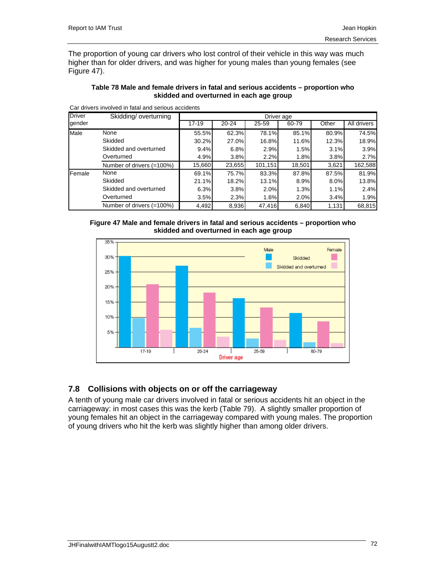The proportion of young car drivers who lost control of their vehicle in this way was much higher than for older drivers, and was higher for young males than young females (see Figure 47).

|               |                                                     | skidded and overturned in each age group |           |            |       |       |             |
|---------------|-----------------------------------------------------|------------------------------------------|-----------|------------|-------|-------|-------------|
|               | Car drivers involved in fatal and serious accidents |                                          |           |            |       |       |             |
| <b>Driver</b> | Skidding/overturning                                |                                          |           | Driver age |       |       |             |
| gender        |                                                     | $17 - 19$                                | $20 - 24$ | 25-59      | 60-79 | Other | All drivers |
| Male          | None                                                | 55.5%                                    | 62.3%     | 78.1%      | 85.1% | 80.9% | 74.5%       |
|               | Skidded                                             | 30.2%                                    | 27.0%     | 16.8%      | 11.6% | 12.3% | 18.9%       |
|               | Skidded and overturned                              | 9.4%                                     | 6.8%      | 2.9%       | 1.5%  | 3.1%  | 3.9%        |
|               | Overturned                                          | 4.9%                                     | 3.8%      | 2.2%       | 1.8%  | 3.8%  | 2.7%        |

Number of drivers (=100%) 15,660 23,655 101,151 18,501 3,621 162,588

Skidded 21.1% 18.2% 13.1% 8.9% 8.0% 13.8% Skidded and overturned 6.3% 3.8% 2.0% 1.3% 1.1% 2.4% Overturned 3.5% 2.3% 1.6% 2.0% 3.4% 1.9% Number of drivers (=100%) 4,492 8,936 47,416 6,840 1,131 68,815

**Table 78 Male and female drivers in fatal and serious accidents – proportion who** 

Car drivers involved in fatal and serious accidents



Female None 69.1% 75.7% 83.3% 87.8% 87.5% 81.9%



## **7.8 Collisions with objects on or off the carriageway**

A tenth of young male car drivers involved in fatal or serious accidents hit an object in the carriageway: in most cases this was the kerb (Table 79). A slightly smaller proportion of young females hit an object in the carriageway compared with young males. The proportion of young drivers who hit the kerb was slightly higher than among older drivers.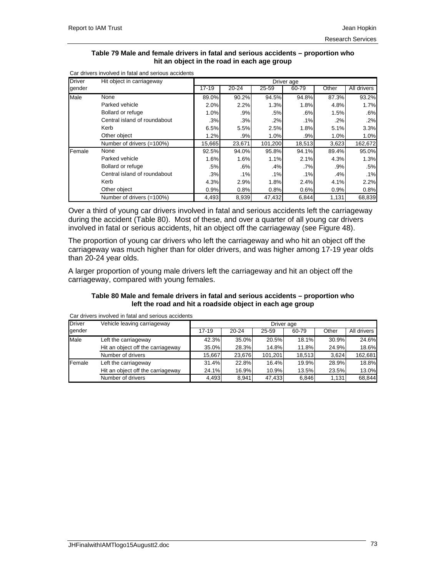#### **Table 79 Male and female drivers in fatal and serious accidents – proportion who hit an object in the road in each age group**

| <b>Driver</b> | Hit object in carriageway    |           |           |         | Driver age |       |             |
|---------------|------------------------------|-----------|-----------|---------|------------|-------|-------------|
| gender        |                              | $17 - 19$ | $20 - 24$ | 25-59   | 60-79      | Other | All drivers |
| Male          | None                         | 89.0%     | 90.2%     | 94.5%   | 94.8%      | 87.3% | 93.2%       |
|               | Parked vehicle               | 2.0%      | 2.2%      | 1.3%    | 1.8%       | 4.8%  | 1.7%        |
|               | Bollard or refuge            | 1.0%      | .9%       | .5%     | .6%        | 1.5%  | .6%         |
|               | Central island of roundabout | .3%       | .3%       | .2%     | .1%        | .2%   | .2%         |
|               | Kerb                         | 6.5%      | 5.5%      | 2.5%    | 1.8%       | 5.1%  | 3.3%        |
|               | Other object                 | 1.2%      | .9%       | 1.0%    | .9%        | 1.0%  | 1.0%        |
|               | Number of drivers (=100%)    | 15,665    | 23,671    | 101,200 | 18,513     | 3,623 | 162,672     |
| Female        | None                         | 92.5%     | 94.0%     | 95.8%   | 94.1%      | 89.4% | 95.0%       |
|               | Parked vehicle               | 1.6%      | 1.6%      | 1.1%    | 2.1%       | 4.3%  | 1.3%        |
|               | Bollard or refuge            | .5%       | .6%       | .4%     | .7%        | .9%   | .5%         |
|               | Central island of roundabout | .3%       | .1%       | .1%     | .1%        | .4%   | .1%         |
|               | Kerb                         | 4.3%      | 2.9%      | 1.8%    | 2.4%       | 4.1%  | 2.2%        |
|               | Other object                 | 0.9%      | 0.8%      | 0.8%    | 0.6%       | 0.9%  | 0.8%        |
|               | Number of drivers (=100%)    | 4,493     | 8,939     | 47,432  | 6,844      | 1,131 | 68,839      |

Car drivers involved in fatal and serious accidents

Over a third of young car drivers involved in fatal and serious accidents left the carriageway during the accident (Table 80). Most of these, and over a quarter of all young car drivers involved in fatal or serious accidents, hit an object off the carriageway (see Figure 48).

The proportion of young car drivers who left the carriageway and who hit an object off the carriageway was much higher than for older drivers, and was higher among 17-19 year olds than 20-24 year olds.

A larger proportion of young male drivers left the carriageway and hit an object off the carriageway, compared with young females.

### **Table 80 Male and female drivers in fatal and serious accidents – proportion who left the road and hit a roadside object in each age group**

| <b>Driver</b> | Vehicle leaving carriageway       |         |           |         | Driver age |       |             |
|---------------|-----------------------------------|---------|-----------|---------|------------|-------|-------------|
| gender        |                                   | $17-19$ | $20 - 24$ | 25-59   | 60-79      | Other | All drivers |
| Male          | Left the carriageway              | 42.3%   | 35.0%     | 20.5%   | 18.1%      | 30.9% | 24.6%       |
|               | Hit an object off the carriageway | 35.0%   | 28.3%     | 14.8%   | 11.8%      | 24.9% | 18.6%       |
|               | Number of drivers                 | 15.667  | 23.676    | 101.201 | 18.513     | 3.624 | 162,681     |
| Female        | Left the carriageway              | 31.4%   | 22.8%     | 16.4%   | 19.9%      | 28.9% | 18.8%       |
|               | Hit an object off the carriageway | 24.1%   | 16.9%     | 10.9%   | 13.5%      | 23.5% | 13.0%       |
|               | Number of drivers                 | 4,493   | 8.941     | 47,433  | 6,846      | 1,131 | 68.844      |

Car drivers involved in fatal and serious accidents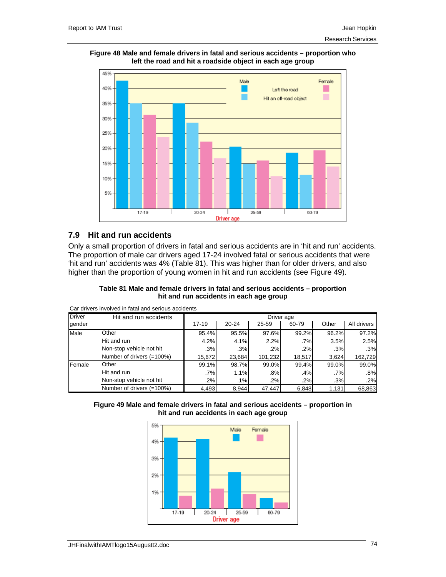



### **7.9 Hit and run accidents**

Only a small proportion of drivers in fatal and serious accidents are in 'hit and run' accidents. The proportion of male car drivers aged 17-24 involved fatal or serious accidents that were 'hit and run' accidents was 4% (Table 81). This was higher than for older drivers, and also higher than the proportion of young women in hit and run accidents (see Figure 49).

#### **Table 81 Male and female drivers in fatal and serious accidents – proportion hit and run accidents in each age group**

| <b>Driver</b> | Hit and run accidents     |        |        |           | Driver age |        |             |
|---------------|---------------------------|--------|--------|-----------|------------|--------|-------------|
| gender        |                           | 17-19  | 20-24  | $25 - 59$ | 60-79      | Other  | All drivers |
| Male          | Other                     | 95.4%  | 95.5%  | 97.6%     | 99.2%      | 96.2%  | 97.2%       |
|               | Hit and run               | 4.2%   | 4.1%   | 2.2%      | .7%        | 3.5%   | 2.5%        |
|               | Non-stop vehicle not hit  | .3%    | .3%    | .2%       | .2%        | .3%    | .3%         |
|               | Number of drivers (=100%) | 15.672 | 23.684 | 101.232   | 18,517     | 3.624  | 162,729     |
| Female        | Other                     | 99.1%  | 98.7%  | 99.0%     | 99.4%      | 99.0%  | 99.0%       |
|               | Hit and run               | .7%    | 1.1%   | .8%       | .4%        | $.7\%$ | .8%         |
|               | Non-stop vehicle not hit  | .2%    | .1%    | .2%       | .2%        | .3%    | .2%         |
|               | Number of drivers (=100%) | 4,493  | 8.944  | 47.447    | 6,848      | 1,131  | 68,863      |

Car drivers involved in fatal and serious accidents



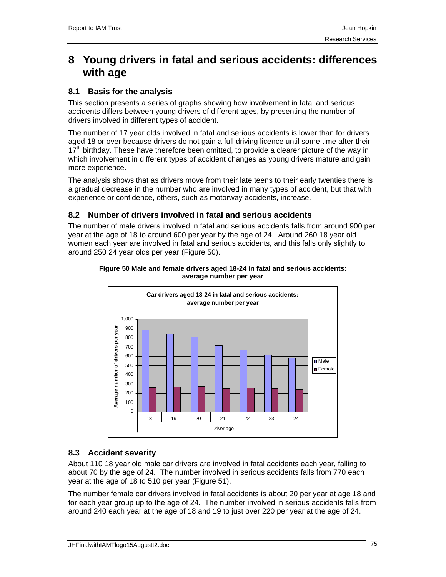# **8 Young drivers in fatal and serious accidents: differences with age**

## **8.1 Basis for the analysis**

This section presents a series of graphs showing how involvement in fatal and serious accidents differs between young drivers of different ages, by presenting the number of drivers involved in different types of accident.

The number of 17 year olds involved in fatal and serious accidents is lower than for drivers aged 18 or over because drivers do not gain a full driving licence until some time after their  $17<sup>th</sup>$  birthday. These have therefore been omitted, to provide a clearer picture of the way in which involvement in different types of accident changes as young drivers mature and gain more experience.

The analysis shows that as drivers move from their late teens to their early twenties there is a gradual decrease in the number who are involved in many types of accident, but that with experience or confidence, others, such as motorway accidents, increase.

## **8.2 Number of drivers involved in fatal and serious accidents**

The number of male drivers involved in fatal and serious accidents falls from around 900 per year at the age of 18 to around 600 per year by the age of 24. Around 260 18 year old women each year are involved in fatal and serious accidents, and this falls only slightly to around 250 24 year olds per year (Figure 50).



#### **Figure 50 Male and female drivers aged 18-24 in fatal and serious accidents: average number per year**

## **8.3 Accident severity**

About 110 18 year old male car drivers are involved in fatal accidents each year, falling to about 70 by the age of 24. The number involved in serious accidents falls from 770 each year at the age of 18 to 510 per year (Figure 51).

The number female car drivers involved in fatal accidents is about 20 per year at age 18 and for each year group up to the age of 24. The number involved in serious accidents falls from around 240 each year at the age of 18 and 19 to just over 220 per year at the age of 24.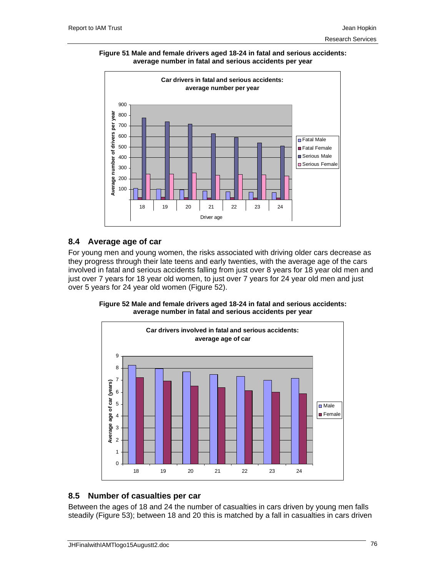**Figure 51 Male and female drivers aged 18-24 in fatal and serious accidents: average number in fatal and serious accidents per year** 



### **8.4 Average age of car**

For young men and young women, the risks associated with driving older cars decrease as they progress through their late teens and early twenties, with the average age of the cars involved in fatal and serious accidents falling from just over 8 years for 18 year old men and just over 7 years for 18 year old women, to just over 7 years for 24 year old men and just over 5 years for 24 year old women (Figure 52).

**Figure 52 Male and female drivers aged 18-24 in fatal and serious accidents: average number in fatal and serious accidents per year** 



## **8.5 Number of casualties per car**

Between the ages of 18 and 24 the number of casualties in cars driven by young men falls steadily (Figure 53); between 18 and 20 this is matched by a fall in casualties in cars driven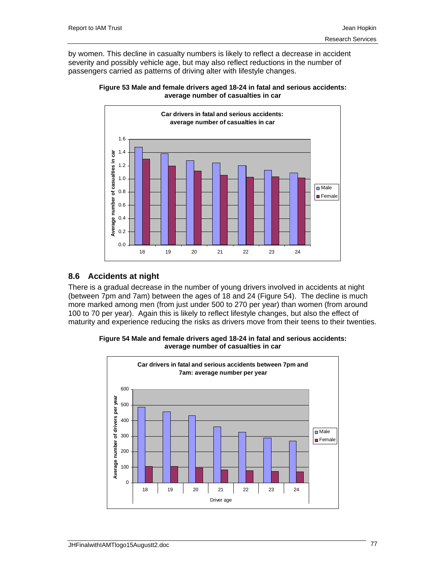by women. This decline in casualty numbers is likely to reflect a decrease in accident severity and possibly vehicle age, but may also reflect reductions in the number of passengers carried as patterns of driving alter with lifestyle changes.





## **8.6 Accidents at night**

There is a gradual decrease in the number of young drivers involved in accidents at night (between 7pm and 7am) between the ages of 18 and 24 (Figure 54). The decline is much more marked among men (from just under 500 to 270 per year) than women (from around 100 to 70 per year). Again this is likely to reflect lifestyle changes, but also the effect of maturity and experience reducing the risks as drivers move from their teens to their twenties.

**Figure 54 Male and female drivers aged 18-24 in fatal and serious accidents: average number of casualties in car** 

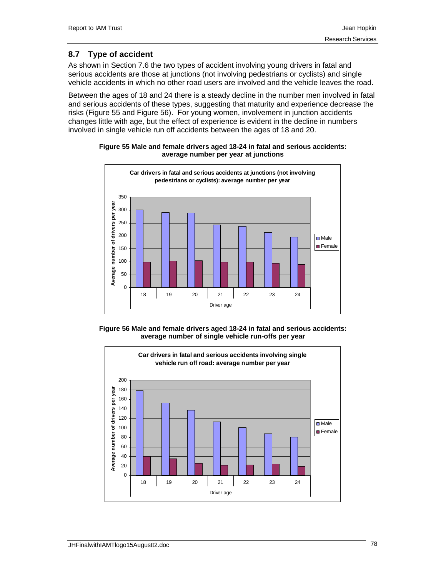## **8.7 Type of accident**

As shown in Section 7.6 the two types of accident involving young drivers in fatal and serious accidents are those at junctions (not involving pedestrians or cyclists) and single vehicle accidents in which no other road users are involved and the vehicle leaves the road.

Between the ages of 18 and 24 there is a steady decline in the number men involved in fatal and serious accidents of these types, suggesting that maturity and experience decrease the risks (Figure 55 and Figure 56). For young women, involvement in junction accidents changes little with age, but the effect of experience is evident in the decline in numbers involved in single vehicle run off accidents between the ages of 18 and 20.



### **Figure 55 Male and female drivers aged 18-24 in fatal and serious accidents: average number per year at junctions**



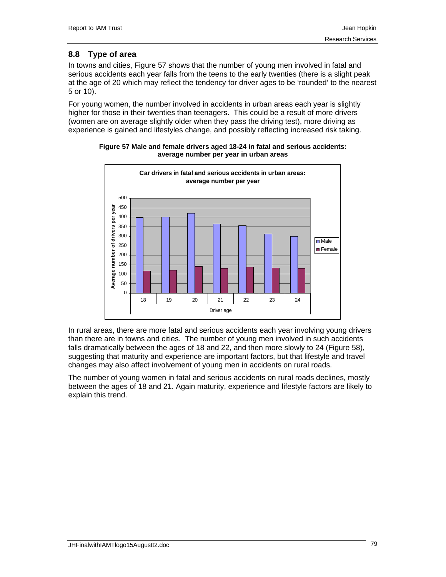## **8.8 Type of area**

In towns and cities, Figure 57 shows that the number of young men involved in fatal and serious accidents each year falls from the teens to the early twenties (there is a slight peak at the age of 20 which may reflect the tendency for driver ages to be 'rounded' to the nearest 5 or 10).

For young women, the number involved in accidents in urban areas each year is slightly higher for those in their twenties than teenagers. This could be a result of more drivers (women are on average slightly older when they pass the driving test), more driving as experience is gained and lifestyles change, and possibly reflecting increased risk taking.



**Figure 57 Male and female drivers aged 18-24 in fatal and serious accidents: average number per year in urban areas** 

In rural areas, there are more fatal and serious accidents each year involving young drivers than there are in towns and cities. The number of young men involved in such accidents falls dramatically between the ages of 18 and 22, and then more slowly to 24 (Figure 58), suggesting that maturity and experience are important factors, but that lifestyle and travel changes may also affect involvement of young men in accidents on rural roads.

The number of young women in fatal and serious accidents on rural roads declines, mostly between the ages of 18 and 21. Again maturity, experience and lifestyle factors are likely to explain this trend.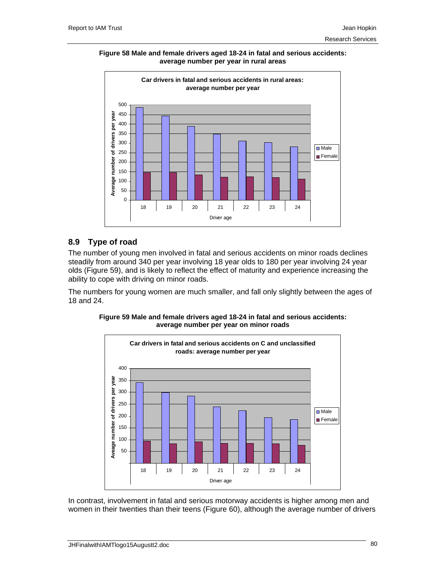**Figure 58 Male and female drivers aged 18-24 in fatal and serious accidents: average number per year in rural areas** 



## **8.9 Type of road**

The number of young men involved in fatal and serious accidents on minor roads declines steadily from around 340 per year involving 18 year olds to 180 per year involving 24 year olds (Figure 59), and is likely to reflect the effect of maturity and experience increasing the ability to cope with driving on minor roads.

The numbers for young women are much smaller, and fall only slightly between the ages of 18 and 24.



**Figure 59 Male and female drivers aged 18-24 in fatal and serious accidents: average number per year on minor roads** 

In contrast, involvement in fatal and serious motorway accidents is higher among men and women in their twenties than their teens (Figure 60), although the average number of drivers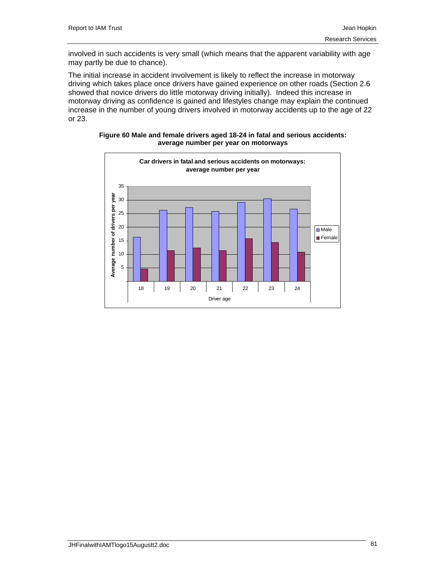involved in such accidents is very small (which means that the apparent variability with age may partly be due to chance).

The initial increase in accident involvement is likely to reflect the increase in motorway driving which takes place once drivers have gained experience on other roads (Section 2.6 showed that novice drivers do little motorway driving initially). Indeed this increase in motorway driving as confidence is gained and lifestyles change may explain the continued increase in the number of young drivers involved in motorway accidents up to the age of 22 or 23.



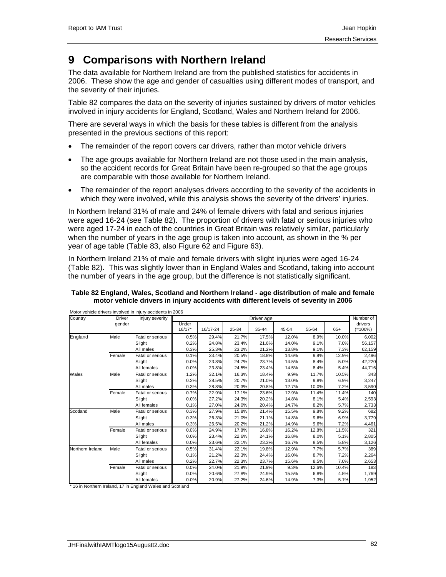# **9 Comparisons with Northern Ireland**

The data available for Northern Ireland are from the published statistics for accidents in 2006. These show the age and gender of casualties using different modes of transport, and the severity of their injuries.

Table 82 compares the data on the severity of injuries sustained by drivers of motor vehicles involved in injury accidents for England, Scotland, Wales and Northern Ireland for 2006.

There are several ways in which the basis for these tables is different from the analysis presented in the previous sections of this report:

- The remainder of the report covers car drivers, rather than motor vehicle drivers
- The age groups available for Northern Ireland are not those used in the main analysis, so the accident records for Great Britain have been re-grouped so that the age groups are comparable with those available for Northern Ireland.
- The remainder of the report analyses drivers according to the severity of the accidents in which they were involved, while this analysis shows the severity of the drivers' injuries.

In Northern Ireland 31% of male and 24% of female drivers with fatal and serious injuries were aged 16-24 (see Table 82). The proportion of drivers with fatal or serious injuries who were aged 17-24 in each of the countries in Great Britain was relatively similar, particularly when the number of years in the age group is taken into account, as shown in the % per year of age table (Table 83, also Figure 62 and Figure 63).

In Northern Ireland 21% of male and female drivers with slight injuries were aged 16-24 (Table 82). This was slightly lower than in England Wales and Scotland, taking into account the number of years in the age group, but the difference is not statistically significant.

| Country  | Driver | Injury severity  |                   |          |       | Driver age |       |       |       | Number of             |
|----------|--------|------------------|-------------------|----------|-------|------------|-------|-------|-------|-----------------------|
|          | gender |                  | Under<br>$16/17*$ | 16/17-24 | 25-34 | 35-44      | 45-54 | 55-64 | $65+$ | drivers<br>$(=100\%)$ |
| England  | Male   | Fatal or serious | 0.5%              | 29.4%    | 21.7% | 17.5%      | 12.0% | 8.9%  | 10.0% | 6,002                 |
|          |        | Slight           | 0.2%              | 24.8%    | 23.4% | 21.6%      | 14.0% | 9.1%  | 7.0%  | 56,157                |
|          |        | All males        | 0.3%              | 25.3%    | 23.2% | 21.2%      | 13.8% | 9.1%  | 7.3%  | 62,159                |
|          | Female | Fatal or serious | 0.1%              | 23.4%    | 20.5% | 18.8%      | 14.6% | 9.8%  | 12.9% | 2,496                 |
|          |        | Slight           | 0.0%              | 23.8%    | 24.7% | 23.7%      | 14.5% | 8.4%  | 5.0%  | 42,220                |
|          |        | All females      | 0.0%              | 23.8%    | 24.5% | 23.4%      | 14.5% | 8.4%  | 5.4%  | 44,716                |
| Wales    | Male   | Fatal or serious | 1.2%              | 32.1%    | 16.3% | 18.4%      | 9.9%  | 11.7% | 10.5% | 343                   |
|          |        | Slight           | 0.2%              | 28.5%    | 20.7% | 21.0%      | 13.0% | 9.8%  | 6.9%  | 3,247                 |
|          |        | All males        | 0.3%              | 28.8%    | 20.3% | 20.8%      | 12.7% | 10.0% | 7.2%  | 3,590                 |
|          | Female | Fatal or serious | 0.7%              | 22.9%    | 17.1% | 23.6%      | 12.9% | 11.4% | 11.4% | 140                   |
|          |        | Slight           | 0.0%              | 27.2%    | 24.3% | 20.2%      | 14.8% | 8.1%  | 5.4%  | 2,593                 |
|          |        | All females      | 0.1%              | 27.0%    | 24.0% | 20.4%      | 14.7% | 8.2%  | 5.7%  | 2,733                 |
| Scotland | Male   | Fatal or serious | 0.3%              | 27.9%    | 15.8% | 21.4%      | 15.5% | 9.8%  | 9.2%  | 682                   |

Northern Ireland Male Fatal or serious 0.5% 31.4% 22.1% 19.8% 12.9% 7.7% 5.7% 389

Slight 0.3% 26.3% 21.0% 21.1% 14.8% 9.6% 6.9% 3,779 All males 0.3% 26.5% 20.2% 21.2% 14.9% 9.6% 7.2% 4,461 Female Fatal or serious 0.0% 24.9% 17.8% 16.8% 16.2% 12.8% 11.5% 321 Slight 0.0% 23.4% 22.6% 24.1% 16.8% 8.0% 5.1% 2,805 All females 0.0% 23.6% 22.1% 23.3% 16.7% 8.5% 5.8% 3,126

Slight 0.1% 21.2% 22.3% 24.4% 16.0% 8.7% 7.2% 2,264 All males 0.2% 22.7% 22.3% 23.7% 15.6% 8.5% 7.0% 2,653

Female Fatal or serious 0.0% 24.0% 21.9% 21.9% 9.3% 12.6% 10.4% 183<br>Slight 0.0% 20.6% 27.8% 24.9% 15.5% 6.8% 4.5% 1,769 Slight 0.0% 20.6% 27.8% 24.9% 15.5% 6.8% 4.5% 1,769 All females 0.0% 20.9% 27.2% 24.6% 14.9% 7.3% 5.1% 1,952

### **Table 82 England, Wales, Scotland and Northern Ireland - age distribution of male and female motor vehicle drivers in injury accidents with different levels of severity in 2006**

16 in Northern Ireland, 17 in England Wales and Scotland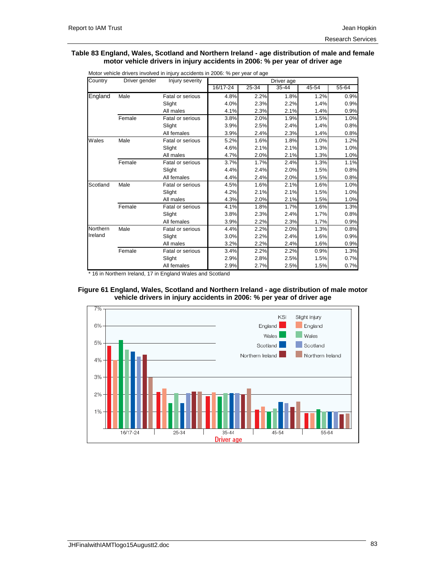#### **Table 83 England, Wales, Scotland and Northern Ireland - age distribution of male and female motor vehicle drivers in injury accidents in 2006: % per year of driver age**

| Country  | Driver gender | Injury severity         |          |           | Driver age |           |           |
|----------|---------------|-------------------------|----------|-----------|------------|-----------|-----------|
|          |               |                         | 16/17-24 | $25 - 34$ | 35-44      | $45 - 54$ | $55 - 64$ |
| England  | Male          | Fatal or serious        | 4.8%     | 2.2%      | 1.8%       | 1.2%      | 0.9%      |
|          |               | Slight                  | 4.0%     | 2.3%      | 2.2%       | 1.4%      | 0.9%      |
|          |               | All males               | 4.1%     | 2.3%      | 2.1%       | 1.4%      | 0.9%      |
|          | Female        | Fatal or serious        | 3.8%     | 2.0%      | 1.9%       | 1.5%      | 1.0%      |
|          |               | Slight                  | 3.9%     | 2.5%      | 2.4%       | 1.4%      | 0.8%      |
|          |               | All females             | 3.9%     | 2.4%      | 2.3%       | 1.4%      | 0.8%      |
| Wales    | Male          | <b>Fatal or serious</b> | 5.2%     | 1.6%      | 1.8%       | 1.0%      | 1.2%      |
|          |               | Slight                  | 4.6%     | 2.1%      | 2.1%       | 1.3%      | 1.0%      |
|          |               | All males               | 4.7%     | 2.0%      | 2.1%       | 1.3%      | 1.0%      |
|          | Female        | Fatal or serious        | 3.7%     | 1.7%      | 2.4%       | 1.3%      | 1.1%      |
|          |               | Slight                  | 4.4%     | 2.4%      | 2.0%       | 1.5%      | 0.8%      |
|          |               | All females             | 4.4%     | 2.4%      | 2.0%       | 1.5%      | 0.8%      |
| Scotland | Male          | Fatal or serious        | 4.5%     | 1.6%      | 2.1%       | 1.6%      | 1.0%      |
|          |               | Slight                  | 4.2%     | 2.1%      | 2.1%       | 1.5%      | 1.0%      |
|          |               | All males               | 4.3%     | 2.0%      | 2.1%       | 1.5%      | 1.0%      |
|          | Female        | Fatal or serious        | 4.1%     | 1.8%      | 1.7%       | 1.6%      | 1.3%      |
|          |               | Slight                  | 3.8%     | 2.3%      | 2.4%       | 1.7%      | 0.8%      |
|          |               | All females             | 3.9%     | 2.2%      | 2.3%       | 1.7%      | 0.9%      |
| Northern | Male          | Fatal or serious        | 4.4%     | 2.2%      | 2.0%       | 1.3%      | 0.8%      |
| Ireland  |               | Slight                  | 3.0%     | 2.2%      | 2.4%       | 1.6%      | 0.9%      |
|          |               | All males               | 3.2%     | 2.2%      | 2.4%       | 1.6%      | 0.9%      |
|          | Female        | Fatal or serious        | 3.4%     | 2.2%      | 2.2%       | 0.9%      | 1.3%      |
|          |               | Slight                  | 2.9%     | 2.8%      | 2.5%       | 1.5%      | 0.7%      |
|          |               | All females             | 2.9%     | 2.7%      | 2.5%       | 1.5%      | 0.7%      |

Motor vehicle drivers involved in injury accidents in 2006: % per year of age

\* 16 in Northern Ireland, 17 in England Wales and Scotland



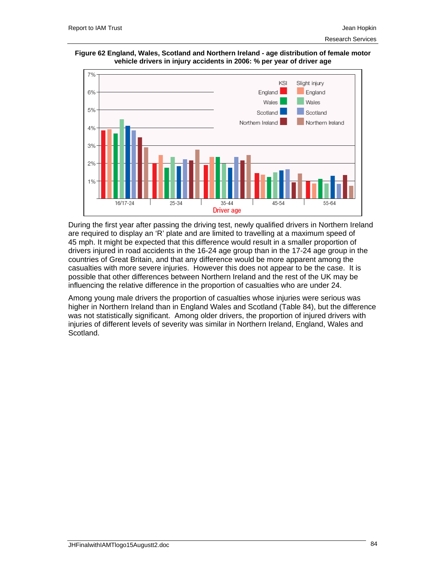



During the first year after passing the driving test, newly qualified drivers in Northern Ireland are required to display an 'R' plate and are limited to travelling at a maximum speed of 45 mph. It might be expected that this difference would result in a smaller proportion of drivers injured in road accidents in the 16-24 age group than in the 17-24 age group in the countries of Great Britain, and that any difference would be more apparent among the casualties with more severe injuries. However this does not appear to be the case. It is possible that other differences between Northern Ireland and the rest of the UK may be influencing the relative difference in the proportion of casualties who are under 24.

Among young male drivers the proportion of casualties whose injuries were serious was higher in Northern Ireland than in England Wales and Scotland (Table 84), but the difference was not statistically significant. Among older drivers, the proportion of injured drivers with injuries of different levels of severity was similar in Northern Ireland, England, Wales and Scotland.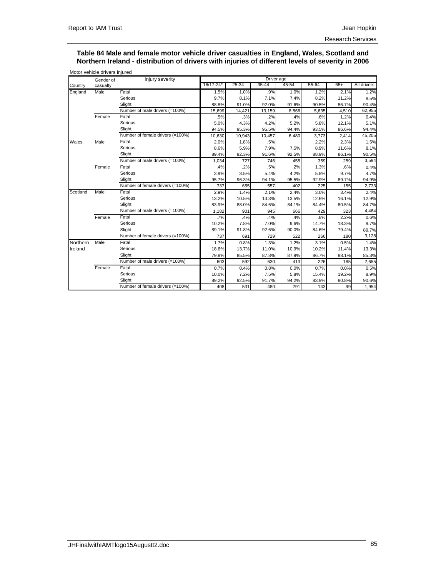#### **Table 84 Male and female motor vehicle driver casualties in England, Wales, Scotland and Northern Ireland - distribution of drivers with injuries of different levels of severity in 2006**

|          | Gender of | Injury severity                  |           |        | Driver age |           |       |       |             |
|----------|-----------|----------------------------------|-----------|--------|------------|-----------|-------|-------|-------------|
| Country  | casualty  |                                  | 16/17-24* | 25-34  | $35 - 44$  | $45 - 54$ | 55-64 | $65+$ | All drivers |
| England  | Male      | Fatal                            | 1.5%      | 1.0%   | .9%        | 1.0%      | 1.2%  | 2.1%  | 1.2%        |
|          |           | Serious                          | 9.7%      | 8.1%   | 7.1%       | 7.4%      | 8.2%  | 11.2% | 8.5%        |
|          |           | Slight                           | 88.8%     | 91.0%  | 92.0%      | 91.6%     | 90.5% | 86.7% | 90.4%       |
|          |           | Number of male drivers (=100%)   | 15,699    | 14,421 | 13,159     | 8,566     | 5,635 | 4,510 | 62,955      |
|          | Female    | Fatal                            | .5%       | .3%    | .2%        | .4%       | .6%   | 1.2%  | 0.4%        |
|          |           | Serious                          | 5.0%      | 4.3%   | 4.2%       | 5.2%      | 5.8%  | 12.1% | 5.1%        |
|          |           | Slight                           | 94.5%     | 95.3%  | 95.5%      | 94.4%     | 93.5% | 86.6% | 94.4%       |
|          |           | Number of female drivers (=100%) | 10,630    | 10,943 | 10,457     | 6,480     | 3,773 | 2,414 | 45,205      |
| Wales    | Male      | Fatal                            | 2.0%      | 1.8%   | .5%        |           | 2.2%  | 2.3%  | 1.5%        |
|          |           | Serious                          | 8.6%      | 5.9%   | 7.9%       | 7.5%      | 8.9%  | 11.6% | 8.1%        |
|          |           | Slight                           | 89.4%     | 92.3%  | 91.6%      | 92.5%     | 88.9% | 86.1% | 90.5%       |
|          |           | Number of male drivers (=100%)   | 1,034     | 727    | 746        | 455       | 359   | 259   | 3,594       |
|          | Female    | Fatal                            | .4%       | .2%    | .5%        | .2%       | 1.3%  | .6%   | 0.4%        |
|          |           | Serious                          | 3.9%      | 3.5%   | 5.4%       | 4.2%      | 5.8%  | 9.7%  | 4.7%        |
|          |           | Slight                           | 95.7%     | 96.3%  | 94.1%      | 95.5%     | 92.9% | 89.7% | 94.9%       |
|          |           | Number of female drivers (=100%) | 737       | 655    | 557        | 402       | 225   | 155   | 2,733       |
| Scotland | Male      | Fatal                            | 2.9%      | 1.4%   | 2.1%       | 2.4%      | 3.0%  | 3.4%  | 2.4%        |
|          |           | Serious                          | 13.2%     | 10.5%  | 13.3%      | 13.5%     | 12.6% | 16.1% | 12.9%       |
|          |           | Slight                           | 83.9%     | 88.0%  | 84.6%      | 84.1%     | 84.4% | 80.5% | 84.7%       |
|          |           | Number of male drivers (=100%)   | 1,182     | 901    | 945        | 666       | 429   | 323   | 4,464       |
|          | Female    | Fatal                            | .7%       | .4%    | .4%        | .4%       | .8%   | 2.2%  | 0.6%        |
|          |           | Serious                          | 10.2%     | 7.8%   | 7.0%       | 9.6%      | 14.7% | 18.3% | 9.7%        |
|          |           | Slight                           | 89.1%     | 91.8%  | 92.6%      | 90.0%     | 84.6% | 79.4% | 89.7%       |
|          |           | Number of female drivers (=100%) | 737       | 691    | 729        | 522       | 266   | 180   | 3,128       |
| Northern | Male      | Fatal                            | 1.7%      | 0.8%   | 1.3%       | 1.2%      | 3.1%  | 0.5%  | 1.4%        |
| Ireland  |           | Serious                          | 18.6%     | 13.7%  | 11.0%      | 10.9%     | 10.2% | 11.4% | 13.3%       |
|          |           | Slight                           | 79.8%     | 85.5%  | 87.8%      | 87.9%     | 86.7% | 88.1% | 85.3%       |
|          |           | Number of male drivers (=100%)   | 603       | 592    | 630        | 413       | 226   | 185   | 2,655       |
|          | Female    | Fatal                            | 0.7%      | 0.4%   | 0.8%       | 0.0%      | 0.7%  | 0.0%  | 0.5%        |
|          |           | Serious                          | 10.0%     | 7.2%   | 7.5%       | 5.8%      | 15.4% | 19.2% | 8.9%        |
|          |           | Slight                           | 89.2%     | 92.5%  | 91.7%      | 94.2%     | 83.9% | 80.8% | 90.6%       |
|          |           | Number of female drivers (=100%) | 408       | 531    | 480        | 291       | 143   | 99    | 1,954       |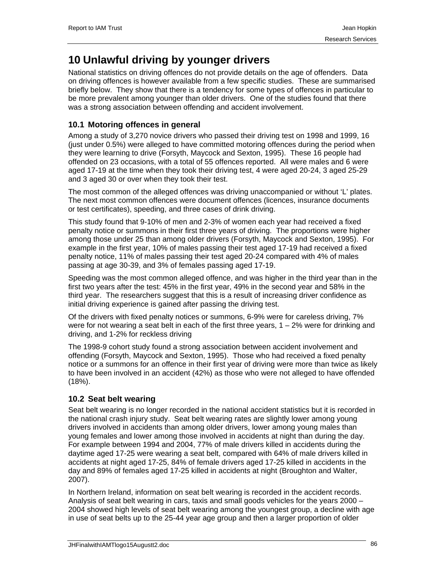# **10 Unlawful driving by younger drivers**

National statistics on driving offences do not provide details on the age of offenders. Data on driving offences is however available from a few specific studies. These are summarised briefly below. They show that there is a tendency for some types of offences in particular to be more prevalent among younger than older drivers. One of the studies found that there was a strong association between offending and accident involvement.

## **10.1 Motoring offences in general**

Among a study of 3,270 novice drivers who passed their driving test on 1998 and 1999, 16 (just under 0.5%) were alleged to have committed motoring offences during the period when they were learning to drive (Forsyth, Maycock and Sexton, 1995). These 16 people had offended on 23 occasions, with a total of 55 offences reported. All were males and 6 were aged 17-19 at the time when they took their driving test, 4 were aged 20-24, 3 aged 25-29 and 3 aged 30 or over when they took their test.

The most common of the alleged offences was driving unaccompanied or without 'L' plates. The next most common offences were document offences (licences, insurance documents or test certificates), speeding, and three cases of drink driving.

This study found that 9-10% of men and 2-3% of women each year had received a fixed penalty notice or summons in their first three years of driving. The proportions were higher among those under 25 than among older drivers (Forsyth, Maycock and Sexton, 1995). For example in the first year, 10% of males passing their test aged 17-19 had received a fixed penalty notice, 11% of males passing their test aged 20-24 compared with 4% of males passing at age 30-39, and 3% of females passing aged 17-19.

Speeding was the most common alleged offence, and was higher in the third year than in the first two years after the test: 45% in the first year, 49% in the second year and 58% in the third year. The researchers suggest that this is a result of increasing driver confidence as initial driving experience is gained after passing the driving test.

Of the drivers with fixed penalty notices or summons, 6-9% were for careless driving, 7% were for not wearing a seat belt in each of the first three years,  $1 - 2%$  were for drinking and driving, and 1-2% for reckless driving

The 1998-9 cohort study found a strong association between accident involvement and offending (Forsyth, Maycock and Sexton, 1995). Those who had received a fixed penalty notice or a summons for an offence in their first year of driving were more than twice as likely to have been involved in an accident (42%) as those who were not alleged to have offended (18%).

## **10.2 Seat belt wearing**

Seat belt wearing is no longer recorded in the national accident statistics but it is recorded in the national crash injury study. Seat belt wearing rates are slightly lower among young drivers involved in accidents than among older drivers, lower among young males than young females and lower among those involved in accidents at night than during the day. For example between 1994 and 2004, 77% of male drivers killed in accidents during the daytime aged 17-25 were wearing a seat belt, compared with 64% of male drivers killed in accidents at night aged 17-25, 84% of female drivers aged 17-25 killed in accidents in the day and 89% of females aged 17-25 killed in accidents at night (Broughton and Walter, 2007).

In Northern Ireland, information on seat belt wearing is recorded in the accident records. Analysis of seat belt wearing in cars, taxis and small goods vehicles for the years 2000 – 2004 showed high levels of seat belt wearing among the youngest group, a decline with age in use of seat belts up to the 25-44 year age group and then a larger proportion of older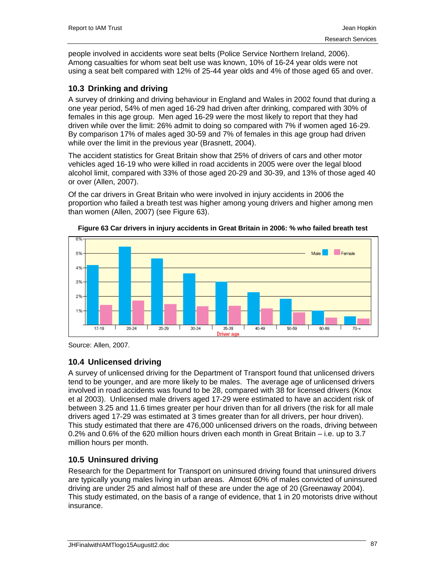people involved in accidents wore seat belts (Police Service Northern Ireland, 2006). Among casualties for whom seat belt use was known, 10% of 16-24 year olds were not using a seat belt compared with 12% of 25-44 year olds and 4% of those aged 65 and over.

## **10.3 Drinking and driving**

A survey of drinking and driving behaviour in England and Wales in 2002 found that during a one year period, 54% of men aged 16-29 had driven after drinking, compared with 30% of females in this age group. Men aged 16-29 were the most likely to report that they had driven while over the limit: 26% admit to doing so compared with 7% if women aged 16-29. By comparison 17% of males aged 30-59 and 7% of females in this age group had driven while over the limit in the previous year (Brasnett, 2004).

The accident statistics for Great Britain show that 25% of drivers of cars and other motor vehicles aged 16-19 who were killed in road accidents in 2005 were over the legal blood alcohol limit, compared with 33% of those aged 20-29 and 30-39, and 13% of those aged 40 or over (Allen, 2007).

Of the car drivers in Great Britain who were involved in injury accidents in 2006 the proportion who failed a breath test was higher among young drivers and higher among men than women (Allen, 2007) (see Figure 63).



**Figure 63 Car drivers in injury accidents in Great Britain in 2006: % who failed breath test** 

## **10.4 Unlicensed driving**

A survey of unlicensed driving for the Department of Transport found that unlicensed drivers tend to be younger, and are more likely to be males. The average age of unlicensed drivers involved in road accidents was found to be 28, compared with 38 for licensed drivers (Knox et al 2003). Unlicensed male drivers aged 17-29 were estimated to have an accident risk of between 3.25 and 11.6 times greater per hour driven than for all drivers (the risk for all male drivers aged 17-29 was estimated at 3 times greater than for all drivers, per hour driven). This study estimated that there are 476,000 unlicensed drivers on the roads, driving between 0.2% and 0.6% of the 620 million hours driven each month in Great Britain – i.e. up to 3.7 million hours per month.

## **10.5 Uninsured driving**

Research for the Department for Transport on uninsured driving found that uninsured drivers are typically young males living in urban areas. Almost 60% of males convicted of uninsured driving are under 25 and almost half of these are under the age of 20 (Greenaway 2004). This study estimated, on the basis of a range of evidence, that 1 in 20 motorists drive without insurance.

Source: Allen, 2007.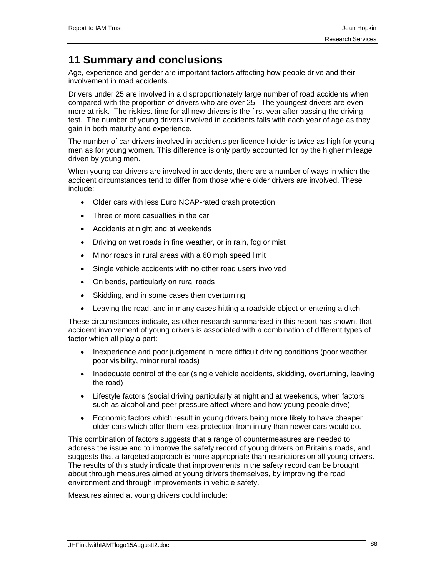# **11 Summary and conclusions**

Age, experience and gender are important factors affecting how people drive and their involvement in road accidents.

Drivers under 25 are involved in a disproportionately large number of road accidents when compared with the proportion of drivers who are over 25. The youngest drivers are even more at risk. The riskiest time for all new drivers is the first year after passing the driving test. The number of young drivers involved in accidents falls with each year of age as they gain in both maturity and experience.

The number of car drivers involved in accidents per licence holder is twice as high for young men as for young women. This difference is only partly accounted for by the higher mileage driven by young men.

When young car drivers are involved in accidents, there are a number of ways in which the accident circumstances tend to differ from those where older drivers are involved. These include:

- Older cars with less Euro NCAP-rated crash protection
- Three or more casualties in the car
- Accidents at night and at weekends
- Driving on wet roads in fine weather, or in rain, fog or mist
- Minor roads in rural areas with a 60 mph speed limit
- Single vehicle accidents with no other road users involved
- On bends, particularly on rural roads
- Skidding, and in some cases then overturning
- Leaving the road, and in many cases hitting a roadside object or entering a ditch

These circumstances indicate, as other research summarised in this report has shown, that accident involvement of young drivers is associated with a combination of different types of factor which all play a part:

- Inexperience and poor judgement in more difficult driving conditions (poor weather, poor visibility, minor rural roads)
- Inadequate control of the car (single vehicle accidents, skidding, overturning, leaving the road)
- Lifestyle factors (social driving particularly at night and at weekends, when factors such as alcohol and peer pressure affect where and how young people drive)
- Economic factors which result in young drivers being more likely to have cheaper older cars which offer them less protection from injury than newer cars would do.

This combination of factors suggests that a range of countermeasures are needed to address the issue and to improve the safety record of young drivers on Britain's roads, and suggests that a targeted approach is more appropriate than restrictions on all young drivers. The results of this study indicate that improvements in the safety record can be brought about through measures aimed at young drivers themselves, by improving the road environment and through improvements in vehicle safety.

Measures aimed at young drivers could include: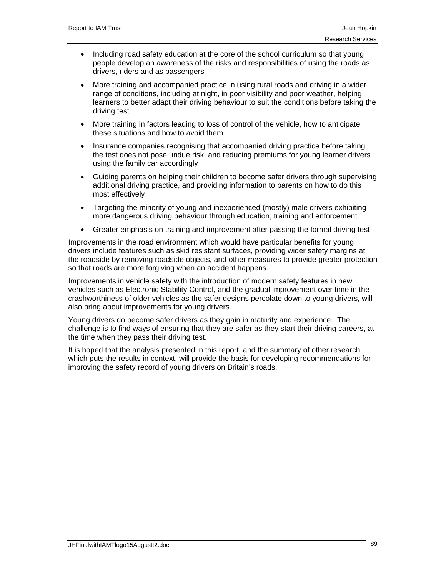- Including road safety education at the core of the school curriculum so that young people develop an awareness of the risks and responsibilities of using the roads as drivers, riders and as passengers
- More training and accompanied practice in using rural roads and driving in a wider range of conditions, including at night, in poor visibility and poor weather, helping learners to better adapt their driving behaviour to suit the conditions before taking the driving test
- More training in factors leading to loss of control of the vehicle, how to anticipate these situations and how to avoid them
- Insurance companies recognising that accompanied driving practice before taking the test does not pose undue risk, and reducing premiums for young learner drivers using the family car accordingly
- Guiding parents on helping their children to become safer drivers through supervising additional driving practice, and providing information to parents on how to do this most effectively
- Targeting the minority of young and inexperienced (mostly) male drivers exhibiting more dangerous driving behaviour through education, training and enforcement
- Greater emphasis on training and improvement after passing the formal driving test

Improvements in the road environment which would have particular benefits for young drivers include features such as skid resistant surfaces, providing wider safety margins at the roadside by removing roadside objects, and other measures to provide greater protection so that roads are more forgiving when an accident happens.

Improvements in vehicle safety with the introduction of modern safety features in new vehicles such as Electronic Stability Control, and the gradual improvement over time in the crashworthiness of older vehicles as the safer designs percolate down to young drivers, will also bring about improvements for young drivers.

Young drivers do become safer drivers as they gain in maturity and experience. The challenge is to find ways of ensuring that they are safer as they start their driving careers, at the time when they pass their driving test.

It is hoped that the analysis presented in this report, and the summary of other research which puts the results in context, will provide the basis for developing recommendations for improving the safety record of young drivers on Britain's roads.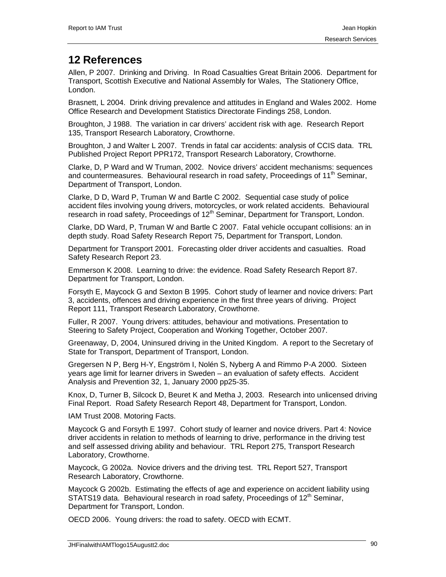# **12 References**

Allen, P 2007. Drinking and Driving. In Road Casualties Great Britain 2006. Department for Transport, Scottish Executive and National Assembly for Wales, The Stationery Office, London.

Brasnett, L 2004. Drink driving prevalence and attitudes in England and Wales 2002. Home Office Research and Development Statistics Directorate Findings 258, London.

Broughton, J 1988. The variation in car drivers' accident risk with age. Research Report 135, Transport Research Laboratory, Crowthorne.

Broughton, J and Walter L 2007. Trends in fatal car accidents: analysis of CCIS data. TRL Published Project Report PPR172, Transport Research Laboratory, Crowthorne.

Clarke, D, P Ward and W Truman, 2002. Novice drivers' accident mechanisms: sequences and countermeasures. Behavioural research in road safety, Proceedings of 11<sup>th</sup> Seminar, Department of Transport, London.

Clarke, D D, Ward P, Truman W and Bartle C 2002. Sequential case study of police accident files involving young drivers, motorcycles, or work related accidents. Behavioural research in road safety, Proceedings of  $12<sup>th</sup>$  Seminar, Department for Transport, London.

Clarke, DD Ward, P, Truman W and Bartle C 2007. Fatal vehicle occupant collisions: an in depth study. Road Safety Research Report 75, Department for Transport, London.

Department for Transport 2001. Forecasting older driver accidents and casualties. Road Safety Research Report 23.

Emmerson K 2008. Learning to drive: the evidence. Road Safety Research Report 87. Department for Transport, London.

Forsyth E, Maycock G and Sexton B 1995. Cohort study of learner and novice drivers: Part 3, accidents, offences and driving experience in the first three years of driving. Project Report 111, Transport Research Laboratory, Crowthorne.

Fuller, R 2007. Young drivers: attitudes, behaviour and motivations. Presentation to Steering to Safety Project, Cooperation and Working Together, October 2007.

Greenaway, D, 2004, Uninsured driving in the United Kingdom. A report to the Secretary of State for Transport, Department of Transport, London.

Gregersen N P, Berg H-Y, Engström I, Nolén S, Nyberg A and Rimmo P-A 2000. Sixteen years age limit for learner drivers in Sweden – an evaluation of safety effects. Accident Analysis and Prevention 32, 1, January 2000 pp25-35.

Knox, D, Turner B, Silcock D, Beuret K and Metha J, 2003. Research into unlicensed driving Final Report. Road Safety Research Report 48, Department for Transport, London.

IAM Trust 2008. Motoring Facts.

Maycock G and Forsyth E 1997. Cohort study of learner and novice drivers. Part 4: Novice driver accidents in relation to methods of learning to drive, performance in the driving test and self assessed driving ability and behaviour. TRL Report 275, Transport Research Laboratory, Crowthorne.

Maycock, G 2002a. Novice drivers and the driving test. TRL Report 527, Transport Research Laboratory, Crowthorne.

Maycock G 2002b. Estimating the effects of age and experience on accident liability using STATS19 data. Behavioural research in road safety, Proceedings of 12<sup>th</sup> Seminar, Department for Transport, London.

OECD 2006. Young drivers: the road to safety. OECD with ECMT.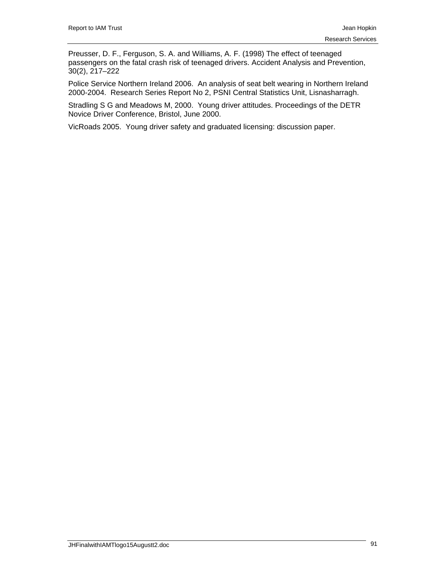Preusser, D. F., Ferguson, S. A. and Williams, A. F. (1998) The effect of teenaged passengers on the fatal crash risk of teenaged drivers. Accident Analysis and Prevention, 30(2), 217–222

Police Service Northern Ireland 2006. An analysis of seat belt wearing in Northern Ireland 2000-2004. Research Series Report No 2, PSNI Central Statistics Unit, Lisnasharragh.

Stradling S G and Meadows M, 2000. Young driver attitudes. Proceedings of the DETR Novice Driver Conference, Bristol, June 2000.

VicRoads 2005. Young driver safety and graduated licensing: discussion paper.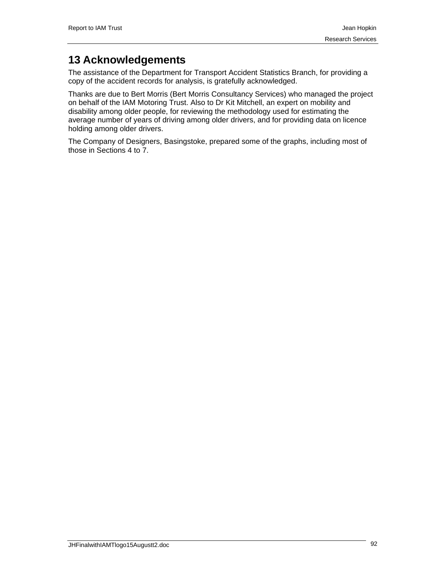# **13 Acknowledgements**

The assistance of the Department for Transport Accident Statistics Branch, for providing a copy of the accident records for analysis, is gratefully acknowledged.

Thanks are due to Bert Morris (Bert Morris Consultancy Services) who managed the project on behalf of the IAM Motoring Trust. Also to Dr Kit Mitchell, an expert on mobility and disability among older people, for reviewing the methodology used for estimating the average number of years of driving among older drivers, and for providing data on licence holding among older drivers.

The Company of Designers, Basingstoke, prepared some of the graphs, including most of those in Sections 4 to 7.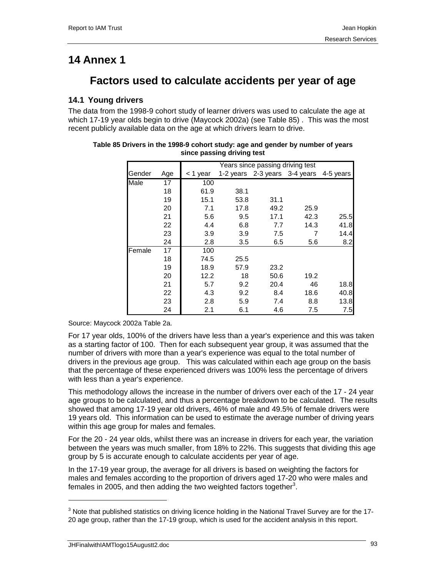# **14 Annex 1**

# **Factors used to calculate accidents per year of age**

## **14.1 Young drivers**

The data from the 1998-9 cohort study of learner drivers was used to calculate the age at which 17-19 year olds begin to drive (Maycock 2002a) (see Table 85) . This was the most recent publicly available data on the age at which drivers learn to drive.

|        |     |          |      | Years since passing driving test |      |           |
|--------|-----|----------|------|----------------------------------|------|-----------|
| Gender | Age | < 1 year |      | 1-2 years 2-3 years 3-4 years    |      | 4-5 years |
| Male   | 17  | 100      |      |                                  |      |           |
|        | 18  | 61.9     | 38.1 |                                  |      |           |
|        | 19  | 15.1     | 53.8 | 31.1                             |      |           |
|        | 20  | 7.1      | 17.8 | 49.2                             | 25.9 |           |
|        | 21  | 5.6      | 9.5  | 17.1                             | 42.3 | 25.5      |
|        | 22  | 4.4      | 6.8  | 7.7                              | 14.3 | 41.8      |
|        | 23  | 3.9      | 3.9  | 7.5                              | 7    | 14.4      |
|        | 24  | 2.8      | 3.5  | 6.5                              | 5.6  | 8.2       |
| Female | 17  | 100      |      |                                  |      |           |
|        | 18  | 74.5     | 25.5 |                                  |      |           |
|        | 19  | 18.9     | 57.9 | 23.2                             |      |           |
|        | 20  | 12.2     | 18   | 50.6                             | 19.2 |           |
|        | 21  | 5.7      | 9.2  | 20.4                             | 46   | 18.8      |
|        | 22  | 4.3      | 9.2  | 8.4                              | 18.6 | 40.8      |
|        | 23  | 2.8      | 5.9  | 7.4                              | 8.8  | 13.8      |
|        | 24  | 2.1      | 6.1  | 4.6                              | 7.5  | 7.5       |

#### **Table 85 Drivers in the 1998-9 cohort study: age and gender by number of years since passing driving test**

Source: Maycock 2002a Table 2a.

For 17 year olds, 100% of the drivers have less than a year's experience and this was taken as a starting factor of 100. Then for each subsequent year group, it was assumed that the number of drivers with more than a year's experience was equal to the total number of drivers in the previous age group. This was calculated within each age group on the basis that the percentage of these experienced drivers was 100% less the percentage of drivers with less than a year's experience.

This methodology allows the increase in the number of drivers over each of the 17 - 24 year age groups to be calculated, and thus a percentage breakdown to be calculated. The results showed that among 17-19 year old drivers, 46% of male and 49.5% of female drivers were 19 years old. This information can be used to estimate the average number of driving years within this age group for males and females.

For the 20 - 24 year olds, whilst there was an increase in drivers for each year, the variation between the years was much smaller, from 18% to 22%. This suggests that dividing this age group by 5 is accurate enough to calculate accidents per year of age.

In the 17-19 year group, the average for all drivers is based on weighting the factors for males and females according to the proportion of drivers aged 17-20 who were males and females in 2005, and then adding the two weighted factors together<sup>3</sup>.

JHFinalwithIAMTlogo15Augustt2.doc 93

-

 $3$  Note that published statistics on driving licence holding in the National Travel Survey are for the 17-20 age group, rather than the 17-19 group, which is used for the accident analysis in this report.